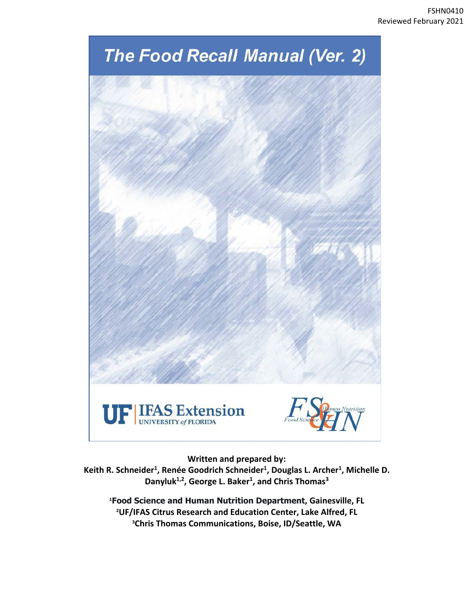

**Written and prepared by:**

**Keith R. Schneider1, Renée Goodrich Schneider1 , Douglas L. Archer1, Michelle D. Danyluk1,2, George L. Baker1, and Chris Thomas3**

**1 Food Science and Human Nutrition Department, Gainesville, FL 2 UF/IFAS Citrus Research and Education Center, Lake Alfred, FL 3 Chris Thomas Communications, Boise, ID/Seattle, WA**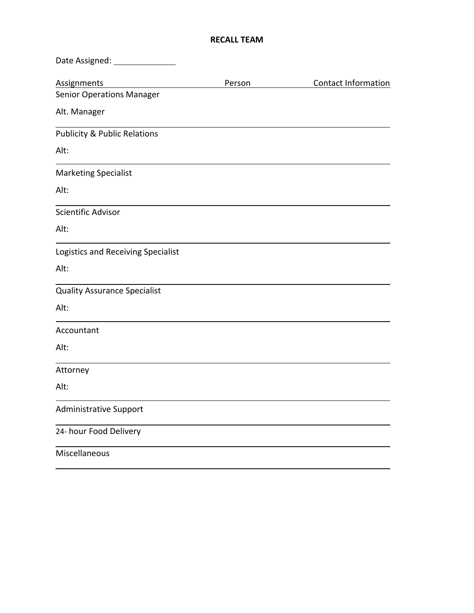# **RECALL TEAM**

| Date Assigned: ________                 |        |                            |
|-----------------------------------------|--------|----------------------------|
| <b>Assignments</b>                      | Person | <b>Contact Information</b> |
| <b>Senior Operations Manager</b>        |        |                            |
| Alt. Manager                            |        |                            |
| <b>Publicity &amp; Public Relations</b> |        |                            |
| Alt:                                    |        |                            |
| <b>Marketing Specialist</b>             |        |                            |
| Alt:                                    |        |                            |
| Scientific Advisor                      |        |                            |
| Alt:                                    |        |                            |
| Logistics and Receiving Specialist      |        |                            |
| Alt:                                    |        |                            |
| <b>Quality Assurance Specialist</b>     |        |                            |
| Alt:                                    |        |                            |
| Accountant                              |        |                            |
| Alt:                                    |        |                            |
| Attorney                                |        |                            |
| Alt:                                    |        |                            |
| <b>Administrative Support</b>           |        |                            |
| 24- hour Food Delivery                  |        |                            |
| Miscellaneous                           |        |                            |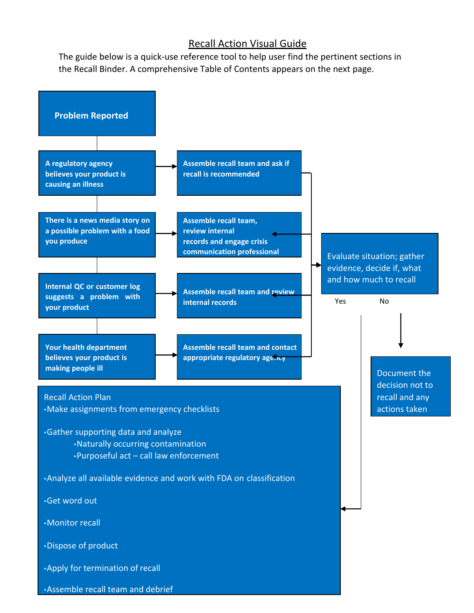# Recall Action Visual Guide

The guide below is a quick‐use reference tool to help user find the pertinent sections in the Recall Binder. A comprehensive Table of Contents appears on the next page.

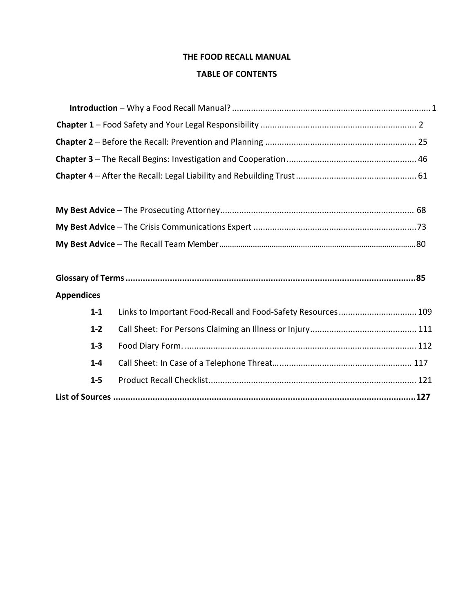# **THE FOOD RECALL MANUAL**

# **TABLE OF CONTENTS**

# **Appendices**

| $1 - 1$ | Links to Important Food-Recall and Food-Safety Resources 109 |  |
|---------|--------------------------------------------------------------|--|
| $1 - 2$ |                                                              |  |
| $1 - 3$ |                                                              |  |
| $1 - 4$ |                                                              |  |
| $1 - 5$ |                                                              |  |
|         |                                                              |  |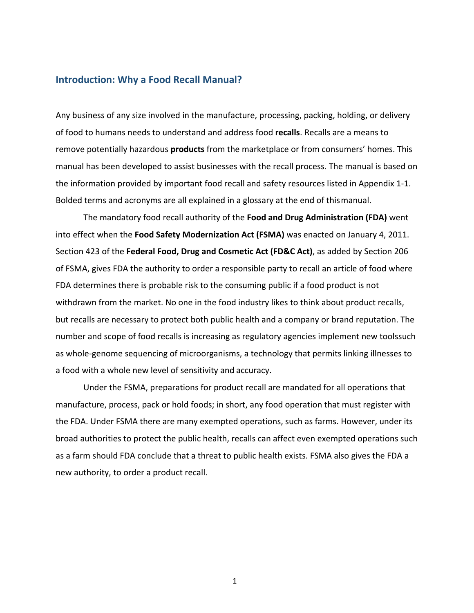## **Introduction: Why a Food Recall Manual?**

Any business of any size involved in the manufacture, processing, packing, holding, or delivery of food to humans needs to understand and address food **recalls**. Recalls are a means to remove potentially hazardous **products** from the marketplace or from consumers' homes. This manual has been developed to assist businesses with the recall process. The manual is based on the information provided by important food recall and safety resources listed in Appendix 1‐1. Bolded terms and acronyms are all explained in a glossary at the end of thismanual.

The mandatory food recall authority of the **Food and Drug Administration (FDA)** went into effect when the **Food Safety Modernization Act (FSMA)** was enacted on January 4, 2011. Section 423 of the **Federal Food, Drug and Cosmetic Act (FD&C Act)**, as added by Section 206 of FSMA, gives FDA the authority to order a responsible party to recall an article of food where FDA determines there is probable risk to the consuming public if a food product is not withdrawn from the market. No one in the food industry likes to think about product recalls, but recalls are necessary to protect both public health and a company or brand reputation. The number and scope of food recalls is increasing as regulatory agencies implement new toolssuch as whole‐genome sequencing of microorganisms, a technology that permits linking illnesses to a food with a whole new level of sensitivity and accuracy.

Under the FSMA, preparations for product recall are mandated for all operations that manufacture, process, pack or hold foods; in short, any food operation that must register with the FDA. Under FSMA there are many exempted operations, such as farms. However, under its broad authorities to protect the public health, recalls can affect even exempted operations such as a farm should FDA conclude that a threat to public health exists. FSMA also gives the FDA a new authority, to order a product recall.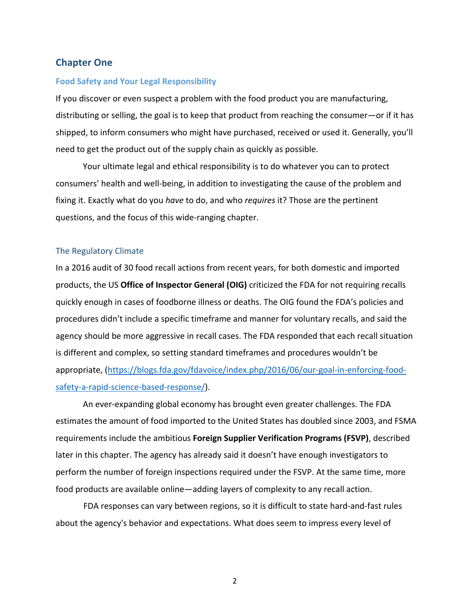# **Chapter One**

#### **Food Safety and Your Legal Responsibility**

If you discover or even suspect a problem with the food product you are manufacturing, distributing or selling, the goal is to keep that product from reaching the consumer—or if it has shipped, to inform consumers who might have purchased, received or used it. Generally, you'll need to get the product out of the supply chain as quickly as possible.

Your ultimate legal and ethical responsibility is to do whatever you can to protect consumers' health and well‐being, in addition to investigating the cause of the problem and fixing it. Exactly what do you *have* to do, and who *requires* it? Those are the pertinent questions, and the focus of this wide‐ranging chapter.

## The Regulatory Climate

In a 2016 audit of 30 food recall actions from recent years, for both domestic and imported products, the US **Office of Inspector General (OIG)** criticized the FDA for not requiring recalls quickly enough in cases of foodborne illness or deaths. The OIG found the FDA's policies and procedures didn't include a specific timeframe and manner for voluntary recalls, and said the agency should be more aggressive in recall cases. The FDA responded that each recall situation is different and complex, so setting standard timeframes and procedures wouldn't be appropriate, (https://blogs.fda.gov/fdavoice/index.php/2016/06/our-goal-in-enforcing-foodsafety-a-rapid-science-based-response/).

An ever‐expanding global economy has brought even greater challenges. The FDA estimates the amount of food imported to the United States has doubled since 2003, and FSMA requirements include the ambitious **Foreign Supplier Verification Programs (FSVP)**, described later in this chapter. The agency has already said it doesn't have enough investigators to perform the number of foreign inspections required under the FSVP. At the same time, more food products are available online—adding layers of complexity to any recall action.

FDA responses can vary between regions, so it is difficult to state hard-and-fast rules about the agency's behavior and expectations. What does seem to impress every level of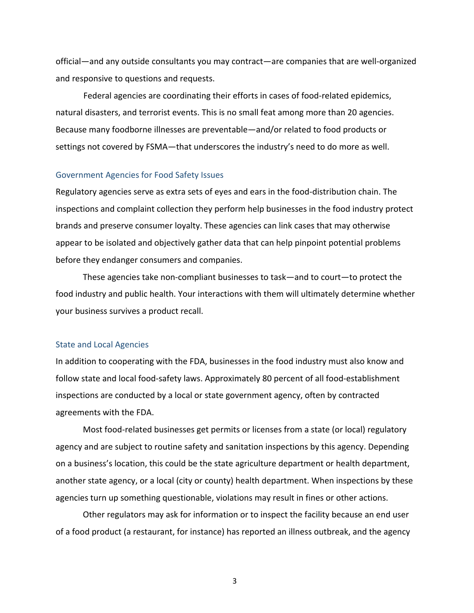official—and any outside consultants you may contract—are companies that are well‐organized and responsive to questions and requests.

Federal agencies are coordinating their efforts in cases of food‐related epidemics, natural disasters, and terrorist events. This is no small feat among more than 20 agencies. Because many foodborne illnesses are preventable—and/or related to food products or settings not covered by FSMA—that underscores the industry's need to do more as well.

#### Government Agencies for Food Safety Issues

Regulatory agencies serve as extra sets of eyes and ears in the food‐distribution chain. The inspections and complaint collection they perform help businesses in the food industry protect brands and preserve consumer loyalty. These agencies can link cases that may otherwise appear to be isolated and objectively gather data that can help pinpoint potential problems before they endanger consumers and companies.

These agencies take non‐compliant businesses to task—and to court—to protect the food industry and public health. Your interactions with them will ultimately determine whether your business survives a product recall.

### State and Local Agencies

In addition to cooperating with the FDA, businesses in the food industry must also know and follow state and local food‐safety laws. Approximately 80 percent of all food‐establishment inspections are conducted by a local or state government agency, often by contracted agreements with the FDA.

Most food‐related businesses get permits or licenses from a state (or local) regulatory agency and are subject to routine safety and sanitation inspections by this agency. Depending on a business's location, this could be the state agriculture department or health department, another state agency, or a local (city or county) health department. When inspections by these agencies turn up something questionable, violations may result in fines or other actions.

Other regulators may ask for information or to inspect the facility because an end user of a food product (a restaurant, for instance) has reported an illness outbreak, and the agency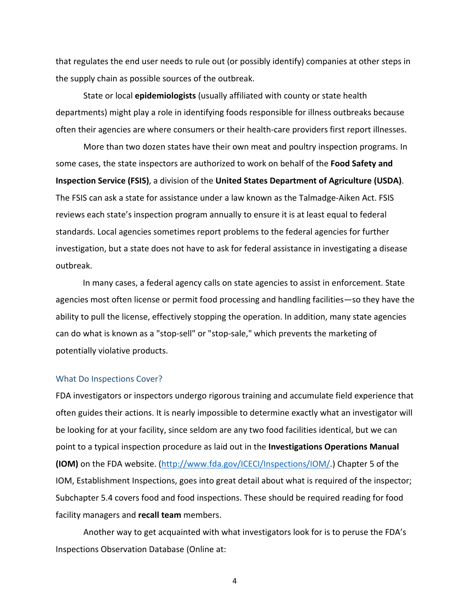that regulates the end user needs to rule out (or possibly identify) companies at other steps in the supply chain as possible sources of the outbreak.

State or local **epidemiologists** (usually affiliated with county or state health departments) might play a role in identifying foods responsible for illness outbreaks because often their agencies are where consumers or their health‐care providers first report illnesses.

More than two dozen states have their own meat and poultry inspection programs. In some cases, the state inspectors are authorized to work on behalf of the **Food Safety and Inspection Service (FSIS)**, a division of the **United States Department of Agriculture (USDA)**. The FSIS can ask a state for assistance under a law known as the Talmadge‐Aiken Act. FSIS reviews each state's inspection program annually to ensure it is at least equal to federal standards. Local agencies sometimes report problems to the federal agencies for further investigation, but a state does not have to ask for federal assistance in investigating a disease outbreak.

In many cases, a federal agency calls on state agencies to assist in enforcement. State agencies most often license or permit food processing and handling facilities—so they have the ability to pull the license, effectively stopping the operation. In addition, many state agencies can do what is known as a "stop‐sell" or "stop‐sale," which prevents the marketing of potentially violative products.

#### What Do Inspections Cover?

FDA investigators or inspectors undergo rigorous training and accumulate field experience that often guides their actions. It is nearly impossible to determine exactly what an investigator will be looking for at your facility, since seldom are any two food facilities identical, but we can point to a typical inspection procedure as laid out in the **Investigations Operations Manual (IOM)** on the FDA website. (http://www.fda.gov/ICECI/Inspections/IOM/.) Chapter 5 of the IOM, Establishment Inspections, goes into great detail about what is required of the inspector; Subchapter 5.4 covers food and food inspections. These should be required reading for food facility managers and **recall team** members.

Another way to get acquainted with what investigators look for is to peruse the FDA's Inspections Observation Database (Online at: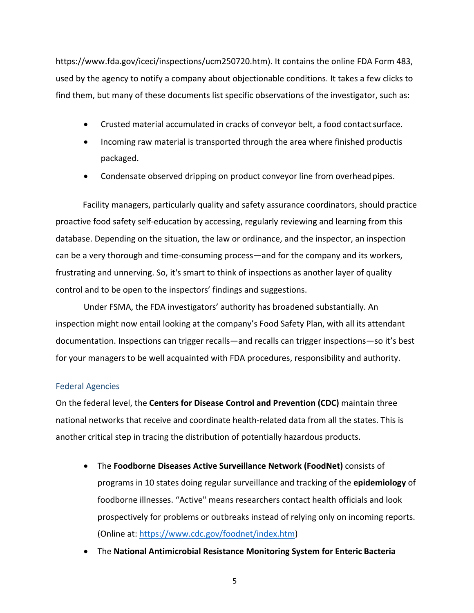https://www.fda.gov/iceci/inspections/ucm250720.htm). It contains the online FDA Form 483, used by the agency to notify a company about objectionable conditions. It takes a few clicks to find them, but many of these documents list specific observations of the investigator, such as:

- Crusted material accumulated in cracks of conveyor belt, a food contact surface.
- Incoming raw material is transported through the area where finished productis packaged.
- Condensate observed dripping on product conveyor line from overhead pipes.

Facility managers, particularly quality and safety assurance coordinators, should practice proactive food safety self‐education by accessing, regularly reviewing and learning from this database. Depending on the situation, the law or ordinance, and the inspector, an inspection can be a very thorough and time‐consuming process—and for the company and its workers, frustrating and unnerving. So, it's smart to think of inspections as another layer of quality control and to be open to the inspectors' findings and suggestions.

Under FSMA, the FDA investigators' authority has broadened substantially. An inspection might now entail looking at the company's Food Safety Plan, with all its attendant documentation. Inspections can trigger recalls—and recalls can trigger inspections—so it's best for your managers to be well acquainted with FDA procedures, responsibility and authority.

## Federal Agencies

On the federal level, the **Centers for Disease Control and Prevention (CDC)** maintain three national networks that receive and coordinate health‐related data from all the states. This is another critical step in tracing the distribution of potentially hazardous products.

- The **Foodborne Diseases Active Surveillance Network (FoodNet)** consists of programs in 10 states doing regular surveillance and tracking of the **epidemiology** of foodborne illnesses. "Active" means researchers contact health officials and look prospectively for problems or outbreaks instead of relying only on incoming reports. (Online at: https://www.cdc.gov/foodnet/index.htm)
- The **National Antimicrobial Resistance Monitoring System for Enteric Bacteria**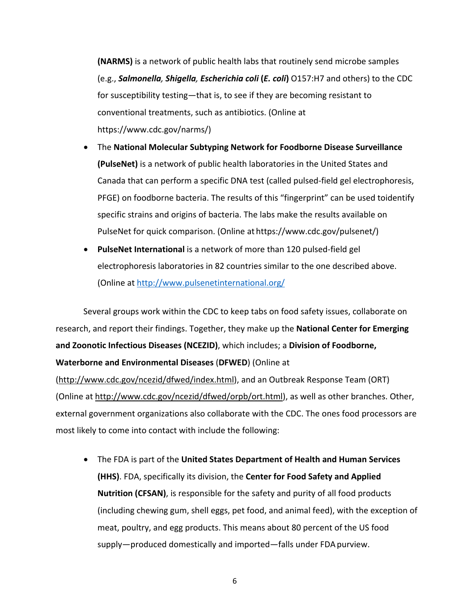**(NARMS)** is a network of public health labs that routinely send microbe samples (e.g., *Salmonella, Shigella, Escherichia coli* **(***E. coli***)** O157:H7 and others) to the CDC for susceptibility testing—that is, to see if they are becoming resistant to conventional treatments, such as antibiotics. (Online at https://www.cdc.gov/narms/)

- The **National Molecular Subtyping Network for Foodborne Disease Surveillance (PulseNet)** is a network of public health laboratories in the United States and Canada that can perform a specific DNA test (called pulsed‐field gel electrophoresis, PFGE) on foodborne bacteria. The results of this "fingerprint" can be used toidentify specific strains and origins of bacteria. The labs make the results available on PulseNet for quick comparison. (Online at https://www.cdc.gov/pulsenet/)
- **PulseNet International** is a network of more than 120 pulsed‐field gel electrophoresis laboratories in 82 countries similar to the one described above. (Online at http://www.pulsenetinternational.org/

Several groups work within the CDC to keep tabs on food safety issues, collaborate on research, and report their findings. Together, they make up the **National Center for Emerging and Zoonotic Infectious Diseases (NCEZID)**, which includes; a **Division of Foodborne,**

# **Waterborne and Environmental Diseases** (**DFWED**) (Online at

(http://www.cdc.gov/ncezid/dfwed/index.html), and an Outbreak Response Team (ORT) (Online at http://www.cdc.gov/ncezid/dfwed/orpb/ort.html), as well as other branches. Other, external government organizations also collaborate with the CDC. The ones food processors are most likely to come into contact with include the following:

 The FDA is part of the **United States Department of Health and Human Services (HHS)**. FDA, specifically its division, the **Center for Food Safety and Applied Nutrition (CFSAN)**, is responsible for the safety and purity of all food products (including chewing gum, shell eggs, pet food, and animal feed), with the exception of meat, poultry, and egg products. This means about 80 percent of the US food supply—produced domestically and imported—falls under FDA purview.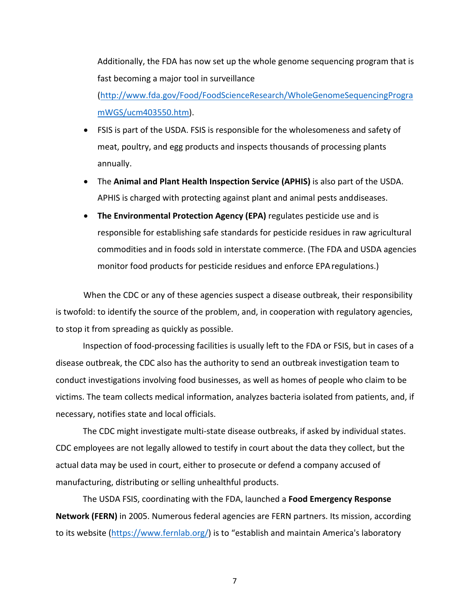Additionally, the FDA has now set up the whole genome sequencing program that is fast becoming a major tool in surveillance (http://www.fda.gov/Food/FoodScienceResearch/WholeGenomeSequencingProgra

mWGS/ucm403550.htm).

- FSIS is part of the USDA. FSIS is responsible for the wholesomeness and safety of meat, poultry, and egg products and inspects thousands of processing plants annually.
- The **Animal and Plant Health Inspection Service (APHIS)** is also part of the USDA. APHIS is charged with protecting against plant and animal pests anddiseases.
- **The Environmental Protection Agency (EPA)** regulates pesticide use and is responsible for establishing safe standards for pesticide residues in raw agricultural commodities and in foods sold in interstate commerce. (The FDA and USDA agencies monitor food products for pesticide residues and enforce EPAregulations.)

When the CDC or any of these agencies suspect a disease outbreak, their responsibility is twofold: to identify the source of the problem, and, in cooperation with regulatory agencies, to stop it from spreading as quickly as possible.

Inspection of food-processing facilities is usually left to the FDA or FSIS, but in cases of a disease outbreak, the CDC also has the authority to send an outbreak investigation team to conduct investigations involving food businesses, as well as homes of people who claim to be victims. The team collects medical information, analyzes bacteria isolated from patients, and, if necessary, notifies state and local officials.

The CDC might investigate multi‐state disease outbreaks, if asked by individual states. CDC employees are not legally allowed to testify in court about the data they collect, but the actual data may be used in court, either to prosecute or defend a company accused of manufacturing, distributing or selling unhealthful products.

The USDA FSIS, coordinating with the FDA, launched a **Food Emergency Response Network (FERN)** in 2005. Numerous federal agencies are FERN partners. Its mission, according to its website (https://www.fernlab.org/) is to "establish and maintain America's laboratory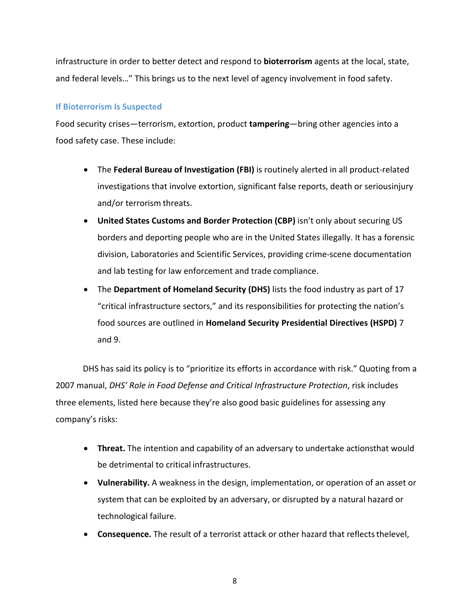infrastructure in order to better detect and respond to **bioterrorism** agents at the local, state, and federal levels…" This brings us to the next level of agency involvement in food safety.

# **If Bioterrorism Is Suspected**

Food security crises—terrorism, extortion, product **tampering**—bring other agencies into a food safety case. These include:

- The **Federal Bureau of Investigation (FBI)** is routinely alerted in all product‐related investigations that involve extortion, significant false reports, death or seriousinjury and/or terrorism threats.
- **United States Customs and Border Protection (CBP)** isn't only about securing US borders and deporting people who are in the United States illegally. It has a forensic division, Laboratories and Scientific Services, providing crime‐scene documentation and lab testing for law enforcement and trade compliance.
- The **Department of Homeland Security (DHS)** lists the food industry as part of 17 "critical infrastructure sectors," and its responsibilities for protecting the nation's food sources are outlined in **Homeland Security Presidential Directives (HSPD)** 7 and 9.

DHS has said its policy is to "prioritize its efforts in accordance with risk." Quoting from a 2007 manual, *DHS' Role in Food Defense and Critical Infrastructure Protection*, risk includes three elements, listed here because they're also good basic guidelines for assessing any company's risks:

- **Threat.** The intention and capability of an adversary to undertake actionsthat would be detrimental to critical infrastructures.
- **Vulnerability.** A weakness in the design, implementation, or operation of an asset or system that can be exploited by an adversary, or disrupted by a natural hazard or technological failure.
- **Consequence.** The result of a terrorist attack or other hazard that reflects thelevel,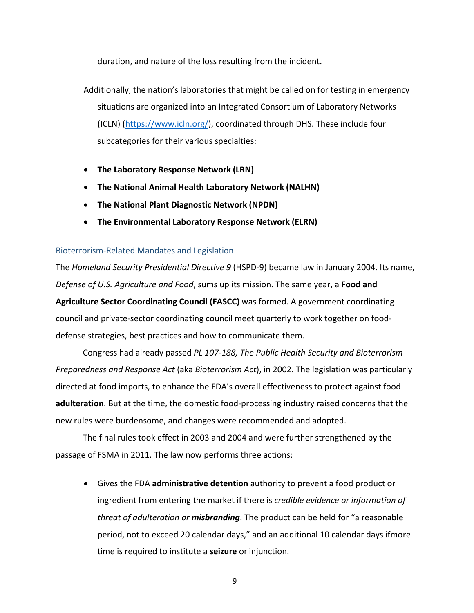duration, and nature of the loss resulting from the incident.

- Additionally, the nation's laboratories that might be called on for testing in emergency situations are organized into an Integrated Consortium of Laboratory Networks (ICLN) (https://www.icln.org/), coordinated through DHS. These include four subcategories for their various specialties:
- **The Laboratory Response Network (LRN)**
- **The National Animal Health Laboratory Network (NALHN)**
- **The National Plant Diagnostic Network (NPDN)**
- **The Environmental Laboratory Response Network (ELRN)**

## Bioterrorism‐Related Mandates and Legislation

The *Homeland Security Presidential Directive 9* (HSPD‐9) became law in January 2004. Its name, *Defense of U.S. Agriculture and Food*, sums up its mission. The same year, a **Food and Agriculture Sector Coordinating Council (FASCC)** was formed. A government coordinating council and private‐sector coordinating council meet quarterly to work together on food‐ defense strategies, best practices and how to communicate them.

Congress had already passed *PL 107‐188, The Public Health Security and Bioterrorism Preparedness and Response Act* (aka *Bioterrorism Act*), in 2002. The legislation was particularly directed at food imports, to enhance the FDA's overall effectiveness to protect against food **adulteration**. But at the time, the domestic food‐processing industry raised concerns that the new rules were burdensome, and changes were recommended and adopted.

The final rules took effect in 2003 and 2004 and were further strengthened by the passage of FSMA in 2011. The law now performs three actions:

 Gives the FDA **administrative detention** authority to prevent a food product or ingredient from entering the market if there is *credible evidence or information of threat of adulteration or misbranding*. The product can be held for "a reasonable period, not to exceed 20 calendar days," and an additional 10 calendar days ifmore time is required to institute a **seizure** or injunction.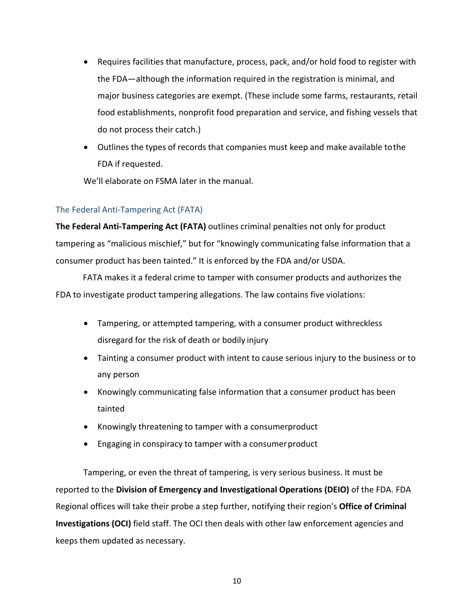- Requires facilities that manufacture, process, pack, and/or hold food to register with the FDA—although the information required in the registration is minimal, and major business categories are exempt. (These include some farms, restaurants, retail food establishments, nonprofit food preparation and service, and fishing vessels that do not process their catch.)
- Outlines the types of records that companies must keep and make available tothe FDA if requested.

We'll elaborate on FSMA later in the manual.

# The Federal Anti‐Tampering Act (FATA)

**The Federal Anti‐Tampering Act (FATA)** outlines criminal penalties not only for product tampering as "malicious mischief," but for "knowingly communicating false information that a consumer product has been tainted." It is enforced by the FDA and/or USDA.

FATA makes it a federal crime to tamper with consumer products and authorizes the FDA to investigate product tampering allegations. The law contains five violations:

- Tampering, or attempted tampering, with a consumer product withreckless disregard for the risk of death or bodily injury
- Tainting a consumer product with intent to cause serious injury to the business or to any person
- Knowingly communicating false information that a consumer product has been tainted
- Knowingly threatening to tamper with a consumerproduct
- Engaging in conspiracy to tamper with a consumer product

Tampering, or even the threat of tampering, is very serious business. It must be reported to the **Division of Emergency and Investigational Operations (DEIO)** of the FDA. FDA Regional offices will take their probe a step further, notifying their region's **Office of Criminal Investigations (OCI)** field staff. The OCI then deals with other law enforcement agencies and keeps them updated as necessary.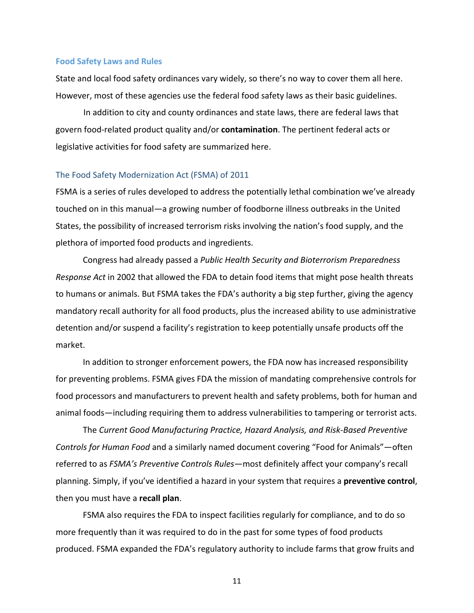#### **Food Safety Laws and Rules**

State and local food safety ordinances vary widely, so there's no way to cover them all here. However, most of these agencies use the federal food safety laws as their basic guidelines.

In addition to city and county ordinances and state laws, there are federal laws that govern food‐related product quality and/or **contamination**. The pertinent federal acts or legislative activities for food safety are summarized here.

## The Food Safety Modernization Act (FSMA) of 2011

FSMA is a series of rules developed to address the potentially lethal combination we've already touched on in this manual—a growing number of foodborne illness outbreaks in the United States, the possibility of increased terrorism risks involving the nation's food supply, and the plethora of imported food products and ingredients.

Congress had already passed a *Public Health Security and Bioterrorism Preparedness Response Act* in 2002 that allowed the FDA to detain food items that might pose health threats to humans or animals. But FSMA takes the FDA's authority a big step further, giving the agency mandatory recall authority for all food products, plus the increased ability to use administrative detention and/or suspend a facility's registration to keep potentially unsafe products off the market.

In addition to stronger enforcement powers, the FDA now has increased responsibility for preventing problems. FSMA gives FDA the mission of mandating comprehensive controls for food processors and manufacturers to prevent health and safety problems, both for human and animal foods—including requiring them to address vulnerabilities to tampering or terrorist acts.

The *Current Good Manufacturing Practice, Hazard Analysis, and Risk‐Based Preventive Controls for Human Food* and a similarly named document covering "Food for Animals"—often referred to as *FSMA's Preventive Controls Rules*—most definitely affect your company's recall planning. Simply, if you've identified a hazard in your system that requires a **preventive control**, then you must have a **recall plan**.

FSMA also requires the FDA to inspect facilities regularly for compliance, and to do so more frequently than it was required to do in the past for some types of food products produced. FSMA expanded the FDA's regulatory authority to include farms that grow fruits and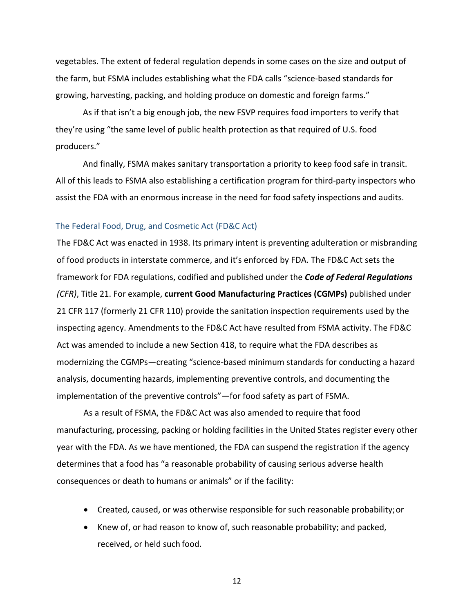vegetables. The extent of federal regulation depends in some cases on the size and output of the farm, but FSMA includes establishing what the FDA calls "science‐based standards for growing, harvesting, packing, and holding produce on domestic and foreign farms."

As if that isn't a big enough job, the new FSVP requires food importers to verify that they're using "the same level of public health protection as that required of U.S. food producers."

And finally, FSMA makes sanitary transportation a priority to keep food safe in transit. All of this leads to FSMA also establishing a certification program for third‐party inspectors who assist the FDA with an enormous increase in the need for food safety inspections and audits.

## The Federal Food, Drug, and Cosmetic Act (FD&C Act)

The FD&C Act was enacted in 1938. Its primary intent is preventing adulteration or misbranding of food products in interstate commerce, and it's enforced by FDA. The FD&C Act sets the framework for FDA regulations, codified and published under the *Code of Federal Regulations (CFR)*, Title 21. For example, **current Good Manufacturing Practices (CGMPs)** published under 21 CFR 117 (formerly 21 CFR 110) provide the sanitation inspection requirements used by the inspecting agency. Amendments to the FD&C Act have resulted from FSMA activity. The FD&C Act was amended to include a new Section 418, to require what the FDA describes as modernizing the CGMPs—creating "science‐based minimum standards for conducting a hazard analysis, documenting hazards, implementing preventive controls, and documenting the implementation of the preventive controls"—for food safety as part of FSMA.

As a result of FSMA, the FD&C Act was also amended to require that food manufacturing, processing, packing or holding facilities in the United States register every other year with the FDA. As we have mentioned, the FDA can suspend the registration if the agency determines that a food has "a reasonable probability of causing serious adverse health consequences or death to humans or animals" or if the facility:

- Created, caused, or was otherwise responsible for such reasonable probability;or
- Knew of, or had reason to know of, such reasonable probability; and packed, received, or held such food.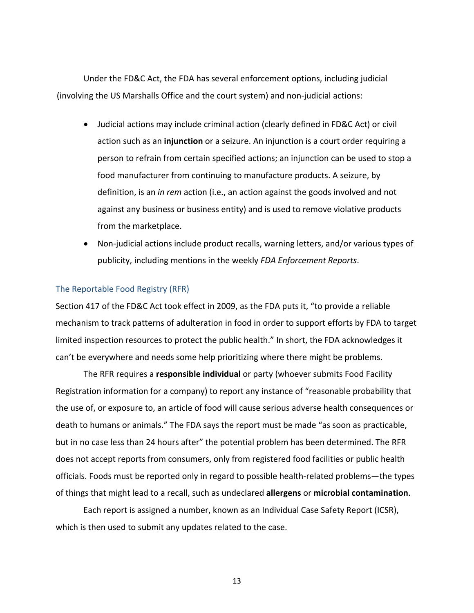Under the FD&C Act, the FDA has several enforcement options, including judicial (involving the US Marshalls Office and the court system) and non‐judicial actions:

- Judicial actions may include criminal action (clearly defined in FD&C Act) or civil action such as an **injunction** or a seizure. An injunction is a court order requiring a person to refrain from certain specified actions; an injunction can be used to stop a food manufacturer from continuing to manufacture products. A seizure, by definition, is an *in rem* action (i.e., an action against the goods involved and not against any business or business entity) and is used to remove violative products from the marketplace.
- Non-judicial actions include product recalls, warning letters, and/or various types of publicity, including mentions in the weekly *FDA Enforcement Reports*.

## The Reportable Food Registry (RFR)

Section 417 of the FD&C Act took effect in 2009, as the FDA puts it, "to provide a reliable mechanism to track patterns of adulteration in food in order to support efforts by FDA to target limited inspection resources to protect the public health." In short, the FDA acknowledges it can't be everywhere and needs some help prioritizing where there might be problems.

The RFR requires a **responsible individual** or party (whoever submits Food Facility Registration information for a company) to report any instance of "reasonable probability that the use of, or exposure to, an article of food will cause serious adverse health consequences or death to humans or animals." The FDA says the report must be made "as soon as practicable, but in no case less than 24 hours after" the potential problem has been determined. The RFR does not accept reports from consumers, only from registered food facilities or public health officials. Foods must be reported only in regard to possible health‐related problems—the types of things that might lead to a recall, such as undeclared **allergens** or **microbial contamination**.

Each report is assigned a number, known as an Individual Case Safety Report (ICSR), which is then used to submit any updates related to the case.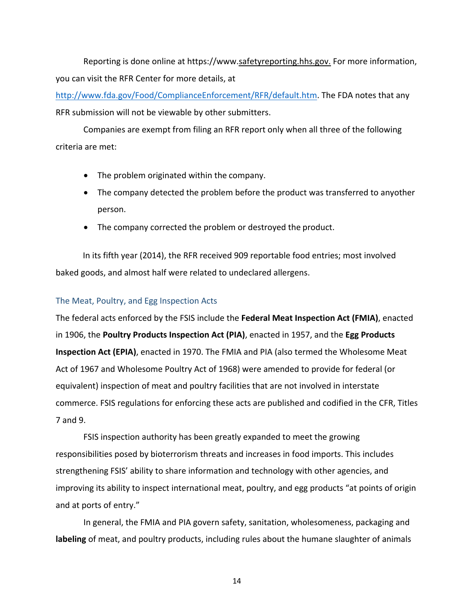Reporting is done online at https://www.safetyreporting.hhs.gov. For more information, you can visit the RFR Center for more details, at

http://www.fda.gov/Food/ComplianceEnforcement/RFR/default.htm. The FDA notes that any RFR submission will not be viewable by other submitters.

Companies are exempt from filing an RFR report only when all three of the following criteria are met:

- The problem originated within the company.
- The company detected the problem before the product was transferred to anyother person.
- The company corrected the problem or destroyed the product.

In its fifth year (2014), the RFR received 909 reportable food entries; most involved baked goods, and almost half were related to undeclared allergens.

## The Meat, Poultry, and Egg Inspection Acts

The federal acts enforced by the FSIS include the **Federal Meat Inspection Act (FMIA)**, enacted in 1906, the **Poultry Products Inspection Act (PIA)**, enacted in 1957, and the **Egg Products Inspection Act (EPIA)**, enacted in 1970. The FMIA and PIA (also termed the Wholesome Meat Act of 1967 and Wholesome Poultry Act of 1968) were amended to provide for federal (or equivalent) inspection of meat and poultry facilities that are not involved in interstate commerce. FSIS regulations for enforcing these acts are published and codified in the CFR, Titles 7 and 9.

FSIS inspection authority has been greatly expanded to meet the growing responsibilities posed by bioterrorism threats and increases in food imports. This includes strengthening FSIS' ability to share information and technology with other agencies, and improving its ability to inspect international meat, poultry, and egg products "at points of origin and at ports of entry."

In general, the FMIA and PIA govern safety, sanitation, wholesomeness, packaging and **labeling** of meat, and poultry products, including rules about the humane slaughter of animals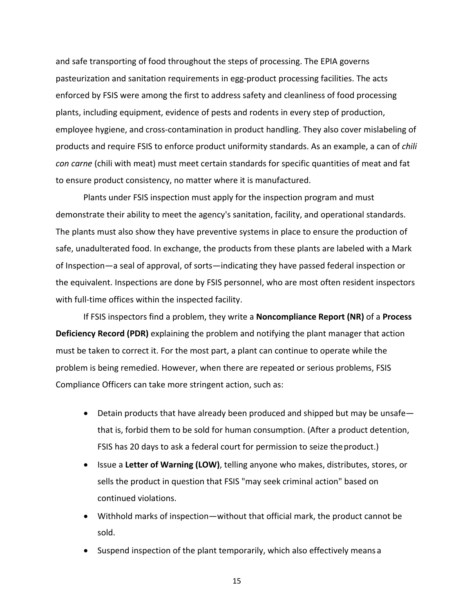and safe transporting of food throughout the steps of processing. The EPIA governs pasteurization and sanitation requirements in egg-product processing facilities. The acts enforced by FSIS were among the first to address safety and cleanliness of food processing plants, including equipment, evidence of pests and rodents in every step of production, employee hygiene, and cross‐contamination in product handling. They also cover mislabeling of products and require FSIS to enforce product uniformity standards. As an example, a can of *chili con carne* (chili with meat) must meet certain standards for specific quantities of meat and fat to ensure product consistency, no matter where it is manufactured.

Plants under FSIS inspection must apply for the inspection program and must demonstrate their ability to meet the agency's sanitation, facility, and operational standards. The plants must also show they have preventive systems in place to ensure the production of safe, unadulterated food. In exchange, the products from these plants are labeled with a Mark of Inspection—a seal of approval, of sorts—indicating they have passed federal inspection or the equivalent. Inspections are done by FSIS personnel, who are most often resident inspectors with full-time offices within the inspected facility.

If FSIS inspectors find a problem, they write a **Noncompliance Report (NR)** of a **Process Deficiency Record (PDR)** explaining the problem and notifying the plant manager that action must be taken to correct it. For the most part, a plant can continue to operate while the problem is being remedied. However, when there are repeated or serious problems, FSIS Compliance Officers can take more stringent action, such as:

- Detain products that have already been produced and shipped but may be unsafe that is, forbid them to be sold for human consumption. (After a product detention, FSIS has 20 days to ask a federal court for permission to seize theproduct.)
- Issue a **Letter of Warning (LOW)**, telling anyone who makes, distributes, stores, or sells the product in question that FSIS "may seek criminal action" based on continued violations.
- Withhold marks of inspection—without that official mark, the product cannot be sold.
- Suspend inspection of the plant temporarily, which also effectively means a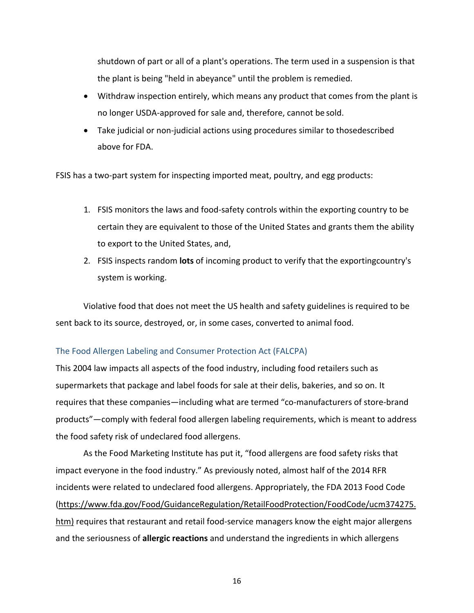shutdown of part or all of a plant's operations. The term used in a suspension is that the plant is being "held in abeyance" until the problem is remedied.

- Withdraw inspection entirely, which means any product that comes from the plant is no longer USDA‐approved for sale and, therefore, cannot be sold.
- Take judicial or non-judicial actions using procedures similar to thosedescribed above for FDA.

FSIS has a two‐part system for inspecting imported meat, poultry, and egg products:

- 1. FSIS monitors the laws and food‐safety controls within the exporting country to be certain they are equivalent to those of the United States and grants them the ability to export to the United States, and,
- 2. FSIS inspects random **lots** of incoming product to verify that the exportingcountry's system is working.

Violative food that does not meet the US health and safety guidelines is required to be sent back to its source, destroyed, or, in some cases, converted to animal food.

# The Food Allergen Labeling and Consumer Protection Act (FALCPA)

This 2004 law impacts all aspects of the food industry, including food retailers such as supermarkets that package and label foods for sale at their delis, bakeries, and so on. It requires that these companies—including what are termed "co‐manufacturers of store‐brand products"—comply with federal food allergen labeling requirements, which is meant to address the food safety risk of undeclared food allergens.

As the Food Marketing Institute has put it, "food allergens are food safety risks that impact everyone in the food industry." As previously noted, almost half of the 2014 RFR incidents were related to undeclared food allergens. Appropriately, the FDA 2013 Food Code (https://www.fda.gov/Food/GuidanceRegulation/RetailFoodProtection/FoodCode/ucm374275. htm) requires that restaurant and retail food-service managers know the eight major allergens and the seriousness of **allergic reactions** and understand the ingredients in which allergens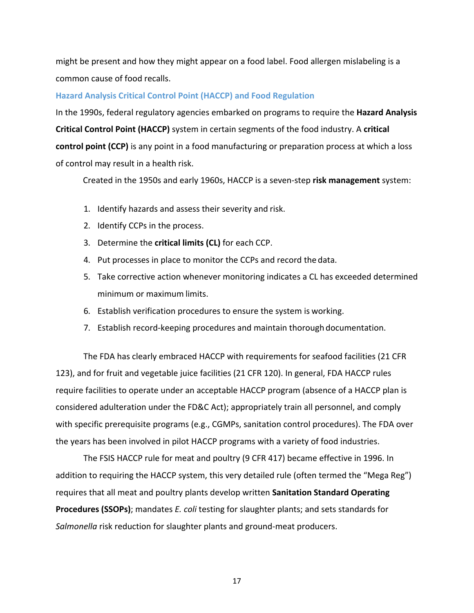might be present and how they might appear on a food label. Food allergen mislabeling is a common cause of food recalls.

#### **Hazard Analysis Critical Control Point (HACCP) and Food Regulation**

In the 1990s, federal regulatory agencies embarked on programs to require the **Hazard Analysis Critical Control Point (HACCP)** system in certain segments of the food industry. A **critical control point (CCP)** is any point in a food manufacturing or preparation process at which a loss of control may result in a health risk.

Created in the 1950s and early 1960s, HACCP is a seven‐step **risk management** system:

- 1. Identify hazards and assess their severity and risk.
- 2. Identify CCPs in the process.
- 3. Determine the **critical limits (CL)** for each CCP.
- 4. Put processes in place to monitor the CCPs and record the data.
- 5. Take corrective action whenever monitoring indicates a CL has exceeded determined minimum or maximum limits.
- 6. Establish verification procedures to ensure the system is working.
- 7. Establish record‐keeping procedures and maintain thorough documentation.

The FDA has clearly embraced HACCP with requirements for seafood facilities (21 CFR 123), and for fruit and vegetable juice facilities (21 CFR 120). In general, FDA HACCP rules require facilities to operate under an acceptable HACCP program (absence of a HACCP plan is considered adulteration under the FD&C Act); appropriately train all personnel, and comply with specific prerequisite programs (e.g., CGMPs, sanitation control procedures). The FDA over the years has been involved in pilot HACCP programs with a variety of food industries.

The FSIS HACCP rule for meat and poultry (9 CFR 417) became effective in 1996. In addition to requiring the HACCP system, this very detailed rule (often termed the "Mega Reg") requires that all meat and poultry plants develop written **Sanitation Standard Operating Procedures (SSOPs)**; mandates *E. coli* testing for slaughter plants; and sets standards for *Salmonella* risk reduction for slaughter plants and ground‐meat producers.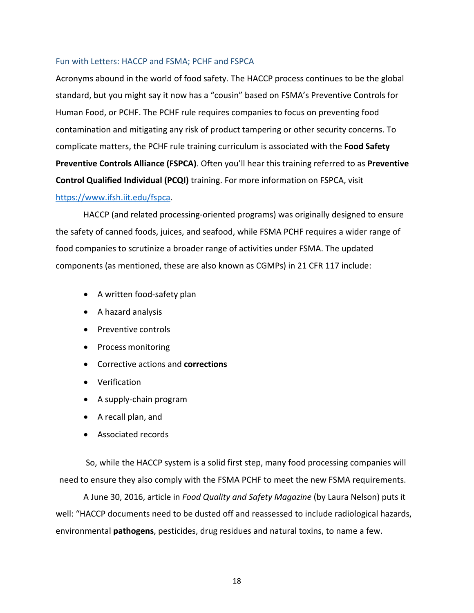## Fun with Letters: HACCP and FSMA; PCHF and FSPCA

Acronyms abound in the world of food safety. The HACCP process continues to be the global standard, but you might say it now has a "cousin" based on FSMA's Preventive Controls for Human Food, or PCHF. The PCHF rule requires companies to focus on preventing food contamination and mitigating any risk of product tampering or other security concerns. To complicate matters, the PCHF rule training curriculum is associated with the **Food Safety Preventive Controls Alliance (FSPCA)**. Often you'll hear this training referred to as **Preventive Control Qualified Individual (PCQI)** training. For more information on FSPCA, visit https://www.ifsh.iit.edu/fspca.

HACCP (and related processing‐oriented programs) was originally designed to ensure the safety of canned foods, juices, and seafood, while FSMA PCHF requires a wider range of food companies to scrutinize a broader range of activities under FSMA. The updated components (as mentioned, these are also known as CGMPs) in 21 CFR 117 include:

- A written food-safety plan
- A hazard analysis
- Preventive controls
- Process monitoring
- Corrective actions and **corrections**
- Verification
- A supply-chain program
- A recall plan, and
- Associated records

So, while the HACCP system is a solid first step, many food processing companies will need to ensure they also comply with the FSMA PCHF to meet the new FSMA requirements.

A June 30, 2016, article in *Food Quality and Safety Magazine* (by Laura Nelson) puts it well: "HACCP documents need to be dusted off and reassessed to include radiological hazards, environmental **pathogens**, pesticides, drug residues and natural toxins, to name a few.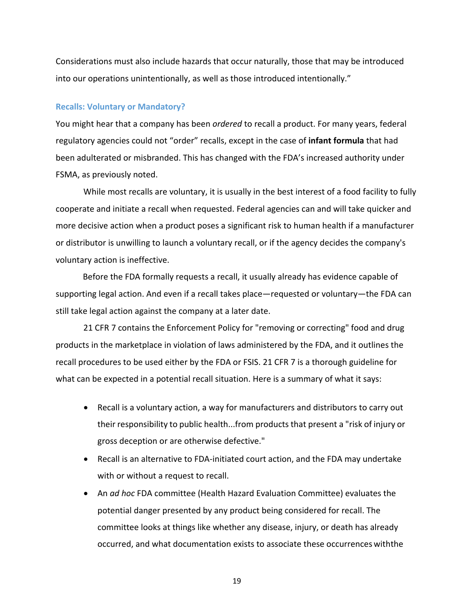Considerations must also include hazards that occur naturally, those that may be introduced into our operations unintentionally, as well as those introduced intentionally."

#### **Recalls: Voluntary or Mandatory?**

You might hear that a company has been *ordered* to recall a product. For many years, federal regulatory agencies could not "order" recalls, except in the case of **infant formula** that had been adulterated or misbranded. This has changed with the FDA's increased authority under FSMA, as previously noted.

While most recalls are voluntary, it is usually in the best interest of a food facility to fully cooperate and initiate a recall when requested. Federal agencies can and will take quicker and more decisive action when a product poses a significant risk to human health if a manufacturer or distributor is unwilling to launch a voluntary recall, or if the agency decides the company's voluntary action is ineffective.

Before the FDA formally requests a recall, it usually already has evidence capable of supporting legal action. And even if a recall takes place—requested or voluntary—the FDA can still take legal action against the company at a later date.

21 CFR 7 contains the Enforcement Policy for "removing or correcting" food and drug products in the marketplace in violation of laws administered by the FDA, and it outlines the recall procedures to be used either by the FDA or FSIS. 21 CFR 7 is a thorough guideline for what can be expected in a potential recall situation. Here is a summary of what it says:

- Recall is a voluntary action, a way for manufacturers and distributors to carry out their responsibility to public health...from products that present a "risk of injury or gross deception or are otherwise defective."
- Recall is an alternative to FDA-initiated court action, and the FDA may undertake with or without a request to recall.
- An *ad hoc* FDA committee (Health Hazard Evaluation Committee) evaluates the potential danger presented by any product being considered for recall. The committee looks at things like whether any disease, injury, or death has already occurred, and what documentation exists to associate these occurrences withthe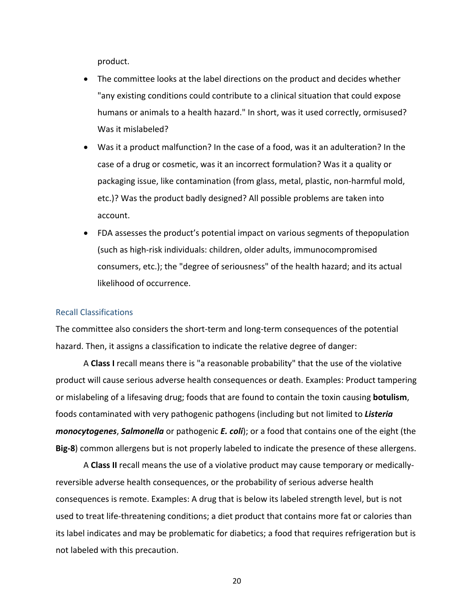product.

- The committee looks at the label directions on the product and decides whether "any existing conditions could contribute to a clinical situation that could expose humans or animals to a health hazard." In short, was it used correctly, ormisused? Was it mislabeled?
- Was it a product malfunction? In the case of a food, was it an adulteration? In the case of a drug or cosmetic, was it an incorrect formulation? Was it a quality or packaging issue, like contamination (from glass, metal, plastic, non‐harmful mold, etc.)? Was the product badly designed? All possible problems are taken into account.
- FDA assesses the product's potential impact on various segments of thepopulation (such as high‐risk individuals: children, older adults, immunocompromised consumers, etc.); the "degree of seriousness" of the health hazard; and its actual likelihood of occurrence.

#### Recall Classifications

The committee also considers the short‐term and long‐term consequences of the potential hazard. Then, it assigns a classification to indicate the relative degree of danger:

A **Class I** recall means there is "a reasonable probability" that the use of the violative product will cause serious adverse health consequences or death. Examples: Product tampering or mislabeling of a lifesaving drug; foods that are found to contain the toxin causing **botulism**, foods contaminated with very pathogenic pathogens (including but not limited to *Listeria monocytogenes*, *Salmonella* or pathogenic *E. coli*); or a food that contains one of the eight (the **Big‐8**) common allergens but is not properly labeled to indicate the presence of these allergens.

A **Class II** recall means the use of a violative product may cause temporary or medically‐ reversible adverse health consequences, or the probability of serious adverse health consequences is remote. Examples: A drug that is below its labeled strength level, but is not used to treat life-threatening conditions; a diet product that contains more fat or calories than its label indicates and may be problematic for diabetics; a food that requires refrigeration but is not labeled with this precaution.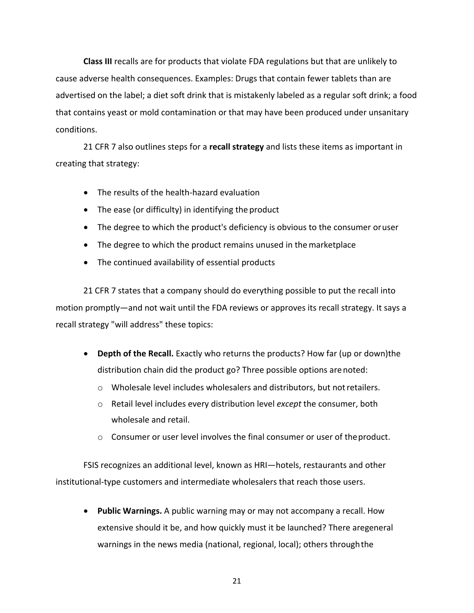**Class III** recalls are for products that violate FDA regulations but that are unlikely to cause adverse health consequences. Examples: Drugs that contain fewer tablets than are advertised on the label; a diet soft drink that is mistakenly labeled as a regular soft drink; a food that contains yeast or mold contamination or that may have been produced under unsanitary conditions.

21 CFR 7 also outlines steps for a **recall strategy** and lists these items as important in creating that strategy:

- The results of the health-hazard evaluation
- The ease (or difficulty) in identifying the product
- The degree to which the product's deficiency is obvious to the consumer oruser
- The degree to which the product remains unused in the marketplace
- The continued availability of essential products

21 CFR 7 states that a company should do everything possible to put the recall into motion promptly—and not wait until the FDA reviews or approves its recall strategy. It says a recall strategy "will address" these topics:

- **Depth of the Recall.** Exactly who returns the products? How far (up or down)the distribution chain did the product go? Three possible options arenoted:
	- o Wholesale level includes wholesalers and distributors, but notretailers.
	- o Retail level includes every distribution level *except* the consumer, both wholesale and retail.
	- $\circ$  Consumer or user level involves the final consumer or user of the product.

FSIS recognizes an additional level, known as HRI—hotels, restaurants and other institutional‐type customers and intermediate wholesalers that reach those users.

 **Public Warnings.** A public warning may or may not accompany a recall. How extensive should it be, and how quickly must it be launched? There aregeneral warnings in the news media (national, regional, local); others throughthe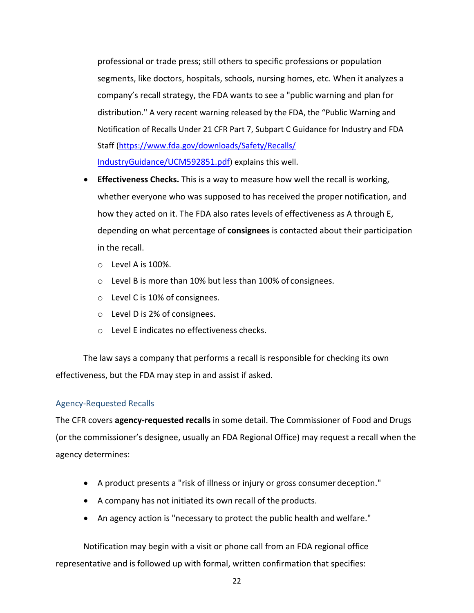professional or trade press; still others to specific professions or population segments, like doctors, hospitals, schools, nursing homes, etc. When it analyzes a company's recall strategy, the FDA wants to see a "public warning and plan for distribution." A very recent warning released by the FDA, the "Public Warning and Notification of Recalls Under 21 CFR Part 7, Subpart C Guidance for Industry and FDA Staff (https://www.fda.gov/downloads/Safety/Recalls/ IndustryGuidance/UCM592851.pdf) explains this well.

- **Effectiveness Checks.** This is a way to measure how well the recall is working, whether everyone who was supposed to has received the proper notification, and how they acted on it. The FDA also rates levels of effectiveness as A through E, depending on what percentage of **consignees** is contacted about their participation in the recall.
	- o Level A is 100%.
	- o Level B is more than 10% but less than 100% of consignees.
	- o Level C is 10% of consignees.
	- o Level D is 2% of consignees.
	- o Level E indicates no effectiveness checks.

The law says a company that performs a recall is responsible for checking its own effectiveness, but the FDA may step in and assist if asked.

# Agency‐Requested Recalls

The CFR covers **agency‐requested recalls** in some detail. The Commissioner of Food and Drugs (or the commissioner's designee, usually an FDA Regional Office) may request a recall when the agency determines:

- A product presents a "risk of illness or injury or gross consumer deception."
- A company has not initiated its own recall of the products.
- An agency action is "necessary to protect the public health and welfare."

Notification may begin with a visit or phone call from an FDA regional office representative and is followed up with formal, written confirmation that specifies: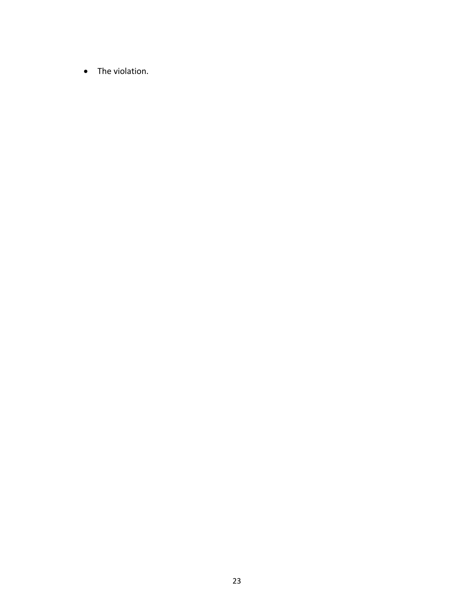• The violation.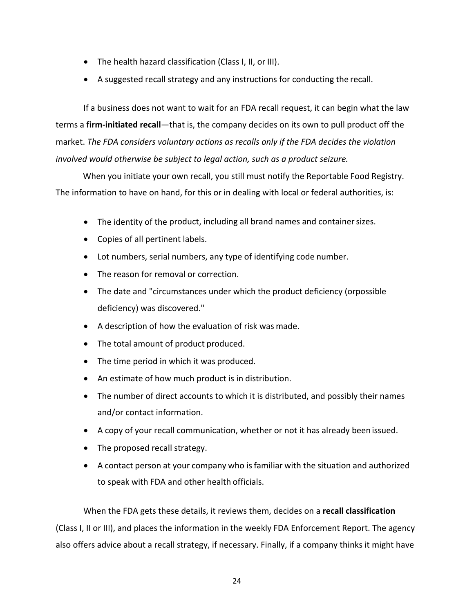- The health hazard classification (Class I, II, or III).
- A suggested recall strategy and any instructions for conducting the recall.

If a business does not want to wait for an FDA recall request, it can begin what the law terms a **firm‐initiated recall**—that is, the company decides on its own to pull product off the market. *The FDA considers voluntary actions as recalls only if the FDA decides the violation involved would otherwise be subject to legal action, such as a product seizure.*

When you initiate your own recall, you still must notify the Reportable Food Registry. The information to have on hand, for this or in dealing with local or federal authorities, is:

- The identity of the product, including all brand names and container sizes.
- Copies of all pertinent labels.
- Lot numbers, serial numbers, any type of identifying code number.
- The reason for removal or correction.
- The date and "circumstances under which the product deficiency (orpossible deficiency) was discovered."
- A description of how the evaluation of risk was made.
- The total amount of product produced.
- The time period in which it was produced.
- An estimate of how much product is in distribution.
- The number of direct accounts to which it is distributed, and possibly their names and/or contact information.
- A copy of your recall communication, whether or not it has already beenissued.
- The proposed recall strategy.
- A contact person at your company who isfamiliar with the situation and authorized to speak with FDA and other health officials.

When the FDA gets these details, it reviews them, decides on a **recall classification** (Class I, II or III), and places the information in the weekly FDA Enforcement Report. The agency also offers advice about a recall strategy, if necessary. Finally, if a company thinks it might have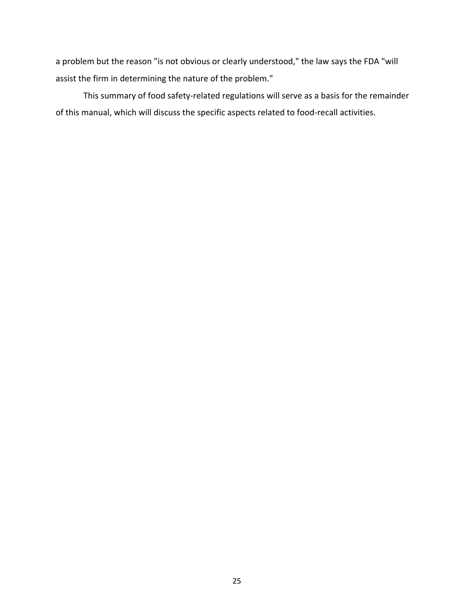a problem but the reason "is not obvious or clearly understood," the law says the FDA "will assist the firm in determining the nature of the problem."

This summary of food safety-related regulations will serve as a basis for the remainder of this manual, which will discuss the specific aspects related to food‐recall activities.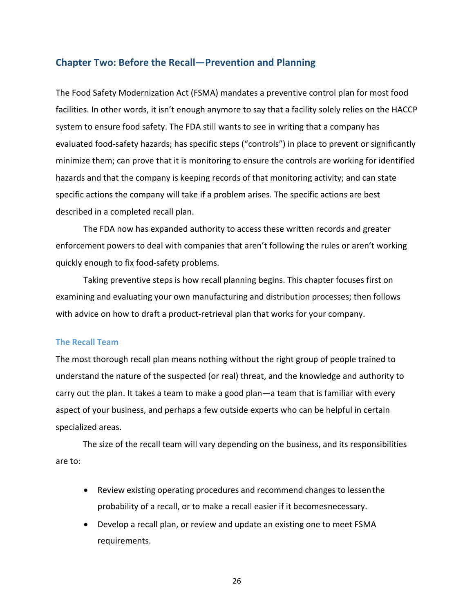# **Chapter Two: Before the Recall—Prevention and Planning**

The Food Safety Modernization Act (FSMA) mandates a preventive control plan for most food facilities. In other words, it isn't enough anymore to say that a facility solely relies on the HACCP system to ensure food safety. The FDA still wants to see in writing that a company has evaluated food-safety hazards; has specific steps ("controls") in place to prevent or significantly minimize them; can prove that it is monitoring to ensure the controls are working for identified hazards and that the company is keeping records of that monitoring activity; and can state specific actions the company will take if a problem arises. The specific actions are best described in a completed recall plan.

The FDA now has expanded authority to access these written records and greater enforcement powers to deal with companies that aren't following the rules or aren't working quickly enough to fix food‐safety problems.

Taking preventive steps is how recall planning begins. This chapter focuses first on examining and evaluating your own manufacturing and distribution processes; then follows with advice on how to draft a product-retrieval plan that works for your company.

#### **The Recall Team**

The most thorough recall plan means nothing without the right group of people trained to understand the nature of the suspected (or real) threat, and the knowledge and authority to carry out the plan. It takes a team to make a good plan—a team that is familiar with every aspect of your business, and perhaps a few outside experts who can be helpful in certain specialized areas.

The size of the recall team will vary depending on the business, and its responsibilities are to:

- Review existing operating procedures and recommend changes to lessenthe probability of a recall, or to make a recall easier if it becomesnecessary.
- Develop a recall plan, or review and update an existing one to meet FSMA requirements.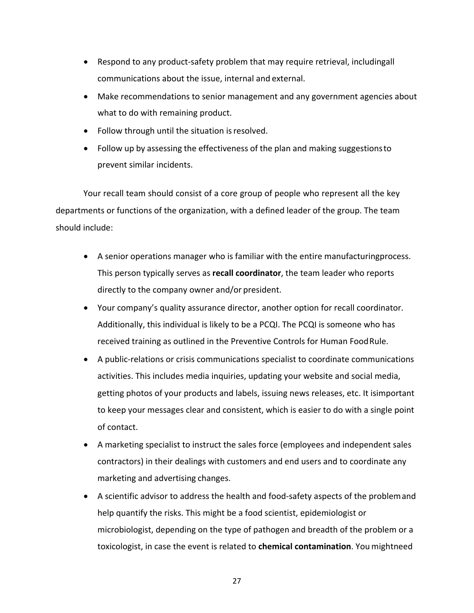- Respond to any product-safety problem that may require retrieval, includingall communications about the issue, internal and external.
- Make recommendations to senior management and any government agencies about what to do with remaining product.
- Follow through until the situation is resolved.
- Follow up by assessing the effectiveness of the plan and making suggestionsto prevent similar incidents.

Your recall team should consist of a core group of people who represent all the key departments or functions of the organization, with a defined leader of the group. The team should include:

- A senior operations manager who is familiar with the entire manufacturingprocess. This person typically serves as **recall coordinator**, the team leader who reports directly to the company owner and/or president.
- Your company's quality assurance director, another option for recall coordinator. Additionally, this individual is likely to be a PCQI. The PCQI is someone who has received training as outlined in the Preventive Controls for Human FoodRule.
- A public-relations or crisis communications specialist to coordinate communications activities. This includes media inquiries, updating your website and social media, getting photos of your products and labels, issuing news releases, etc. It isimportant to keep your messages clear and consistent, which is easier to do with a single point of contact.
- A marketing specialist to instruct the sales force (employees and independent sales contractors) in their dealings with customers and end users and to coordinate any marketing and advertising changes.
- A scientific advisor to address the health and food-safety aspects of the problemand help quantify the risks. This might be a food scientist, epidemiologist or microbiologist, depending on the type of pathogen and breadth of the problem or a toxicologist, in case the event is related to **chemical contamination**. You mightneed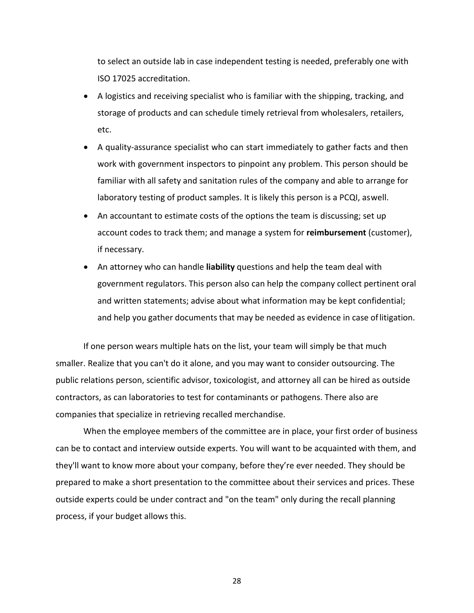to select an outside lab in case independent testing is needed, preferably one with ISO 17025 accreditation.

- A logistics and receiving specialist who is familiar with the shipping, tracking, and storage of products and can schedule timely retrieval from wholesalers, retailers, etc.
- A quality-assurance specialist who can start immediately to gather facts and then work with government inspectors to pinpoint any problem. This person should be familiar with all safety and sanitation rules of the company and able to arrange for laboratory testing of product samples. It is likely this person is a PCQI, aswell.
- An accountant to estimate costs of the options the team is discussing; set up account codes to track them; and manage a system for **reimbursement** (customer), if necessary.
- An attorney who can handle **liability** questions and help the team deal with government regulators. This person also can help the company collect pertinent oral and written statements; advise about what information may be kept confidential; and help you gather documents that may be needed as evidence in case oflitigation.

If one person wears multiple hats on the list, your team will simply be that much smaller. Realize that you can't do it alone, and you may want to consider outsourcing. The public relations person, scientific advisor, toxicologist, and attorney all can be hired as outside contractors, as can laboratories to test for contaminants or pathogens. There also are companies that specialize in retrieving recalled merchandise.

When the employee members of the committee are in place, your first order of business can be to contact and interview outside experts. You will want to be acquainted with them, and they'll want to know more about your company, before they're ever needed. They should be prepared to make a short presentation to the committee about their services and prices. These outside experts could be under contract and "on the team" only during the recall planning process, if your budget allows this.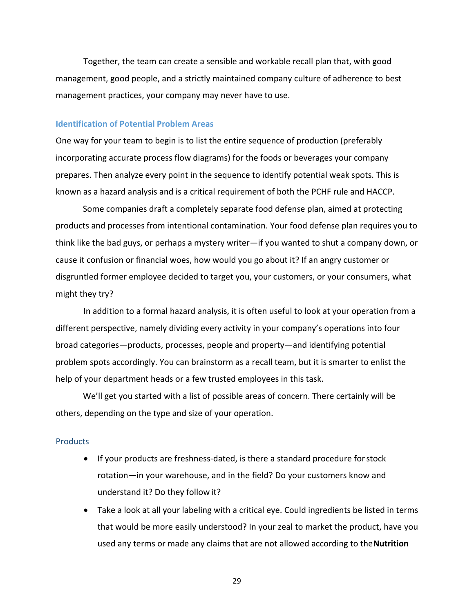Together, the team can create a sensible and workable recall plan that, with good management, good people, and a strictly maintained company culture of adherence to best management practices, your company may never have to use.

## **Identification of Potential Problem Areas**

One way for your team to begin is to list the entire sequence of production (preferably incorporating accurate process flow diagrams) for the foods or beverages your company prepares. Then analyze every point in the sequence to identify potential weak spots. This is known as a hazard analysis and is a critical requirement of both the PCHF rule and HACCP.

Some companies draft a completely separate food defense plan, aimed at protecting products and processes from intentional contamination. Your food defense plan requires you to think like the bad guys, or perhaps a mystery writer—if you wanted to shut a company down, or cause it confusion or financial woes, how would you go about it? If an angry customer or disgruntled former employee decided to target you, your customers, or your consumers, what might they try?

In addition to a formal hazard analysis, it is often useful to look at your operation from a different perspective, namely dividing every activity in your company's operations into four broad categories—products, processes, people and property—and identifying potential problem spots accordingly. You can brainstorm as a recall team, but it is smarter to enlist the help of your department heads or a few trusted employees in this task.

We'll get you started with a list of possible areas of concern. There certainly will be others, depending on the type and size of your operation.

#### **Products**

- If your products are freshness-dated, is there a standard procedure for stock rotation—in your warehouse, and in the field? Do your customers know and understand it? Do they follow it?
- Take a look at all your labeling with a critical eye. Could ingredients be listed in terms that would be more easily understood? In your zeal to market the product, have you used any terms or made any claims that are not allowed according to the**Nutrition**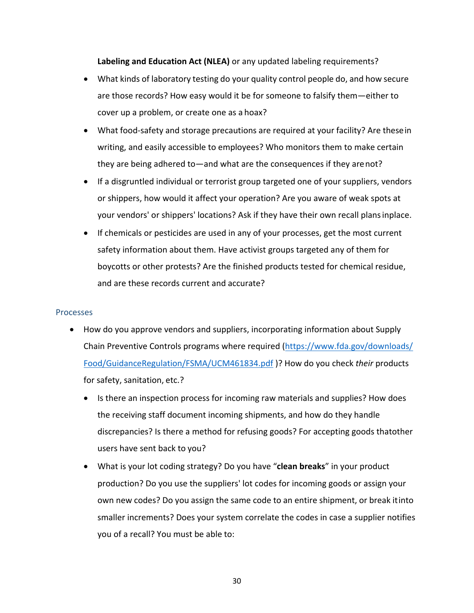**Labeling and Education Act (NLEA)** or any updated labeling requirements?

- What kinds of laboratory testing do your quality control people do, and how secure are those records? How easy would it be for someone to falsify them—either to cover up a problem, or create one as a hoax?
- What food-safety and storage precautions are required at your facility? Are these in writing, and easily accessible to employees? Who monitors them to make certain they are being adhered to—and what are the consequences if they arenot?
- If a disgruntled individual or terrorist group targeted one of your suppliers, vendors or shippers, how would it affect your operation? Are you aware of weak spots at your vendors' or shippers' locations? Ask if they have their own recall plansinplace.
- If chemicals or pesticides are used in any of your processes, get the most current safety information about them. Have activist groups targeted any of them for boycotts or other protests? Are the finished products tested for chemical residue, and are these records current and accurate?

# Processes

- How do you approve vendors and suppliers, incorporating information about Supply Chain Preventive Controls programs where required (https://www.fda.gov/downloads/ Food/GuidanceRegulation/FSMA/UCM461834.pdf )? How do you check *their* products for safety, sanitation, etc.?
	- Is there an inspection process for incoming raw materials and supplies? How does the receiving staff document incoming shipments, and how do they handle discrepancies? Is there a method for refusing goods? For accepting goods thatother users have sent back to you?
	- What is your lot coding strategy? Do you have "**clean breaks**" in your product production? Do you use the suppliers' lot codes for incoming goods or assign your own new codes? Do you assign the same code to an entire shipment, or break itinto smaller increments? Does your system correlate the codes in case a supplier notifies you of a recall? You must be able to: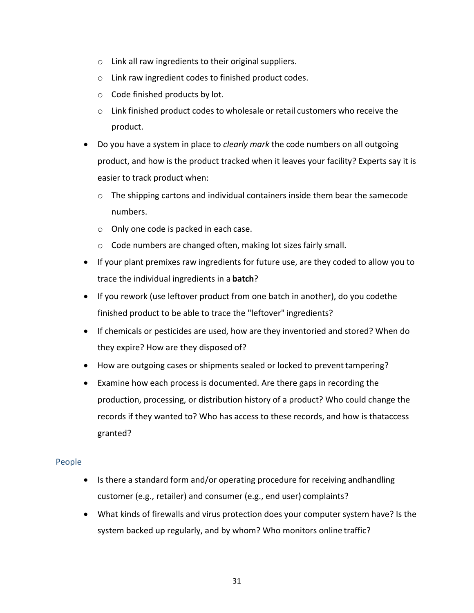- $\circ$  Link all raw ingredients to their original suppliers.
- o Link raw ingredient codes to finished product codes.
- o Code finished products by lot.
- o Link finished product codes to wholesale or retail customers who receive the product.
- Do you have a system in place to *clearly mark* the code numbers on all outgoing product, and how is the product tracked when it leaves your facility? Experts say it is easier to track product when:
	- $\circ$  The shipping cartons and individual containers inside them bear the samecode numbers.
	- o Only one code is packed in each case.
	- o Code numbers are changed often, making lot sizes fairly small.
- If your plant premixes raw ingredients for future use, are they coded to allow you to trace the individual ingredients in a **batch**?
- If you rework (use leftover product from one batch in another), do you codethe finished product to be able to trace the "leftover" ingredients?
- If chemicals or pesticides are used, how are they inventoried and stored? When do they expire? How are they disposed of?
- How are outgoing cases or shipments sealed or locked to prevent tampering?
- Examine how each process is documented. Are there gaps in recording the production, processing, or distribution history of a product? Who could change the records if they wanted to? Who has access to these records, and how is thataccess granted?

# People

- Is there a standard form and/or operating procedure for receiving andhandling customer (e.g., retailer) and consumer (e.g., end user) complaints?
- What kinds of firewalls and virus protection does your computer system have? Is the system backed up regularly, and by whom? Who monitors online traffic?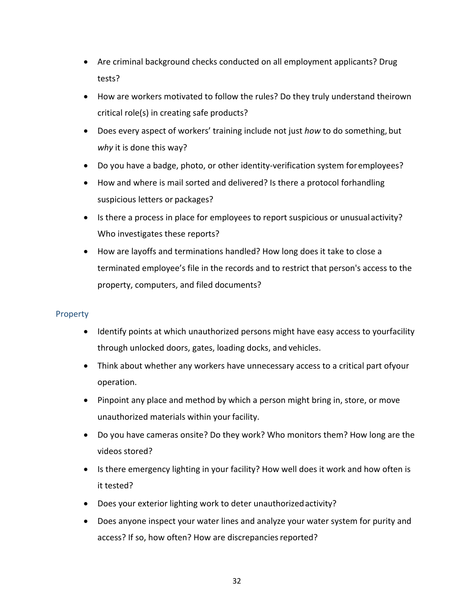- Are criminal background checks conducted on all employment applicants? Drug tests?
- How are workers motivated to follow the rules? Do they truly understand theirown critical role(s) in creating safe products?
- Does every aspect of workers' training include not just *how* to do something, but *why* it is done this way?
- Do you have a badge, photo, or other identity-verification system for employees?
- How and where is mail sorted and delivered? Is there a protocol forhandling suspicious letters or packages?
- Is there a process in place for employees to report suspicious or unusual activity? Who investigates these reports?
- How are layoffs and terminations handled? How long does it take to close a terminated employee's file in the records and to restrict that person's access to the property, computers, and filed documents?

# **Property**

- Identify points at which unauthorized persons might have easy access to yourfacility through unlocked doors, gates, loading docks, and vehicles.
- Think about whether any workers have unnecessary access to a critical part ofyour operation.
- Pinpoint any place and method by which a person might bring in, store, or move unauthorized materials within your facility.
- Do you have cameras onsite? Do they work? Who monitors them? How long are the videos stored?
- Is there emergency lighting in your facility? How well does it work and how often is it tested?
- Does your exterior lighting work to deter unauthorizedactivity?
- Does anyone inspect your water lines and analyze your water system for purity and access? If so, how often? How are discrepancies reported?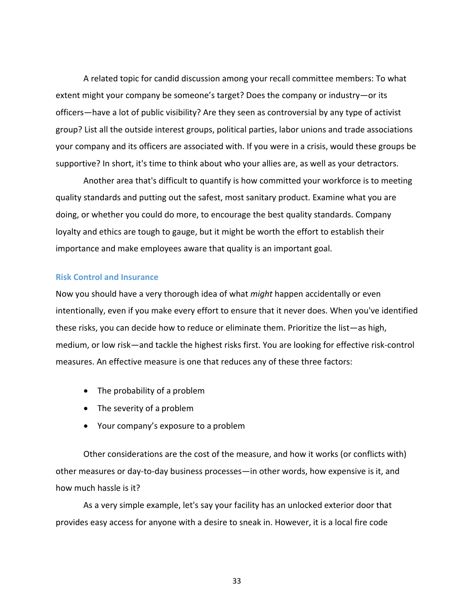A related topic for candid discussion among your recall committee members: To what extent might your company be someone's target? Does the company or industry—or its officers—have a lot of public visibility? Are they seen as controversial by any type of activist group? List all the outside interest groups, political parties, labor unions and trade associations your company and its officers are associated with. If you were in a crisis, would these groups be supportive? In short, it's time to think about who your allies are, as well as your detractors.

Another area that's difficult to quantify is how committed your workforce is to meeting quality standards and putting out the safest, most sanitary product. Examine what you are doing, or whether you could do more, to encourage the best quality standards. Company loyalty and ethics are tough to gauge, but it might be worth the effort to establish their importance and make employees aware that quality is an important goal.

### **Risk Control and Insurance**

Now you should have a very thorough idea of what *might* happen accidentally or even intentionally, even if you make every effort to ensure that it never does. When you've identified these risks, you can decide how to reduce or eliminate them. Prioritize the list—as high, medium, or low risk—and tackle the highest risks first. You are looking for effective risk‐control measures. An effective measure is one that reduces any of these three factors:

- The probability of a problem
- The severity of a problem
- Your company's exposure to a problem

Other considerations are the cost of the measure, and how it works (or conflicts with) other measures or day‐to‐day business processes—in other words, how expensive is it, and how much hassle is it?

As a very simple example, let's say your facility has an unlocked exterior door that provides easy access for anyone with a desire to sneak in. However, it is a local fire code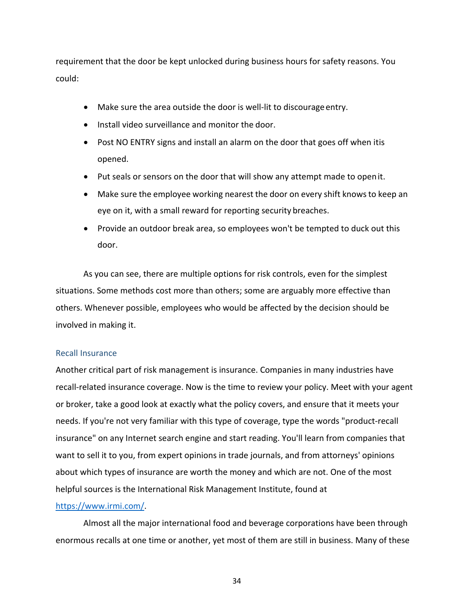requirement that the door be kept unlocked during business hours for safety reasons. You could:

- Make sure the area outside the door is well-lit to discourage entry.
- Install video surveillance and monitor the door.
- Post NO ENTRY signs and install an alarm on the door that goes off when itis opened.
- Put seals or sensors on the door that will show any attempt made to openit.
- Make sure the employee working nearest the door on every shift knowsto keep an eye on it, with a small reward for reporting security breaches.
- Provide an outdoor break area, so employees won't be tempted to duck out this door.

As you can see, there are multiple options for risk controls, even for the simplest situations. Some methods cost more than others; some are arguably more effective than others. Whenever possible, employees who would be affected by the decision should be involved in making it.

## Recall Insurance

Another critical part of risk management is insurance. Companies in many industries have recall-related insurance coverage. Now is the time to review your policy. Meet with your agent or broker, take a good look at exactly what the policy covers, and ensure that it meets your needs. If you're not very familiar with this type of coverage, type the words "product-recall insurance" on any Internet search engine and start reading. You'll learn from companies that want to sell it to you, from expert opinions in trade journals, and from attorneys' opinions about which types of insurance are worth the money and which are not. One of the most helpful sources is the International Risk Management Institute, found at

# https://www.irmi.com/.

Almost all the major international food and beverage corporations have been through enormous recalls at one time or another, yet most of them are still in business. Many of these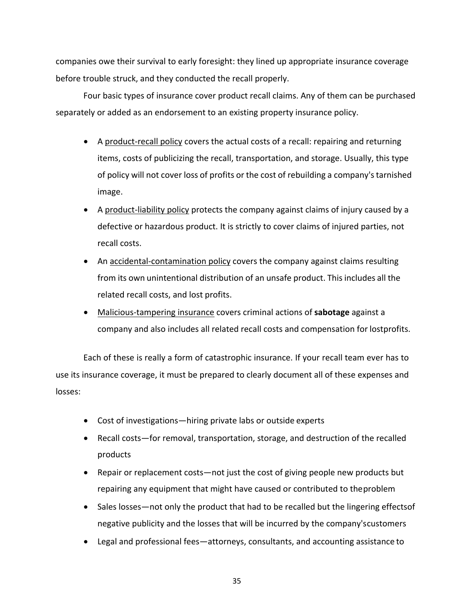companies owe their survival to early foresight: they lined up appropriate insurance coverage before trouble struck, and they conducted the recall properly.

Four basic types of insurance cover product recall claims. Any of them can be purchased separately or added as an endorsement to an existing property insurance policy.

- A product-recall policy covers the actual costs of a recall: repairing and returning items, costs of publicizing the recall, transportation, and storage. Usually, this type of policy will not cover loss of profits or the cost of rebuilding a company'starnished image.
- A product‐liability policy protects the company against claims of injury caused by a defective or hazardous product. It is strictly to cover claims of injured parties, not recall costs.
- An accidental-contamination policy covers the company against claims resulting from its own unintentional distribution of an unsafe product. This includes all the related recall costs, and lost profits.
- Malicious‐tampering insurance covers criminal actions of **sabotage** against a company and also includes all related recall costs and compensation for lostprofits.

Each of these is really a form of catastrophic insurance. If your recall team ever has to use its insurance coverage, it must be prepared to clearly document all of these expenses and losses:

- Cost of investigations—hiring private labs or outside experts
- Recall costs—for removal, transportation, storage, and destruction of the recalled products
- Repair or replacement costs—not just the cost of giving people new products but repairing any equipment that might have caused or contributed to theproblem
- Sales losses—not only the product that had to be recalled but the lingering effectsof negative publicity and the losses that will be incurred by the company'scustomers
- Legal and professional fees—attorneys, consultants, and accounting assistance to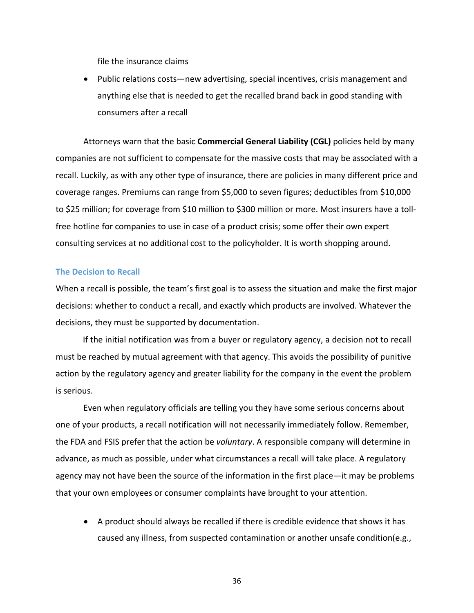file the insurance claims

 Public relations costs—new advertising, special incentives, crisis management and anything else that is needed to get the recalled brand back in good standing with consumers after a recall

Attorneys warn that the basic **Commercial General Liability (CGL)** policies held by many companies are not sufficient to compensate for the massive costs that may be associated with a recall. Luckily, as with any other type of insurance, there are policies in many different price and coverage ranges. Premiums can range from \$5,000 to seven figures; deductibles from \$10,000 to \$25 million; for coverage from \$10 million to \$300 million or more. Most insurers have a tollfree hotline for companies to use in case of a product crisis; some offer their own expert consulting services at no additional cost to the policyholder. It is worth shopping around.

### **The Decision to Recall**

When a recall is possible, the team's first goal is to assess the situation and make the first major decisions: whether to conduct a recall, and exactly which products are involved. Whatever the decisions, they must be supported by documentation.

If the initial notification was from a buyer or regulatory agency, a decision not to recall must be reached by mutual agreement with that agency. This avoids the possibility of punitive action by the regulatory agency and greater liability for the company in the event the problem is serious.

Even when regulatory officials are telling you they have some serious concerns about one of your products, a recall notification will not necessarily immediately follow. Remember, the FDA and FSIS prefer that the action be *voluntary*. A responsible company will determine in advance, as much as possible, under what circumstances a recall will take place. A regulatory agency may not have been the source of the information in the first place—it may be problems that your own employees or consumer complaints have brought to your attention.

 A product should always be recalled if there is credible evidence that shows it has caused any illness, from suspected contamination or another unsafe condition(e.g.,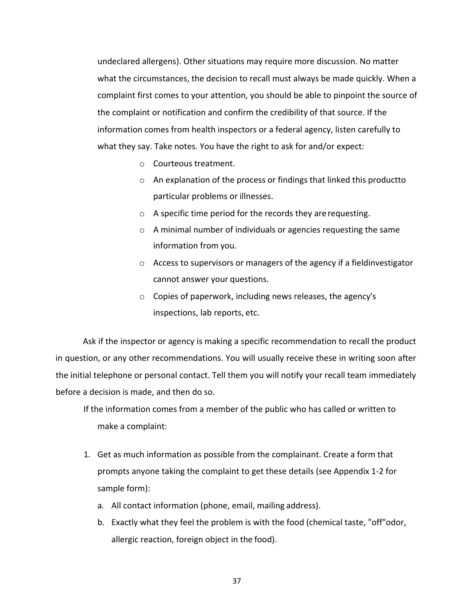undeclared allergens). Other situations may require more discussion. No matter what the circumstances, the decision to recall must always be made quickly. When a complaint first comes to your attention, you should be able to pinpoint the source of the complaint or notification and confirm the credibility of that source. If the information comes from health inspectors or a federal agency, listen carefully to what they say. Take notes. You have the right to ask for and/or expect:

- o Courteous treatment.
- o An explanation of the process or findings that linked this productto particular problems or illnesses.
- o A specific time period for the records they arerequesting.
- o A minimal number of individuals or agencies requesting the same information from you.
- $\circ$  Access to supervisors or managers of the agency if a fieldinvestigator cannot answer your questions.
- o Copies of paperwork, including news releases, the agency's inspections, lab reports, etc.

Ask if the inspector or agency is making a specific recommendation to recall the product in question, or any other recommendations. You will usually receive these in writing soon after the initial telephone or personal contact. Tell them you will notify your recall team immediately before a decision is made, and then do so.

- If the information comes from a member of the public who has called or written to make a complaint:
- 1. Get as much information as possible from the complainant. Create a form that prompts anyone taking the complaint to get these details (see Appendix 1‐2 for sample form):
	- a. All contact information (phone, email, mailing address).
	- b. Exactly what they feel the problem is with the food (chemical taste, "off"odor, allergic reaction, foreign object in the food).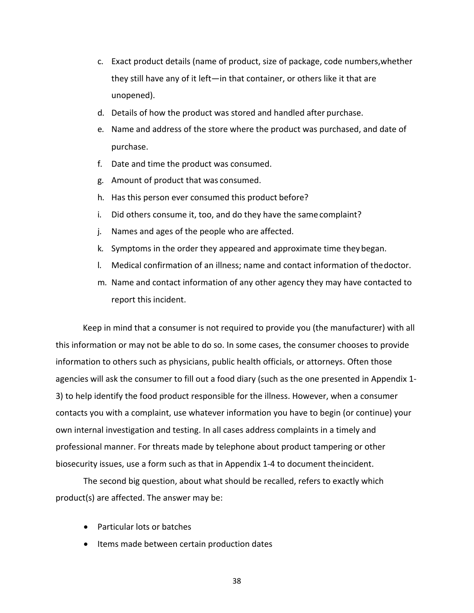- c. Exact product details (name of product, size of package, code numbers,whether they still have any of it left—in that container, or others like it that are unopened).
- d. Details of how the product was stored and handled after purchase.
- e. Name and address of the store where the product was purchased, and date of purchase.
- f. Date and time the product was consumed.
- g. Amount of product that was consumed.
- h. Has this person ever consumed this product before?
- i. Did others consume it, too, and do they have the same complaint?
- j. Names and ages of the people who are affected.
- k. Symptoms in the order they appeared and approximate time they began.
- l. Medical confirmation of an illness; name and contact information of thedoctor.
- m. Name and contact information of any other agency they may have contacted to report this incident.

Keep in mind that a consumer is not required to provide you (the manufacturer) with all this information or may not be able to do so. In some cases, the consumer chooses to provide information to others such as physicians, public health officials, or attorneys. Often those agencies will ask the consumer to fill out a food diary (such as the one presented in Appendix 1‐ 3) to help identify the food product responsible for the illness. However, when a consumer contacts you with a complaint, use whatever information you have to begin (or continue) your own internal investigation and testing. In all cases address complaints in a timely and professional manner. For threats made by telephone about product tampering or other biosecurity issues, use a form such as that in Appendix 1‐4 to document theincident.

The second big question, about what should be recalled, refers to exactly which product(s) are affected. The answer may be:

- Particular lots or batches
- Items made between certain production dates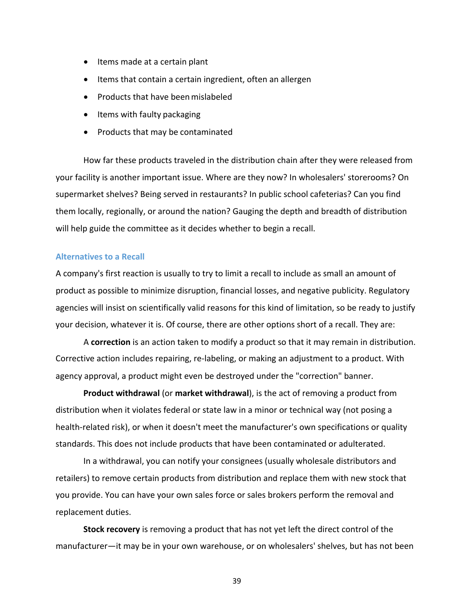- Items made at a certain plant
- Items that contain a certain ingredient, often an allergen
- Products that have been mislabeled
- Items with faulty packaging
- Products that may be contaminated

How far these products traveled in the distribution chain after they were released from your facility is another important issue. Where are they now? In wholesalers' storerooms? On supermarket shelves? Being served in restaurants? In public school cafeterias? Can you find them locally, regionally, or around the nation? Gauging the depth and breadth of distribution will help guide the committee as it decides whether to begin a recall.

### **Alternatives to a Recall**

A company's first reaction is usually to try to limit a recall to include as small an amount of product as possible to minimize disruption, financial losses, and negative publicity. Regulatory agencies will insist on scientifically valid reasons for this kind of limitation, so be ready to justify your decision, whatever it is. Of course, there are other options short of a recall. They are:

A **correction** is an action taken to modify a product so that it may remain in distribution. Corrective action includes repairing, re‐labeling, or making an adjustment to a product. With agency approval, a product might even be destroyed under the "correction" banner.

**Product withdrawal** (or **market withdrawal**), is the act of removing a product from distribution when it violates federal or state law in a minor or technical way (not posing a health-related risk), or when it doesn't meet the manufacturer's own specifications or quality standards. This does not include products that have been contaminated or adulterated.

In a withdrawal, you can notify your consignees (usually wholesale distributors and retailers) to remove certain products from distribution and replace them with new stock that you provide. You can have your own sales force or sales brokers perform the removal and replacement duties.

**Stock recovery** is removing a product that has not yet left the direct control of the manufacturer—it may be in your own warehouse, or on wholesalers' shelves, but has not been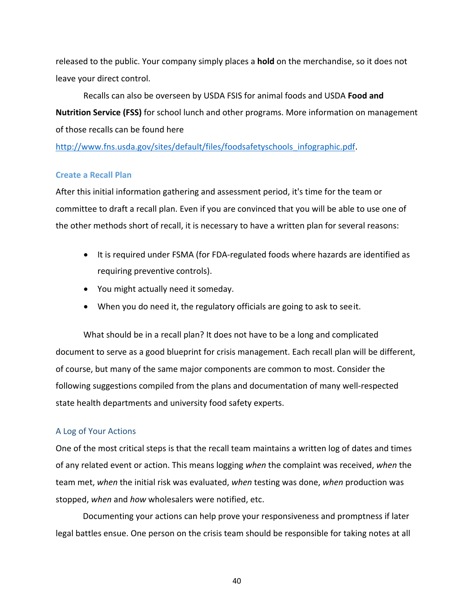released to the public. Your company simply places a **hold** on the merchandise, so it does not leave your direct control.

Recalls can also be overseen by USDA FSIS for animal foods and USDA **Food and Nutrition Service (FSS)** for school lunch and other programs. More information on management of those recalls can be found here

http://www.fns.usda.gov/sites/default/files/foodsafetyschools\_infographic.pdf.

# **Create a Recall Plan**

After this initial information gathering and assessment period, it's time for the team or committee to draft a recall plan. Even if you are convinced that you will be able to use one of the other methods short of recall, it is necessary to have a written plan for several reasons:

- It is required under FSMA (for FDA‐regulated foods where hazards are identified as requiring preventive controls).
- You might actually need it someday.
- When you do need it, the regulatory officials are going to ask to seeit.

What should be in a recall plan? It does not have to be a long and complicated document to serve as a good blueprint for crisis management. Each recall plan will be different, of course, but many of the same major components are common to most. Consider the following suggestions compiled from the plans and documentation of many well‐respected state health departments and university food safety experts.

# A Log of Your Actions

One of the most critical steps is that the recall team maintains a written log of dates and times of any related event or action. This means logging *when* the complaint was received, *when* the team met, *when* the initial risk was evaluated, *when* testing was done, *when* production was stopped, *when* and *how* wholesalers were notified, etc.

Documenting your actions can help prove your responsiveness and promptness if later legal battles ensue. One person on the crisis team should be responsible for taking notes at all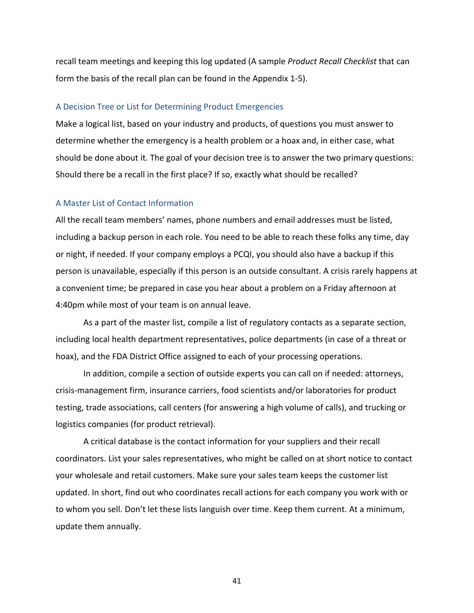recall team meetings and keeping this log updated (A sample *Product Recall Checklist* that can form the basis of the recall plan can be found in the Appendix 1‐5).

### A Decision Tree or List for Determining Product Emergencies

Make a logical list, based on your industry and products, of questions you must answer to determine whether the emergency is a health problem or a hoax and, in either case, what should be done about it. The goal of your decision tree is to answer the two primary questions: Should there be a recall in the first place? If so, exactly what should be recalled?

### A Master List of Contact Information

All the recall team members' names, phone numbers and email addresses must be listed, including a backup person in each role. You need to be able to reach these folks any time, day or night, if needed. If your company employs a PCQI, you should also have a backup if this person is unavailable, especially if this person is an outside consultant. A crisis rarely happens at a convenient time; be prepared in case you hear about a problem on a Friday afternoon at 4:40pm while most of your team is on annual leave.

As a part of the master list, compile a list of regulatory contacts as a separate section, including local health department representatives, police departments (in case of a threat or hoax), and the FDA District Office assigned to each of your processing operations.

In addition, compile a section of outside experts you can call on if needed: attorneys, crisis‐management firm, insurance carriers, food scientists and/or laboratories for product testing, trade associations, call centers (for answering a high volume of calls), and trucking or logistics companies (for product retrieval).

A critical database is the contact information for your suppliers and their recall coordinators. List your sales representatives, who might be called on at short notice to contact your wholesale and retail customers. Make sure your sales team keeps the customer list updated. In short, find out who coordinates recall actions for each company you work with or to whom you sell. Don't let these lists languish over time. Keep them current. At a minimum, update them annually.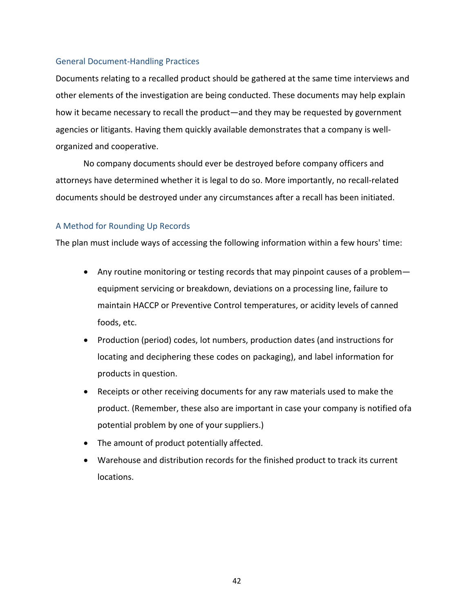## General Document‐Handling Practices

Documents relating to a recalled product should be gathered at the same time interviews and other elements of the investigation are being conducted. These documents may help explain how it became necessary to recall the product—and they may be requested by government agencies or litigants. Having them quickly available demonstrates that a company is well‐ organized and cooperative.

No company documents should ever be destroyed before company officers and attorneys have determined whether it is legal to do so. More importantly, no recall‐related documents should be destroyed under any circumstances after a recall has been initiated.

# A Method for Rounding Up Records

The plan must include ways of accessing the following information within a few hours' time:

- Any routine monitoring or testing records that may pinpoint causes of a problem equipment servicing or breakdown, deviations on a processing line, failure to maintain HACCP or Preventive Control temperatures, or acidity levels of canned foods, etc.
- Production (period) codes, lot numbers, production dates (and instructions for locating and deciphering these codes on packaging), and label information for products in question.
- Receipts or other receiving documents for any raw materials used to make the product. (Remember, these also are important in case your company is notified ofa potential problem by one of your suppliers.)
- The amount of product potentially affected.
- Warehouse and distribution records for the finished product to track its current locations.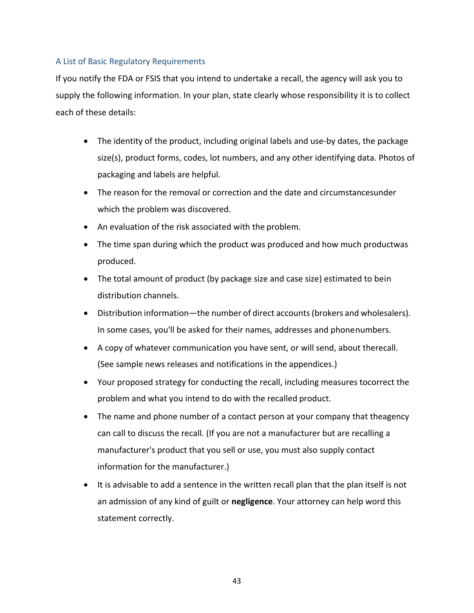# A List of Basic Regulatory Requirements

If you notify the FDA or FSIS that you intend to undertake a recall, the agency will ask you to supply the following information. In your plan, state clearly whose responsibility it is to collect each of these details:

- The identity of the product, including original labels and use-by dates, the package size(s), product forms, codes, lot numbers, and any other identifying data. Photos of packaging and labels are helpful.
- The reason for the removal or correction and the date and circumstancesunder which the problem was discovered.
- An evaluation of the risk associated with the problem.
- The time span during which the product was produced and how much productwas produced.
- The total amount of product (by package size and case size) estimated to bein distribution channels.
- Distribution information—the number of direct accounts(brokers and wholesalers). In some cases, you'll be asked for their names, addresses and phonenumbers.
- A copy of whatever communication you have sent, or will send, about therecall. (See sample news releases and notifications in the appendices.)
- Your proposed strategy for conducting the recall, including measures tocorrect the problem and what you intend to do with the recalled product.
- The name and phone number of a contact person at your company that theagency can call to discuss the recall. (If you are not a manufacturer but are recalling a manufacturer's product that you sell or use, you must also supply contact information for the manufacturer.)
- It is advisable to add a sentence in the written recall plan that the plan itself is not an admission of any kind of guilt or **negligence**. Your attorney can help word this statement correctly.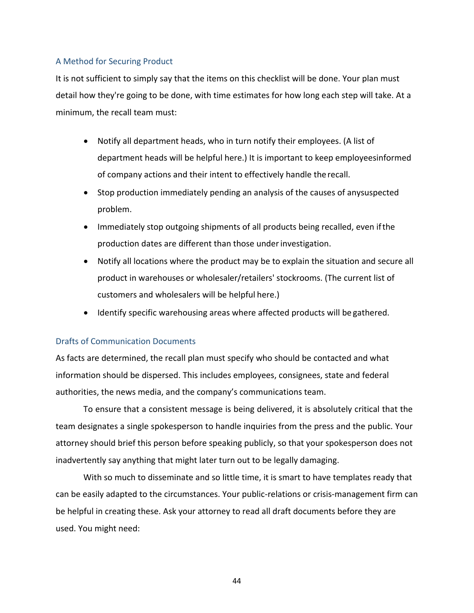## A Method for Securing Product

It is not sufficient to simply say that the items on this checklist will be done. Your plan must detail how they're going to be done, with time estimates for how long each step will take. At a minimum, the recall team must:

- Notify all department heads, who in turn notify their employees. (A list of department heads will be helpful here.) It is important to keep employeesinformed of company actions and their intent to effectively handle therecall.
- Stop production immediately pending an analysis of the causes of anysuspected problem.
- Immediately stop outgoing shipments of all products being recalled, even if the production dates are different than those underinvestigation.
- Notify all locations where the product may be to explain the situation and secure all product in warehouses or wholesaler/retailers' stockrooms. (The current list of customers and wholesalers will be helpful here.)
- Identify specific warehousing areas where affected products will be gathered.

## Drafts of Communication Documents

As facts are determined, the recall plan must specify who should be contacted and what information should be dispersed. This includes employees, consignees, state and federal authorities, the news media, and the company's communications team.

To ensure that a consistent message is being delivered, it is absolutely critical that the team designates a single spokesperson to handle inquiries from the press and the public. Your attorney should brief this person before speaking publicly, so that your spokesperson does not inadvertently say anything that might later turn out to be legally damaging.

With so much to disseminate and so little time, it is smart to have templates ready that can be easily adapted to the circumstances. Your public‐relations or crisis‐management firm can be helpful in creating these. Ask your attorney to read all draft documents before they are used. You might need: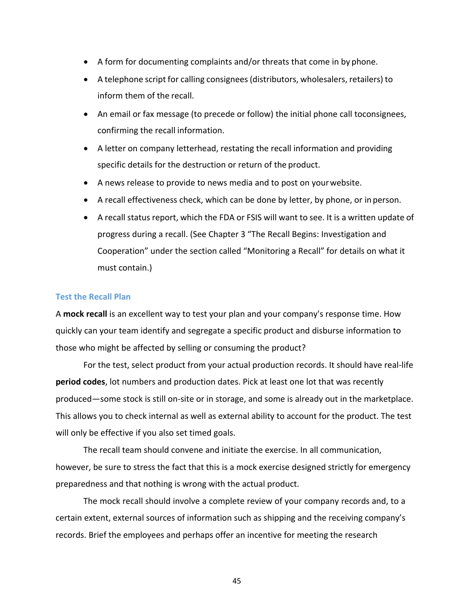- A form for documenting complaints and/or threats that come in by phone.
- A telephone script for calling consignees(distributors, wholesalers, retailers) to inform them of the recall.
- An email or fax message (to precede or follow) the initial phone call toconsignees, confirming the recall information.
- A letter on company letterhead, restating the recall information and providing specific details for the destruction or return of the product.
- A news release to provide to news media and to post on yourwebsite.
- A recall effectiveness check, which can be done by letter, by phone, or in person.
- A recall status report, which the FDA or FSIS will want to see. It is a written update of progress during a recall. (See Chapter 3 "The Recall Begins: Investigation and Cooperation" under the section called "Monitoring a Recall" for details on what it must contain.)

## **Test the Recall Plan**

A **mock recall** is an excellent way to test your plan and your company's response time. How quickly can your team identify and segregate a specific product and disburse information to those who might be affected by selling or consuming the product?

For the test, select product from your actual production records. It should have real‐life **period codes**, lot numbers and production dates. Pick at least one lot that was recently produced—some stock is still on‐site or in storage, and some is already out in the marketplace. This allows you to check internal as well as external ability to account for the product. The test will only be effective if you also set timed goals.

The recall team should convene and initiate the exercise. In all communication, however, be sure to stress the fact that this is a mock exercise designed strictly for emergency preparedness and that nothing is wrong with the actual product.

The mock recall should involve a complete review of your company records and, to a certain extent, external sources of information such as shipping and the receiving company's records. Brief the employees and perhaps offer an incentive for meeting the research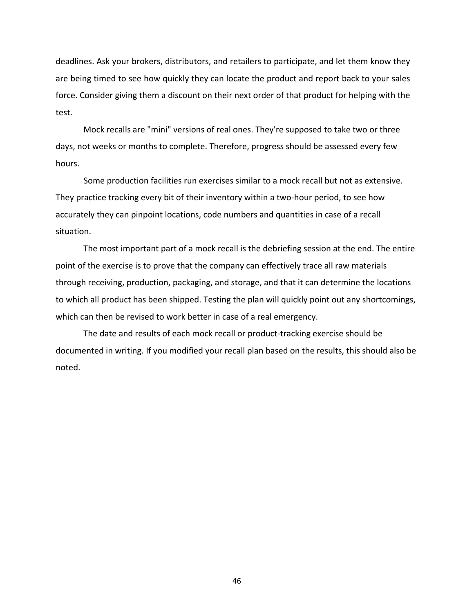deadlines. Ask your brokers, distributors, and retailers to participate, and let them know they are being timed to see how quickly they can locate the product and report back to your sales force. Consider giving them a discount on their next order of that product for helping with the test.

Mock recalls are "mini" versions of real ones. They're supposed to take two or three days, not weeks or months to complete. Therefore, progress should be assessed every few hours.

Some production facilities run exercises similar to a mock recall but not as extensive. They practice tracking every bit of their inventory within a two-hour period, to see how accurately they can pinpoint locations, code numbers and quantities in case of a recall situation.

The most important part of a mock recall is the debriefing session at the end. The entire point of the exercise is to prove that the company can effectively trace all raw materials through receiving, production, packaging, and storage, and that it can determine the locations to which all product has been shipped. Testing the plan will quickly point out any shortcomings, which can then be revised to work better in case of a real emergency.

The date and results of each mock recall or product-tracking exercise should be documented in writing. If you modified your recall plan based on the results, this should also be noted.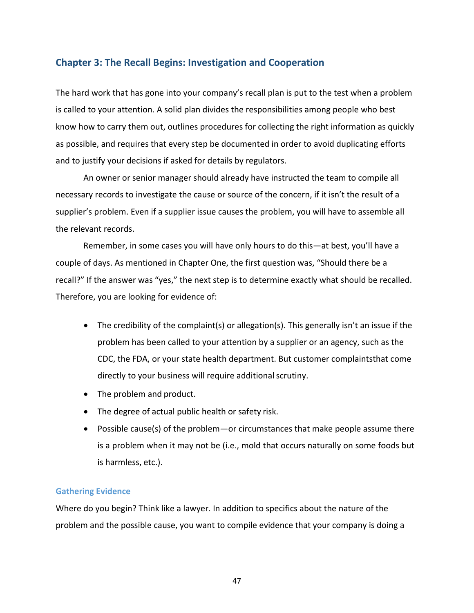# **Chapter 3: The Recall Begins: Investigation and Cooperation**

The hard work that has gone into your company's recall plan is put to the test when a problem is called to your attention. A solid plan divides the responsibilities among people who best know how to carry them out, outlines procedures for collecting the right information as quickly as possible, and requires that every step be documented in order to avoid duplicating efforts and to justify your decisions if asked for details by regulators.

An owner or senior manager should already have instructed the team to compile all necessary records to investigate the cause or source of the concern, if it isn't the result of a supplier's problem. Even if a supplier issue causes the problem, you will have to assemble all the relevant records.

Remember, in some cases you will have only hours to do this—at best, you'll have a couple of days. As mentioned in Chapter One, the first question was, "Should there be a recall?" If the answer was "yes," the next step is to determine exactly what should be recalled. Therefore, you are looking for evidence of:

- The credibility of the complaint(s) or allegation(s). This generally isn't an issue if the problem has been called to your attention by a supplier or an agency, such as the CDC, the FDA, or your state health department. But customer complaintsthat come directly to your business will require additional scrutiny.
- The problem and product.
- The degree of actual public health or safety risk.
- Possible cause(s) of the problem—or circumstances that make people assume there is a problem when it may not be (i.e., mold that occurs naturally on some foods but is harmless, etc.).

### **Gathering Evidence**

Where do you begin? Think like a lawyer. In addition to specifics about the nature of the problem and the possible cause, you want to compile evidence that your company is doing a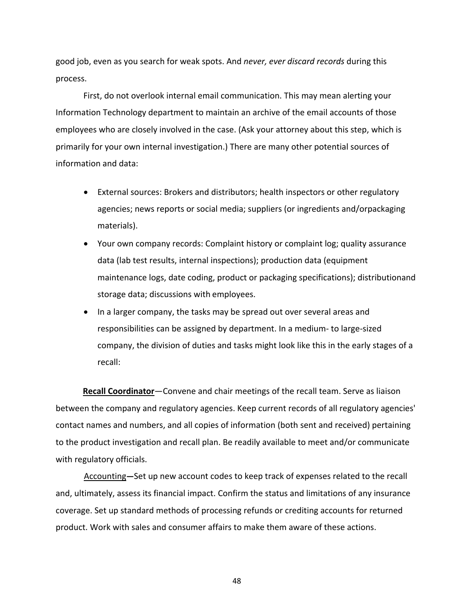good job, even as you search for weak spots. And *never, ever discard records* during this process.

First, do not overlook internal email communication. This may mean alerting your Information Technology department to maintain an archive of the email accounts of those employees who are closely involved in the case. (Ask your attorney about this step, which is primarily for your own internal investigation.) There are many other potential sources of information and data:

- External sources: Brokers and distributors; health inspectors or other regulatory agencies; news reports or social media; suppliers (or ingredients and/orpackaging materials).
- Your own company records: Complaint history or complaint log; quality assurance data (lab test results, internal inspections); production data (equipment maintenance logs, date coding, product or packaging specifications); distributionand storage data; discussions with employees.
- In a larger company, the tasks may be spread out over several areas and responsibilities can be assigned by department. In a medium‐ to large‐sized company, the division of duties and tasks might look like this in the early stages of a recall:

**Recall Coordinator**—Convene and chair meetings of the recall team. Serve as liaison between the company and regulatory agencies. Keep current records of all regulatory agencies' contact names and numbers, and all copies of information (both sent and received) pertaining to the product investigation and recall plan. Be readily available to meet and/or communicate with regulatory officials.

Accounting**—**Set up new account codes to keep track of expenses related to the recall and, ultimately, assess its financial impact. Confirm the status and limitations of any insurance coverage. Set up standard methods of processing refunds or crediting accounts for returned product. Work with sales and consumer affairs to make them aware of these actions.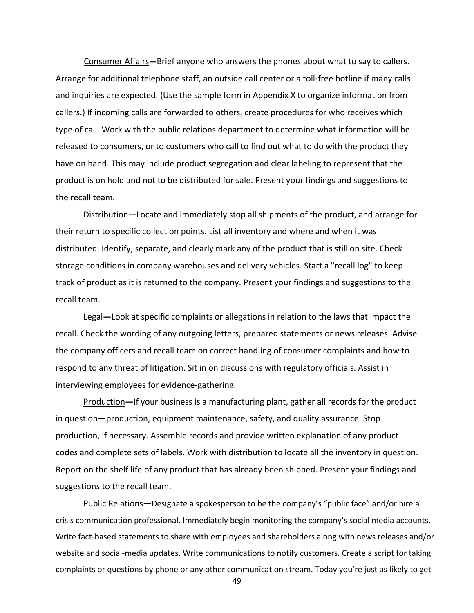Consumer Affairs**—**Brief anyone who answers the phones about what to say to callers. Arrange for additional telephone staff, an outside call center or a toll‐free hotline if many calls and inquiries are expected. (Use the sample form in Appendix X to organize information from callers.) If incoming calls are forwarded to others, create procedures for who receives which type of call. Work with the public relations department to determine what information will be released to consumers, or to customers who call to find out what to do with the product they have on hand. This may include product segregation and clear labeling to represent that the product is on hold and not to be distributed for sale. Present your findings and suggestions to the recall team.

Distribution**—**Locate and immediately stop all shipments of the product, and arrange for their return to specific collection points. List all inventory and where and when it was distributed. Identify, separate, and clearly mark any of the product that is still on site. Check storage conditions in company warehouses and delivery vehicles. Start a "recall log" to keep track of product as it is returned to the company. Present your findings and suggestions to the recall team.

Legal**—**Look at specific complaints or allegations in relation to the laws that impact the recall. Check the wording of any outgoing letters, prepared statements or news releases. Advise the company officers and recall team on correct handling of consumer complaints and how to respond to any threat of litigation. Sit in on discussions with regulatory officials. Assist in interviewing employees for evidence‐gathering.

Production**—**If your business is a manufacturing plant, gather all records for the product in question—production, equipment maintenance, safety, and quality assurance. Stop production, if necessary. Assemble records and provide written explanation of any product codes and complete sets of labels. Work with distribution to locate all the inventory in question. Report on the shelf life of any product that has already been shipped. Present your findings and suggestions to the recall team.

Public Relations**—**Designate a spokesperson to be the company's "public face" and/or hire a crisis communication professional. Immediately begin monitoring the company's social media accounts. Write fact-based statements to share with employees and shareholders along with news releases and/or website and social‐media updates. Write communications to notify customers. Create a script for taking complaints or questions by phone or any other communication stream. Today you're just as likely to get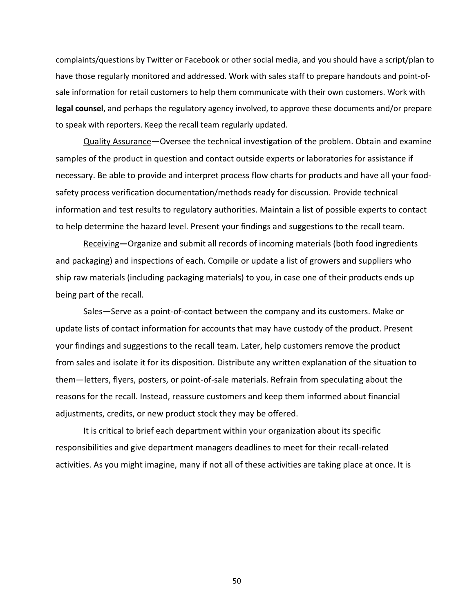complaints/questions by Twitter or Facebook or other social media, and you should have a script/plan to have those regularly monitored and addressed. Work with sales staff to prepare handouts and point-ofsale information for retail customers to help them communicate with their own customers. Work with **legal counsel**, and perhaps the regulatory agency involved, to approve these documents and/or prepare to speak with reporters. Keep the recall team regularly updated.

Quality Assurance**—**Oversee the technical investigation of the problem. Obtain and examine samples of the product in question and contact outside experts or laboratories for assistance if necessary. Be able to provide and interpret process flow charts for products and have all your food‐ safety process verification documentation/methods ready for discussion. Provide technical information and test results to regulatory authorities. Maintain a list of possible experts to contact to help determine the hazard level. Present your findings and suggestions to the recall team.

Receiving**—**Organize and submit all records of incoming materials (both food ingredients and packaging) and inspections of each. Compile or update a list of growers and suppliers who ship raw materials (including packaging materials) to you, in case one of their products ends up being part of the recall.

Sales**—**Serve as a point‐of‐contact between the company and its customers. Make or update lists of contact information for accounts that may have custody of the product. Present your findings and suggestions to the recall team. Later, help customers remove the product from sales and isolate it for its disposition. Distribute any written explanation of the situation to them—letters, flyers, posters, or point‐of‐sale materials. Refrain from speculating about the reasons for the recall. Instead, reassure customers and keep them informed about financial adjustments, credits, or new product stock they may be offered.

It is critical to brief each department within your organization about its specific responsibilities and give department managers deadlines to meet for their recall‐related activities. As you might imagine, many if not all of these activities are taking place at once. It is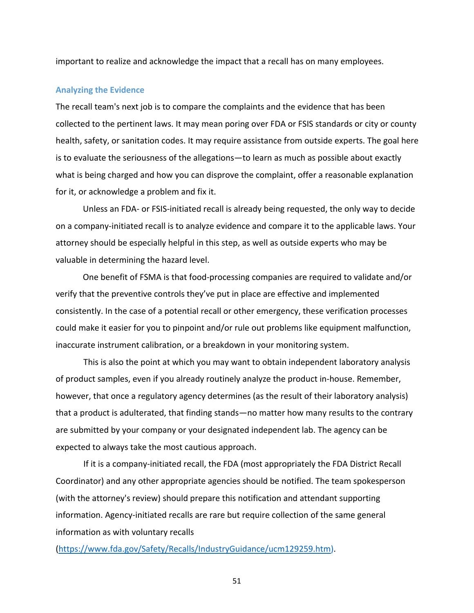important to realize and acknowledge the impact that a recall has on many employees.

### **Analyzing the Evidence**

The recall team's next job is to compare the complaints and the evidence that has been collected to the pertinent laws. It may mean poring over FDA or FSIS standards or city or county health, safety, or sanitation codes. It may require assistance from outside experts. The goal here is to evaluate the seriousness of the allegations—to learn as much as possible about exactly what is being charged and how you can disprove the complaint, offer a reasonable explanation for it, or acknowledge a problem and fix it.

Unless an FDA‐ or FSIS‐initiated recall is already being requested, the only way to decide on a company‐initiated recall is to analyze evidence and compare it to the applicable laws. Your attorney should be especially helpful in this step, as well as outside experts who may be valuable in determining the hazard level.

One benefit of FSMA is that food‐processing companies are required to validate and/or verify that the preventive controls they've put in place are effective and implemented consistently. In the case of a potential recall or other emergency, these verification processes could make it easier for you to pinpoint and/or rule out problems like equipment malfunction, inaccurate instrument calibration, or a breakdown in your monitoring system.

This is also the point at which you may want to obtain independent laboratory analysis of product samples, even if you already routinely analyze the product in‐house. Remember, however, that once a regulatory agency determines (as the result of their laboratory analysis) that a product is adulterated, that finding stands—no matter how many results to the contrary are submitted by your company or your designated independent lab. The agency can be expected to always take the most cautious approach.

If it is a company‐initiated recall, the FDA (most appropriately the FDA District Recall Coordinator) and any other appropriate agencies should be notified. The team spokesperson (with the attorney's review) should prepare this notification and attendant supporting information. Agency-initiated recalls are rare but require collection of the same general information as with voluntary recalls

(https://www.fda.gov/Safety/Recalls/IndustryGuidance/ucm129259.htm).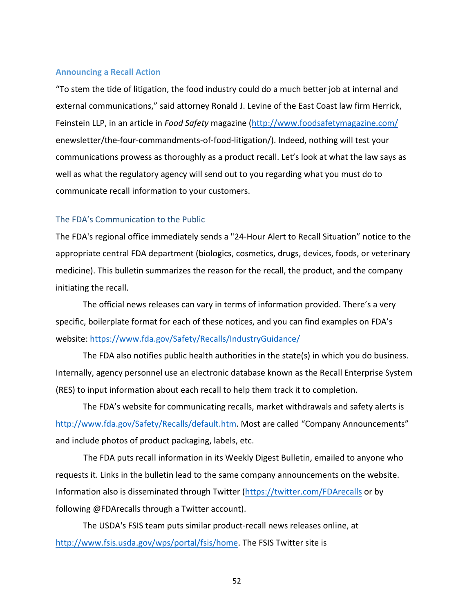### **Announcing a Recall Action**

"To stem the tide of litigation, the food industry could do a much better job at internal and external communications," said attorney Ronald J. Levine of the East Coast law firm Herrick, Feinstein LLP, in an article in *Food Safety* magazine (http://www.foodsafetymagazine.com/ enewsletter/the-four-commandments-of-food-litigation/). Indeed, nothing will test your communications prowess as thoroughly as a product recall. Let's look at what the law says as well as what the regulatory agency will send out to you regarding what you must do to communicate recall information to your customers.

## The FDA's Communication to the Public

The FDA's regional office immediately sends a "24‐Hour Alert to Recall Situation" notice to the appropriate central FDA department (biologics, cosmetics, drugs, devices, foods, or veterinary medicine). This bulletin summarizes the reason for the recall, the product, and the company initiating the recall.

The official news releases can vary in terms of information provided. There's a very specific, boilerplate format for each of these notices, and you can find examples on FDA's website: https://www.fda.gov/Safety/Recalls/IndustryGuidance/

The FDA also notifies public health authorities in the state(s) in which you do business. Internally, agency personnel use an electronic database known as the Recall Enterprise System (RES) to input information about each recall to help them track it to completion.

The FDA's website for communicating recalls, market withdrawals and safety alerts is http://www.fda.gov/Safety/Recalls/default.htm. Most are called "Company Announcements" and include photos of product packaging, labels, etc.

The FDA puts recall information in its Weekly Digest Bulletin, emailed to anyone who requests it. Links in the bulletin lead to the same company announcements on the website. Information also is disseminated through Twitter (https://twitter.com/FDArecalls or by following @FDArecalls through a Twitter account).

The USDA's FSIS team puts similar product‐recall news releases online, at http://www.fsis.usda.gov/wps/portal/fsis/home. The FSIS Twitter site is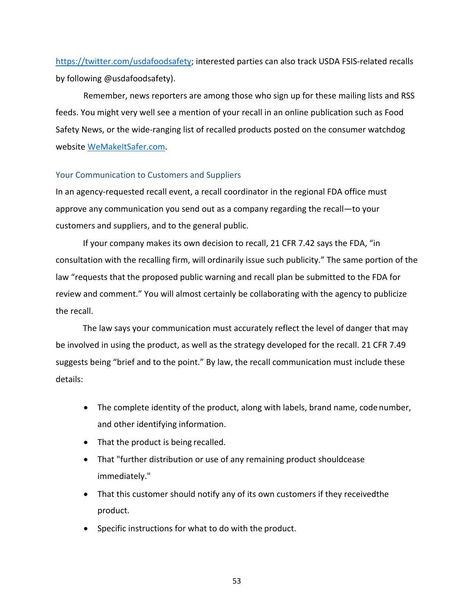https://twitter.com/usdafoodsafety; interested parties can also track USDA FSIS‐related recalls by following @usdafoodsafety).

Remember, news reporters are among those who sign up for these mailing lists and RSS feeds. You might very well see a mention of your recall in an online publication such as Food Safety News, or the wide-ranging list of recalled products posted on the consumer watchdog website WeMakeItSafer.com.

## Your Communication to Customers and Suppliers

In an agency-requested recall event, a recall coordinator in the regional FDA office must approve any communication you send out as a company regarding the recall—to your customers and suppliers, and to the general public.

If your company makes its own decision to recall, 21 CFR 7.42 says the FDA, "in consultation with the recalling firm, will ordinarily issue such publicity." The same portion of the law "requests that the proposed public warning and recall plan be submitted to the FDA for review and comment." You will almost certainly be collaborating with the agency to publicize the recall.

The law says your communication must accurately reflect the level of danger that may be involved in using the product, as well as the strategy developed for the recall. 21 CFR 7.49 suggests being "brief and to the point." By law, the recall communication must include these details:

- The complete identity of the product, along with labels, brand name, code number, and other identifying information.
- That the product is being recalled.
- That "further distribution or use of any remaining product shouldcease immediately."
- That this customer should notify any of its own customers if they receivedthe product.
- Specific instructions for what to do with the product.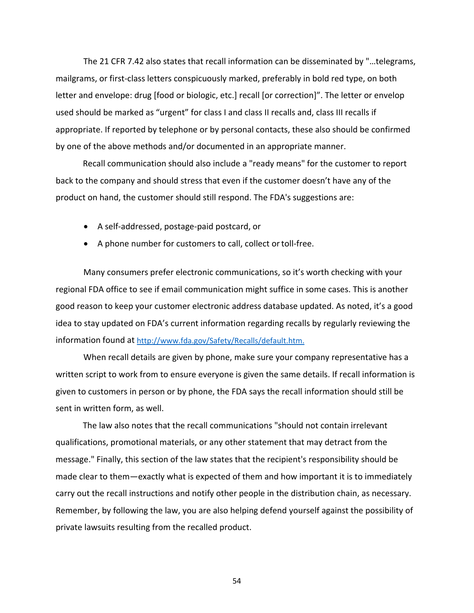The 21 CFR 7.42 also states that recall information can be disseminated by "…telegrams, mailgrams, or first-class letters conspicuously marked, preferably in bold red type, on both letter and envelope: drug [food or biologic, etc.] recall [or correction]". The letter or envelop used should be marked as "urgent" for class I and class II recalls and, class III recalls if appropriate. If reported by telephone or by personal contacts, these also should be confirmed by one of the above methods and/or documented in an appropriate manner.

Recall communication should also include a "ready means" for the customer to report back to the company and should stress that even if the customer doesn't have any of the product on hand, the customer should still respond. The FDA's suggestions are:

- A self-addressed, postage-paid postcard, or
- A phone number for customers to call, collect or toll-free.

Many consumers prefer electronic communications, so it's worth checking with your regional FDA office to see if email communication might suffice in some cases. This is another good reason to keep your customer electronic address database updated. As noted, it's a good idea to stay updated on FDA's current information regarding recalls by regularly reviewing the information found at http://www.fda.gov/Safety/Recalls/default.htm.

When recall details are given by phone, make sure your company representative has a written script to work from to ensure everyone is given the same details. If recall information is given to customers in person or by phone, the FDA says the recall information should still be sent in written form, as well.

The law also notes that the recall communications "should not contain irrelevant qualifications, promotional materials, or any other statement that may detract from the message." Finally, this section of the law states that the recipient's responsibility should be made clear to them—exactly what is expected of them and how important it is to immediately carry out the recall instructions and notify other people in the distribution chain, as necessary. Remember, by following the law, you are also helping defend yourself against the possibility of private lawsuits resulting from the recalled product.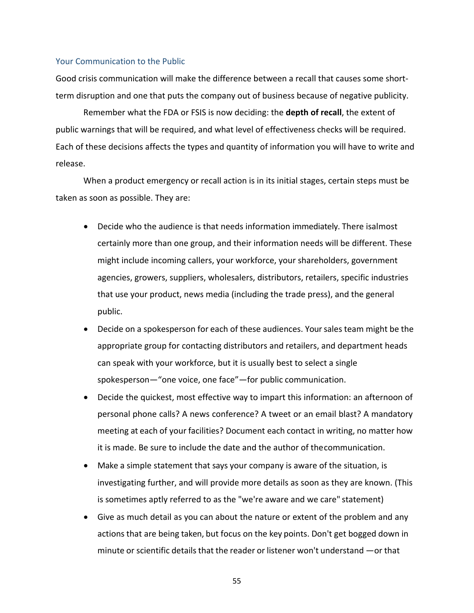#### Your Communication to the Public

Good crisis communication will make the difference between a recall that causes some short‐ term disruption and one that puts the company out of business because of negative publicity.

Remember what the FDA or FSIS is now deciding: the **depth of recall**, the extent of public warnings that will be required, and what level of effectiveness checks will be required. Each of these decisions affects the types and quantity of information you will have to write and release.

When a product emergency or recall action is in its initial stages, certain steps must be taken as soon as possible. They are:

- Decide who the audience is that needs information immediately. There isalmost certainly more than one group, and their information needs will be different. These might include incoming callers, your workforce, your shareholders, government agencies, growers, suppliers, wholesalers, distributors, retailers, specific industries that use your product, news media (including the trade press), and the general public.
- Decide on a spokesperson for each of these audiences. Your sales team might be the appropriate group for contacting distributors and retailers, and department heads can speak with your workforce, but it is usually best to select a single spokesperson—"one voice, one face"—for public communication.
- Decide the quickest, most effective way to impart this information: an afternoon of personal phone calls? A news conference? A tweet or an email blast? A mandatory meeting at each of your facilities? Document each contact in writing, no matter how it is made. Be sure to include the date and the author of thecommunication.
- Make a simple statement that says your company is aware of the situation, is investigating further, and will provide more details as soon as they are known. (This is sometimes aptly referred to as the "we're aware and we care" statement)
- Give as much detail as you can about the nature or extent of the problem and any actions that are being taken, but focus on the key points. Don't get bogged down in minute or scientific details that the reader or listener won't understand  $-$ or that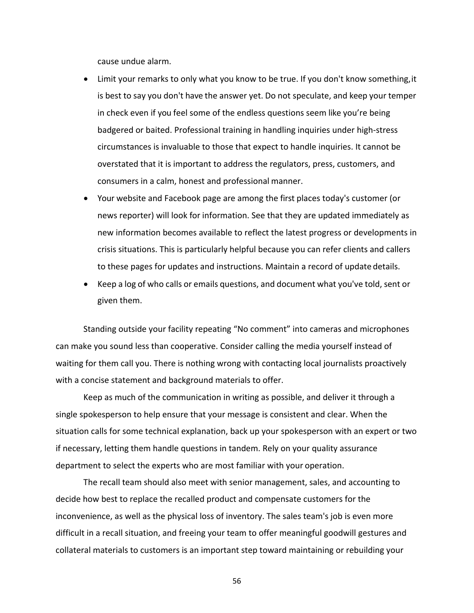cause undue alarm.

- Limit your remarks to only what you know to be true. If you don't know something,it is best to say you don't have the answer yet. Do not speculate, and keep your temper in check even if you feel some of the endless questions seem like you're being badgered or baited. Professional training in handling inquiries under high‐stress circumstances is invaluable to those that expect to handle inquiries. It cannot be overstated that it is important to address the regulators, press, customers, and consumers in a calm, honest and professional manner.
- Your website and Facebook page are among the first places today's customer (or news reporter) will look for information. See that they are updated immediately as new information becomes available to reflect the latest progress or developments in crisis situations. This is particularly helpful because you can refer clients and callers to these pages for updates and instructions. Maintain a record of update details.
- Keep a log of who calls or emails questions, and document what you've told, sent or given them.

Standing outside your facility repeating "No comment" into cameras and microphones can make you sound less than cooperative. Consider calling the media yourself instead of waiting for them call you. There is nothing wrong with contacting local journalists proactively with a concise statement and background materials to offer.

Keep as much of the communication in writing as possible, and deliver it through a single spokesperson to help ensure that your message is consistent and clear. When the situation calls for some technical explanation, back up your spokesperson with an expert or two if necessary, letting them handle questions in tandem. Rely on your quality assurance department to select the experts who are most familiar with your operation.

The recall team should also meet with senior management, sales, and accounting to decide how best to replace the recalled product and compensate customers for the inconvenience, as well as the physical loss of inventory. The sales team's job is even more difficult in a recall situation, and freeing your team to offer meaningful goodwill gestures and collateral materials to customers is an important step toward maintaining or rebuilding your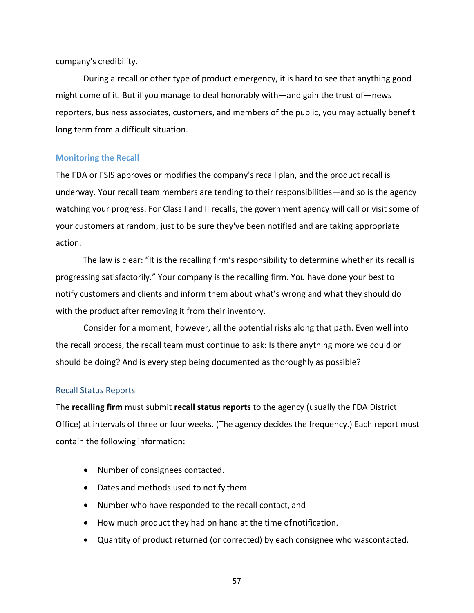company's credibility.

During a recall or other type of product emergency, it is hard to see that anything good might come of it. But if you manage to deal honorably with—and gain the trust of—news reporters, business associates, customers, and members of the public, you may actually benefit long term from a difficult situation.

### **Monitoring the Recall**

The FDA or FSIS approves or modifies the company's recall plan, and the product recall is underway. Your recall team members are tending to their responsibilities—and so is the agency watching your progress. For Class I and II recalls, the government agency will call or visit some of your customers at random, just to be sure they've been notified and are taking appropriate action.

The law is clear: "It is the recalling firm's responsibility to determine whether its recall is progressing satisfactorily." Your company is the recalling firm. You have done your best to notify customers and clients and inform them about what's wrong and what they should do with the product after removing it from their inventory.

Consider for a moment, however, all the potential risks along that path. Even well into the recall process, the recall team must continue to ask: Is there anything more we could or should be doing? And is every step being documented as thoroughly as possible?

#### Recall Status Reports

The **recalling firm** must submit **recall status reports** to the agency (usually the FDA District Office) at intervals of three or four weeks. (The agency decides the frequency.) Each report must contain the following information:

- Number of consignees contacted.
- Dates and methods used to notify them.
- Number who have responded to the recall contact, and
- How much product they had on hand at the time ofnotification.
- Quantity of product returned (or corrected) by each consignee who wascontacted.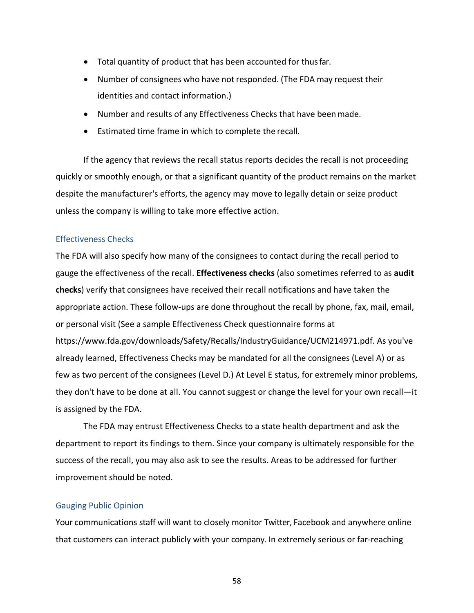- Total quantity of product that has been accounted for thusfar.
- Number of consignees who have not responded. (The FDA may request their identities and contact information.)
- Number and results of any Effectiveness Checks that have beenmade.
- Estimated time frame in which to complete the recall.

If the agency that reviews the recall status reports decides the recall is not proceeding quickly or smoothly enough, or that a significant quantity of the product remains on the market despite the manufacturer's efforts, the agency may move to legally detain or seize product unless the company is willing to take more effective action.

## Effectiveness Checks

The FDA will also specify how many of the consignees to contact during the recall period to gauge the effectiveness of the recall. **Effectiveness checks** (also sometimes referred to as **audit checks**) verify that consignees have received their recall notifications and have taken the appropriate action. These follow‐ups are done throughout the recall by phone, fax, mail, email, or personal visit (See a sample Effectiveness Check questionnaire forms at https://www.fda.gov/downloads/Safety/Recalls/IndustryGuidance/UCM214971.pdf. As you've already learned, Effectiveness Checks may be mandated for all the consignees (Level A) or as few as two percent of the consignees (Level D.) At Level E status, for extremely minor problems, they don't have to be done at all. You cannot suggest or change the level for your own recall—it is assigned by the FDA.

The FDA may entrust Effectiveness Checks to a state health department and ask the department to report its findings to them. Since your company is ultimately responsible for the success of the recall, you may also ask to see the results. Areas to be addressed for further improvement should be noted.

### Gauging Public Opinion

Your communications staff will want to closely monitor Twitter, Facebook and anywhere online that customers can interact publicly with your company. In extremely serious or far‐reaching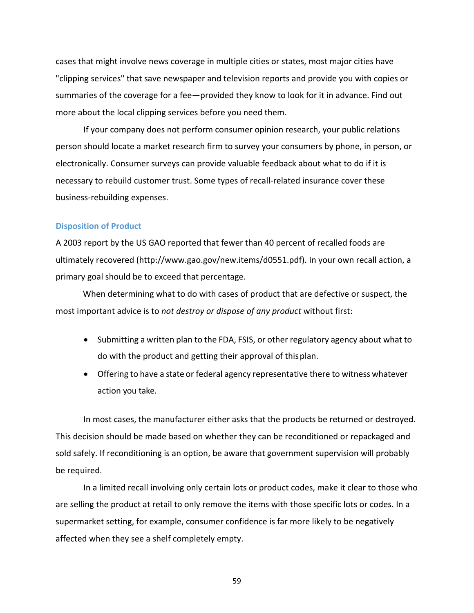cases that might involve news coverage in multiple cities or states, most major cities have "clipping services" that save newspaper and television reports and provide you with copies or summaries of the coverage for a fee—provided they know to look for it in advance. Find out more about the local clipping services before you need them.

If your company does not perform consumer opinion research, your public relations person should locate a market research firm to survey your consumers by phone, in person, or electronically. Consumer surveys can provide valuable feedback about what to do if it is necessary to rebuild customer trust. Some types of recall‐related insurance cover these business‐rebuilding expenses.

#### **Disposition of Product**

A 2003 report by the US GAO reported that fewer than 40 percent of recalled foods are ultimately recovered (http://www.gao.gov/new.items/d0551.pdf). In your own recall action, a primary goal should be to exceed that percentage.

When determining what to do with cases of product that are defective or suspect, the most important advice is to *not destroy or dispose of any product* without first:

- Submitting a written plan to the FDA, FSIS, or other regulatory agency about what to do with the product and getting their approval of thisplan.
- Offering to have a state or federal agency representative there to witness whatever action you take.

In most cases, the manufacturer either asks that the products be returned or destroyed. This decision should be made based on whether they can be reconditioned or repackaged and sold safely. If reconditioning is an option, be aware that government supervision will probably be required.

In a limited recall involving only certain lots or product codes, make it clear to those who are selling the product at retail to only remove the items with those specific lots or codes. In a supermarket setting, for example, consumer confidence is far more likely to be negatively affected when they see a shelf completely empty.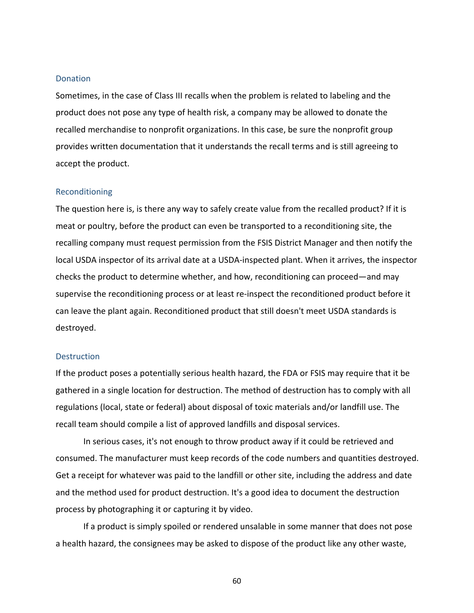#### **Donation**

Sometimes, in the case of Class III recalls when the problem is related to labeling and the product does not pose any type of health risk, a company may be allowed to donate the recalled merchandise to nonprofit organizations. In this case, be sure the nonprofit group provides written documentation that it understands the recall terms and is still agreeing to accept the product.

#### Reconditioning

The question here is, is there any way to safely create value from the recalled product? If it is meat or poultry, before the product can even be transported to a reconditioning site, the recalling company must request permission from the FSIS District Manager and then notify the local USDA inspector of its arrival date at a USDA‐inspected plant. When it arrives, the inspector checks the product to determine whether, and how, reconditioning can proceed—and may supervise the reconditioning process or at least re-inspect the reconditioned product before it can leave the plant again. Reconditioned product that still doesn't meet USDA standards is destroyed.

#### **Destruction**

If the product poses a potentially serious health hazard, the FDA or FSIS may require that it be gathered in a single location for destruction. The method of destruction has to comply with all regulations (local, state or federal) about disposal of toxic materials and/or landfill use. The recall team should compile a list of approved landfills and disposal services.

In serious cases, it's not enough to throw product away if it could be retrieved and consumed. The manufacturer must keep records of the code numbers and quantities destroyed. Get a receipt for whatever was paid to the landfill or other site, including the address and date and the method used for product destruction. It's a good idea to document the destruction process by photographing it or capturing it by video.

If a product is simply spoiled or rendered unsalable in some manner that does not pose a health hazard, the consignees may be asked to dispose of the product like any other waste,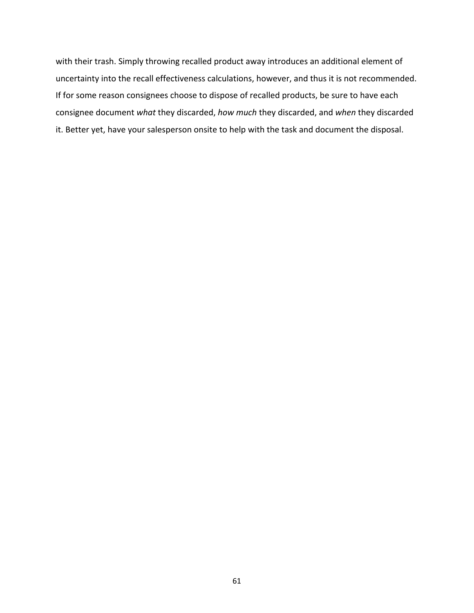with their trash. Simply throwing recalled product away introduces an additional element of uncertainty into the recall effectiveness calculations, however, and thus it is not recommended. If for some reason consignees choose to dispose of recalled products, be sure to have each consignee document *what* they discarded, *how much* they discarded, and *when* they discarded it. Better yet, have your salesperson onsite to help with the task and document the disposal.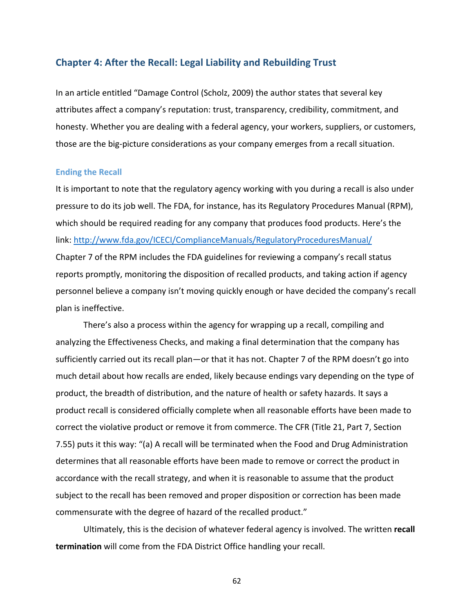## **Chapter 4: After the Recall: Legal Liability and Rebuilding Trust**

In an article entitled "Damage Control (Scholz, 2009) the author states that several key attributes affect a company's reputation: trust, transparency, credibility, commitment, and honesty. Whether you are dealing with a federal agency, your workers, suppliers, or customers, those are the big‐picture considerations as your company emerges from a recall situation.

#### **Ending the Recall**

It is important to note that the regulatory agency working with you during a recall is also under pressure to do its job well. The FDA, for instance, has its Regulatory Procedures Manual (RPM), which should be required reading for any company that produces food products. Here's the link: http://www.fda.gov/ICECI/ComplianceManuals/RegulatoryProceduresManual/ Chapter 7 of the RPM includes the FDA guidelines for reviewing a company's recall status reports promptly, monitoring the disposition of recalled products, and taking action if agency personnel believe a company isn't moving quickly enough or have decided the company's recall plan is ineffective.

There's also a process within the agency for wrapping up a recall, compiling and analyzing the Effectiveness Checks, and making a final determination that the company has sufficiently carried out its recall plan—or that it has not. Chapter 7 of the RPM doesn't go into much detail about how recalls are ended, likely because endings vary depending on the type of product, the breadth of distribution, and the nature of health or safety hazards. It says a product recall is considered officially complete when all reasonable efforts have been made to correct the violative product or remove it from commerce. The CFR (Title 21, Part 7, Section 7.55) puts it this way: "(a) A recall will be terminated when the Food and Drug Administration determines that all reasonable efforts have been made to remove or correct the product in accordance with the recall strategy, and when it is reasonable to assume that the product subject to the recall has been removed and proper disposition or correction has been made commensurate with the degree of hazard of the recalled product."

Ultimately, this is the decision of whatever federal agency is involved. The written **recall termination** will come from the FDA District Office handling your recall.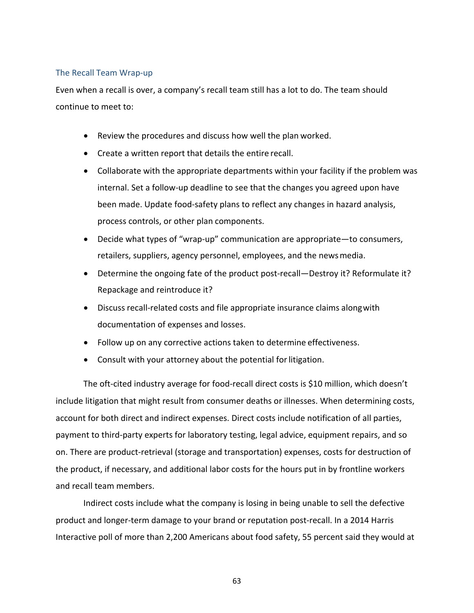## The Recall Team Wrap‐up

Even when a recall is over, a company's recall team still has a lot to do. The team should continue to meet to:

- Review the procedures and discuss how well the plan worked.
- Create a written report that details the entire recall.
- Collaborate with the appropriate departments within your facility if the problem was internal. Set a follow‐up deadline to see that the changes you agreed upon have been made. Update food-safety plans to reflect any changes in hazard analysis, process controls, or other plan components.
- Decide what types of "wrap‐up" communication are appropriate—to consumers, retailers, suppliers, agency personnel, employees, and the newsmedia.
- Determine the ongoing fate of the product post-recall—Destroy it? Reformulate it? Repackage and reintroduce it?
- Discuss recall-related costs and file appropriate insurance claims along with documentation of expenses and losses.
- Follow up on any corrective actions taken to determine effectiveness.
- Consult with your attorney about the potential for litigation.

The oft-cited industry average for food-recall direct costs is \$10 million, which doesn't include litigation that might result from consumer deaths or illnesses. When determining costs, account for both direct and indirect expenses. Direct costs include notification of all parties, payment to third-party experts for laboratory testing, legal advice, equipment repairs, and so on. There are product‐retrieval (storage and transportation) expenses, costs for destruction of the product, if necessary, and additional labor costs for the hours put in by frontline workers and recall team members.

Indirect costs include what the company is losing in being unable to sell the defective product and longer‐term damage to your brand or reputation post‐recall. In a 2014 Harris Interactive poll of more than 2,200 Americans about food safety, 55 percent said they would at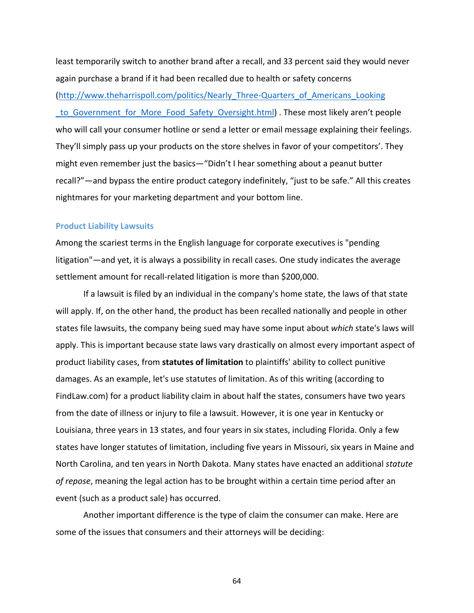least temporarily switch to another brand after a recall, and 33 percent said they would never again purchase a brand if it had been recalled due to health or safety concerns (http://www.theharrispoll.com/politics/Nearly\_Three‐Quarters\_of\_Americans\_Looking to Government for More Food Safety Oversight.html) . These most likely aren't people who will call your consumer hotline or send a letter or email message explaining their feelings. They'll simply pass up your products on the store shelves in favor of your competitors'. They might even remember just the basics—"Didn't I hear something about a peanut butter recall?"—and bypass the entire product category indefinitely, "just to be safe." All this creates nightmares for your marketing department and your bottom line.

### **Product Liability Lawsuits**

Among the scariest terms in the English language for corporate executives is "pending litigation"—and yet, it is always a possibility in recall cases. One study indicates the average settlement amount for recall-related litigation is more than \$200,000.

If a lawsuit is filed by an individual in the company's home state, the laws of that state will apply. If, on the other hand, the product has been recalled nationally and people in other states file lawsuits, the company being sued may have some input about *which* state's laws will apply. This is important because state laws vary drastically on almost every important aspect of product liability cases, from **statutes of limitation** to plaintiffs' ability to collect punitive damages. As an example, let's use statutes of limitation. As of this writing (according to FindLaw.com) for a product liability claim in about half the states, consumers have two years from the date of illness or injury to file a lawsuit. However, it is one year in Kentucky or Louisiana, three years in 13 states, and four years in six states, including Florida. Only a few states have longer statutes of limitation, including five years in Missouri, six years in Maine and North Carolina, and ten years in North Dakota. Many states have enacted an additional *statute of repose*, meaning the legal action has to be brought within a certain time period after an event (such as a product sale) has occurred.

Another important difference is the type of claim the consumer can make. Here are some of the issues that consumers and their attorneys will be deciding: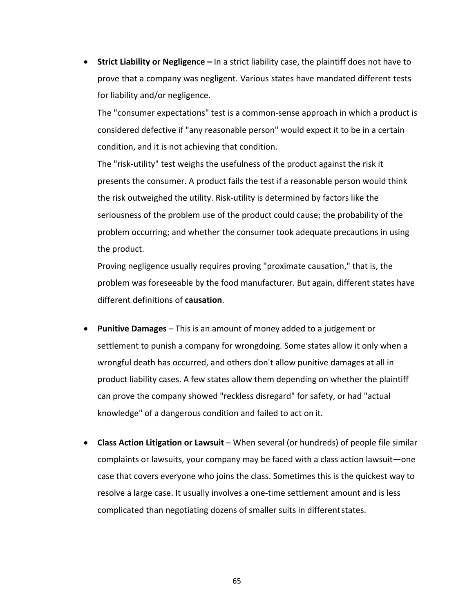**Strict Liability or Negligence –** In a strict liability case, the plaintiff does not have to prove that a company was negligent. Various states have mandated different tests for liability and/or negligence.

The "consumer expectations" test is a common‐sense approach in which a product is considered defective if "any reasonable person" would expect it to be in a certain condition, and it is not achieving that condition.

The "risk‐utility" test weighs the usefulness of the product against the risk it presents the consumer. A product fails the test if a reasonable person would think the risk outweighed the utility. Risk‐utility is determined by factors like the seriousness of the problem use of the product could cause; the probability of the problem occurring; and whether the consumer took adequate precautions in using the product.

Proving negligence usually requires proving "proximate causation," that is, the problem was foreseeable by the food manufacturer. But again, different states have different definitions of **causation**.

- **Punitive Damages** This is an amount of money added to a judgement or settlement to punish a company for wrongdoing. Some states allow it only when a wrongful death has occurred, and others don't allow punitive damages at all in product liability cases. A few states allow them depending on whether the plaintiff can prove the company showed "reckless disregard" for safety, or had "actual knowledge" of a dangerous condition and failed to act on it.
- **Class Action Litigation or Lawsuit** When several (or hundreds) of people file similar complaints or lawsuits, your company may be faced with a class action lawsuit—one case that covers everyone who joins the class. Sometimes this is the quickest way to resolve a large case. It usually involves a one-time settlement amount and is less complicated than negotiating dozens of smaller suits in differentstates.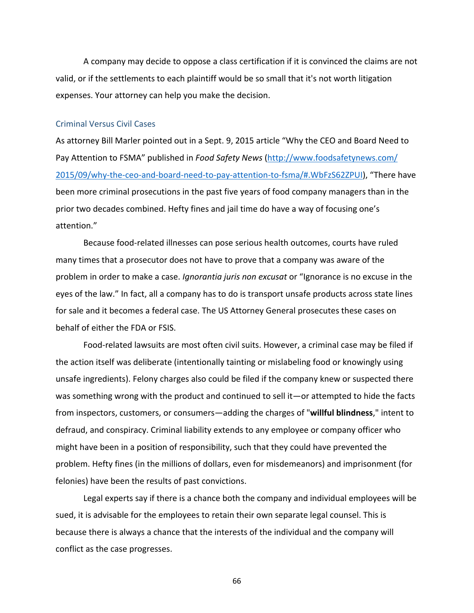A company may decide to oppose a class certification if it is convinced the claims are not valid, or if the settlements to each plaintiff would be so small that it's not worth litigation expenses. Your attorney can help you make the decision.

### Criminal Versus Civil Cases

As attorney Bill Marler pointed out in a Sept. 9, 2015 article "Why the CEO and Board Need to Pay Attention to FSMA" published in *Food Safety News* (http://www.foodsafetynews.com/ 2015/09/why‐the‐ceo‐and‐board‐need‐to‐pay‐attention‐to‐fsma/#.WbFzS62ZPUI), "There have been more criminal prosecutions in the past five years of food company managers than in the prior two decades combined. Hefty fines and jail time do have a way of focusing one's attention."

Because food‐related illnesses can pose serious health outcomes, courts have ruled many times that a prosecutor does not have to prove that a company was aware of the problem in order to make a case. *Ignorantia juris non excusat* or "Ignorance is no excuse in the eyes of the law." In fact, all a company has to do is transport unsafe products across state lines for sale and it becomes a federal case. The US Attorney General prosecutes these cases on behalf of either the FDA or FSIS.

Food-related lawsuits are most often civil suits. However, a criminal case may be filed if the action itself was deliberate (intentionally tainting or mislabeling food or knowingly using unsafe ingredients). Felony charges also could be filed if the company knew or suspected there was something wrong with the product and continued to sell it—or attempted to hide the facts from inspectors, customers, or consumers—adding the charges of "**willful blindness**," intent to defraud, and conspiracy. Criminal liability extends to any employee or company officer who might have been in a position of responsibility, such that they could have prevented the problem. Hefty fines (in the millions of dollars, even for misdemeanors) and imprisonment (for felonies) have been the results of past convictions.

Legal experts say if there is a chance both the company and individual employees will be sued, it is advisable for the employees to retain their own separate legal counsel. This is because there is always a chance that the interests of the individual and the company will conflict as the case progresses.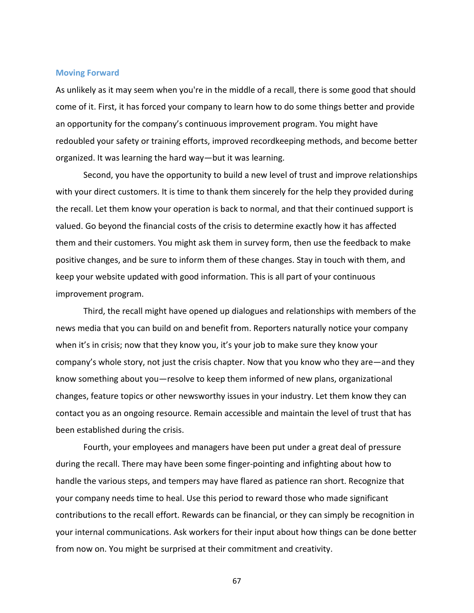### **Moving Forward**

As unlikely as it may seem when you're in the middle of a recall, there is some good that should come of it. First, it has forced your company to learn how to do some things better and provide an opportunity for the company's continuous improvement program. You might have redoubled your safety or training efforts, improved recordkeeping methods, and become better organized. It was learning the hard way—but it was learning.

Second, you have the opportunity to build a new level of trust and improve relationships with your direct customers. It is time to thank them sincerely for the help they provided during the recall. Let them know your operation is back to normal, and that their continued support is valued. Go beyond the financial costs of the crisis to determine exactly how it has affected them and their customers. You might ask them in survey form, then use the feedback to make positive changes, and be sure to inform them of these changes. Stay in touch with them, and keep your website updated with good information. This is all part of your continuous improvement program.

Third, the recall might have opened up dialogues and relationships with members of the news media that you can build on and benefit from. Reporters naturally notice your company when it's in crisis; now that they know you, it's your job to make sure they know your company's whole story, not just the crisis chapter. Now that you know who they are—and they know something about you—resolve to keep them informed of new plans, organizational changes, feature topics or other newsworthy issues in your industry. Let them know they can contact you as an ongoing resource. Remain accessible and maintain the level of trust that has been established during the crisis.

Fourth, your employees and managers have been put under a great deal of pressure during the recall. There may have been some finger‐pointing and infighting about how to handle the various steps, and tempers may have flared as patience ran short. Recognize that your company needs time to heal. Use this period to reward those who made significant contributions to the recall effort. Rewards can be financial, or they can simply be recognition in your internal communications. Ask workers for their input about how things can be done better from now on. You might be surprised at their commitment and creativity.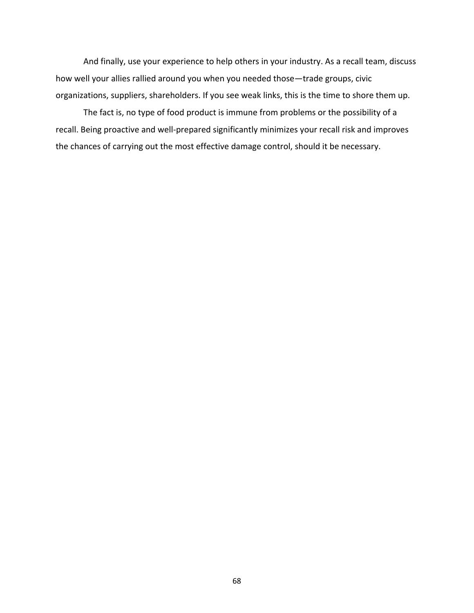And finally, use your experience to help others in your industry. As a recall team, discuss how well your allies rallied around you when you needed those—trade groups, civic organizations, suppliers, shareholders. If you see weak links, this is the time to shore them up.

The fact is, no type of food product is immune from problems or the possibility of a recall. Being proactive and well‐prepared significantly minimizes your recall risk and improves the chances of carrying out the most effective damage control, should it be necessary.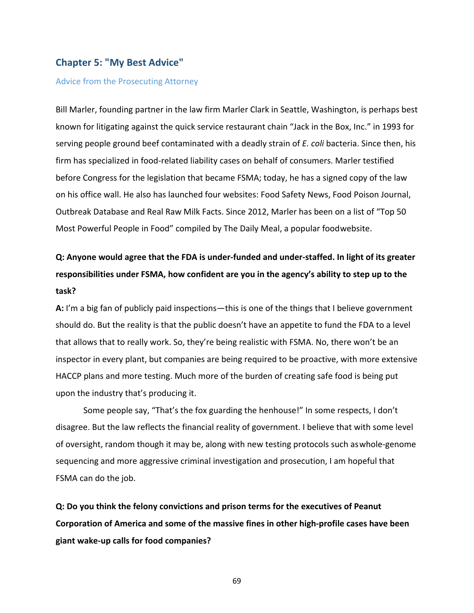# **Chapter 5: "My Best Advice"**

## Advice from the Prosecuting Attorney

Bill Marler, founding partner in the law firm Marler Clark in Seattle, Washington, is perhaps best known for litigating against the quick service restaurant chain "Jack in the Box, Inc." in 1993 for serving people ground beef contaminated with a deadly strain of *E. coli* bacteria. Since then, his firm has specialized in food-related liability cases on behalf of consumers. Marler testified before Congress for the legislation that became FSMA; today, he has a signed copy of the law on his office wall. He also has launched four websites: Food Safety News, Food Poison Journal, Outbreak Database and Real Raw Milk Facts. Since 2012, Marler has been on a list of "Top 50 Most Powerful People in Food" compiled by The Daily Meal, a popular foodwebsite.

# Q: Anyone would agree that the FDA is under-funded and under-staffed. In light of its greater **responsibilities under FSMA, how confident are you in the agency's ability to step up to the task?**

**A:** I'm a big fan of publicly paid inspections—this is one of the things that I believe government should do. But the reality is that the public doesn't have an appetite to fund the FDA to a level that allows that to really work. So, they're being realistic with FSMA. No, there won't be an inspector in every plant, but companies are being required to be proactive, with more extensive HACCP plans and more testing. Much more of the burden of creating safe food is being put upon the industry that's producing it.

Some people say, "That's the fox guarding the henhouse!" In some respects, I don't disagree. But the law reflects the financial reality of government. I believe that with some level of oversight, random though it may be, along with new testing protocols such aswhole‐genome sequencing and more aggressive criminal investigation and prosecution, I am hopeful that FSMA can do the job.

**Q: Do you think the felony convictions and prison terms for the executives of Peanut Corporation of America and some of the massive fines in other high‐profile cases have been giant wake‐up calls for food companies?**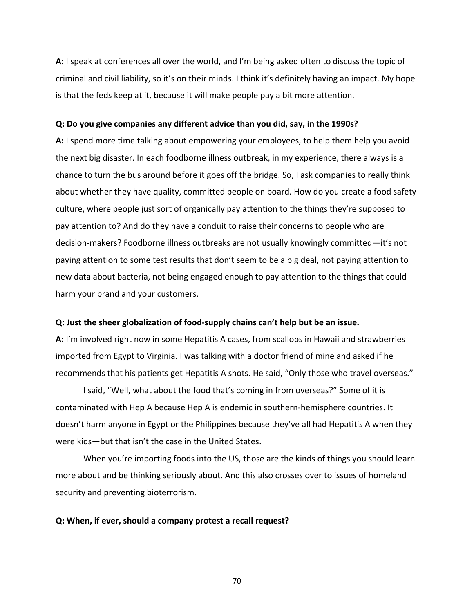**A:** I speak at conferences all over the world, and I'm being asked often to discuss the topic of criminal and civil liability, so it's on their minds. I think it's definitely having an impact. My hope is that the feds keep at it, because it will make people pay a bit more attention.

### **Q: Do you give companies any different advice than you did, say, in the 1990s?**

**A:** I spend more time talking about empowering your employees, to help them help you avoid the next big disaster. In each foodborne illness outbreak, in my experience, there always is a chance to turn the bus around before it goes off the bridge. So, I ask companies to really think about whether they have quality, committed people on board. How do you create a food safety culture, where people just sort of organically pay attention to the things they're supposed to pay attention to? And do they have a conduit to raise their concerns to people who are decision‐makers? Foodborne illness outbreaks are not usually knowingly committed—it's not paying attention to some test results that don't seem to be a big deal, not paying attention to new data about bacteria, not being engaged enough to pay attention to the things that could harm your brand and your customers.

#### **Q: Just the sheer globalization of food‐supply chains can't help but be an issue.**

**A:** I'm involved right now in some Hepatitis A cases, from scallops in Hawaii and strawberries imported from Egypt to Virginia. I was talking with a doctor friend of mine and asked if he recommends that his patients get Hepatitis A shots. He said, "Only those who travel overseas."

I said, "Well, what about the food that's coming in from overseas?" Some of it is contaminated with Hep A because Hep A is endemic in southern‐hemisphere countries. It doesn't harm anyone in Egypt or the Philippines because they've all had Hepatitis A when they were kids—but that isn't the case in the United States.

When you're importing foods into the US, those are the kinds of things you should learn more about and be thinking seriously about. And this also crosses over to issues of homeland security and preventing bioterrorism.

#### **Q: When, if ever, should a company protest a recall request?**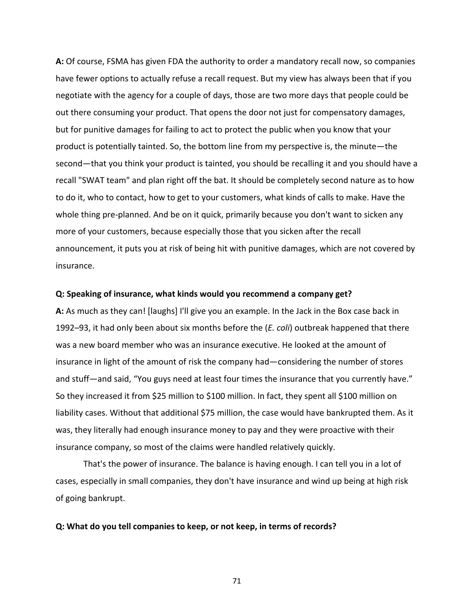**A:** Of course, FSMA has given FDA the authority to order a mandatory recall now, so companies have fewer options to actually refuse a recall request. But my view has always been that if you negotiate with the agency for a couple of days, those are two more days that people could be out there consuming your product. That opens the door not just for compensatory damages, but for punitive damages for failing to act to protect the public when you know that your product is potentially tainted. So, the bottom line from my perspective is, the minute—the second—that you think your product is tainted, you should be recalling it and you should have a recall "SWAT team" and plan right off the bat. It should be completely second nature as to how to do it, who to contact, how to get to your customers, what kinds of calls to make. Have the whole thing pre‐planned. And be on it quick, primarily because you don't want to sicken any more of your customers, because especially those that you sicken after the recall announcement, it puts you at risk of being hit with punitive damages, which are not covered by insurance.

#### **Q: Speaking of insurance, what kinds would you recommend a company get?**

**A:** As much as they can! [laughs] I'll give you an example. In the Jack in the Box case back in 1992–93, it had only been about six months before the (*E. coli*) outbreak happened that there was a new board member who was an insurance executive. He looked at the amount of insurance in light of the amount of risk the company had—considering the number of stores and stuff—and said, "You guys need at least four times the insurance that you currently have." So they increased it from \$25 million to \$100 million. In fact, they spent all \$100 million on liability cases. Without that additional \$75 million, the case would have bankrupted them. As it was, they literally had enough insurance money to pay and they were proactive with their insurance company, so most of the claims were handled relatively quickly.

That's the power of insurance. The balance is having enough. I can tell you in a lot of cases, especially in small companies, they don't have insurance and wind up being at high risk of going bankrupt.

#### **Q: What do you tell companies to keep, or not keep, in terms of records?**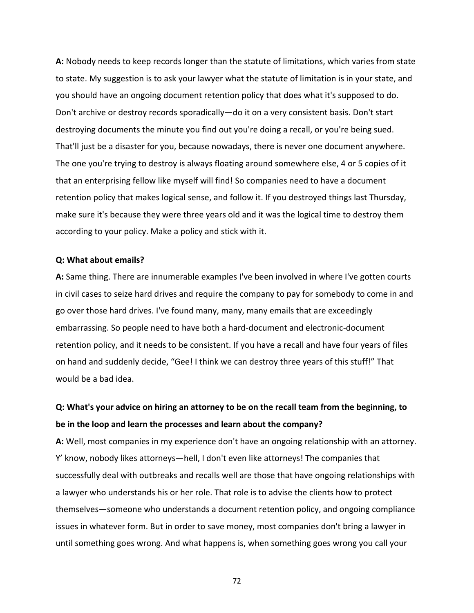**A:** Nobody needs to keep records longer than the statute of limitations, which varies from state to state. My suggestion is to ask your lawyer what the statute of limitation is in your state, and you should have an ongoing document retention policy that does what it's supposed to do. Don't archive or destroy records sporadically—do it on a very consistent basis. Don't start destroying documents the minute you find out you're doing a recall, or you're being sued. That'll just be a disaster for you, because nowadays, there is never one document anywhere. The one you're trying to destroy is always floating around somewhere else, 4 or 5 copies of it that an enterprising fellow like myself will find! So companies need to have a document retention policy that makes logical sense, and follow it. If you destroyed things last Thursday, make sure it's because they were three years old and it was the logical time to destroy them according to your policy. Make a policy and stick with it.

### **Q: What about emails?**

**A:** Same thing. There are innumerable examples I've been involved in where I've gotten courts in civil cases to seize hard drives and require the company to pay for somebody to come in and go over those hard drives. I've found many, many, many emails that are exceedingly embarrassing. So people need to have both a hard‐document and electronic‐document retention policy, and it needs to be consistent. If you have a recall and have four years of files on hand and suddenly decide, "Gee! I think we can destroy three years of this stuff!" That would be a bad idea.

# **Q: What's your advice on hiring an attorney to be on the recall team from the beginning, to be in the loop and learn the processes and learn about the company?**

**A:** Well, most companies in my experience don't have an ongoing relationship with an attorney. Y' know, nobody likes attorneys—hell, I don't even like attorneys! The companies that successfully deal with outbreaks and recalls well are those that have ongoing relationships with a lawyer who understands his or her role. That role is to advise the clients how to protect themselves—someone who understands a document retention policy, and ongoing compliance issues in whatever form. But in order to save money, most companies don't bring a lawyer in until something goes wrong. And what happens is, when something goes wrong you call your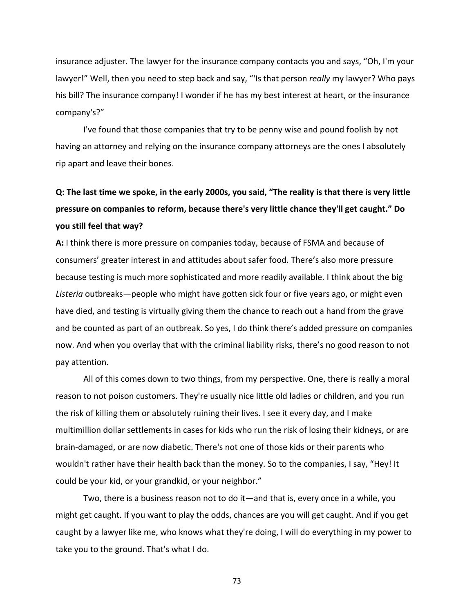insurance adjuster. The lawyer for the insurance company contacts you and says, "Oh, I'm your lawyer!" Well, then you need to step back and say, "'Is that person *really* my lawyer? Who pays his bill? The insurance company! I wonder if he has my best interest at heart, or the insurance company's?"

I've found that those companies that try to be penny wise and pound foolish by not having an attorney and relying on the insurance company attorneys are the ones I absolutely rip apart and leave their bones.

# Q: The last time we spoke, in the early 2000s, you said, "The reality is that there is very little **pressure on companies to reform, because there's very little chance they'll get caught." Do you still feel that way?**

**A:** I think there is more pressure on companies today, because of FSMA and because of consumers' greater interest in and attitudes about safer food. There's also more pressure because testing is much more sophisticated and more readily available. I think about the big *Listeria* outbreaks—people who might have gotten sick four or five years ago, or might even have died, and testing is virtually giving them the chance to reach out a hand from the grave and be counted as part of an outbreak. So yes, I do think there's added pressure on companies now. And when you overlay that with the criminal liability risks, there's no good reason to not pay attention.

All of this comes down to two things, from my perspective. One, there is really a moral reason to not poison customers. They're usually nice little old ladies or children, and you run the risk of killing them or absolutely ruining their lives. I see it every day, and I make multimillion dollar settlements in cases for kids who run the risk of losing their kidneys, or are brain‐damaged, or are now diabetic. There's not one of those kids or their parents who wouldn't rather have their health back than the money. So to the companies, I say, "Hey! It could be your kid, or your grandkid, or your neighbor."

Two, there is a business reason not to do it—and that is, every once in a while, you might get caught. If you want to play the odds, chances are you will get caught. And if you get caught by a lawyer like me, who knows what they're doing, I will do everything in my power to take you to the ground. That's what I do.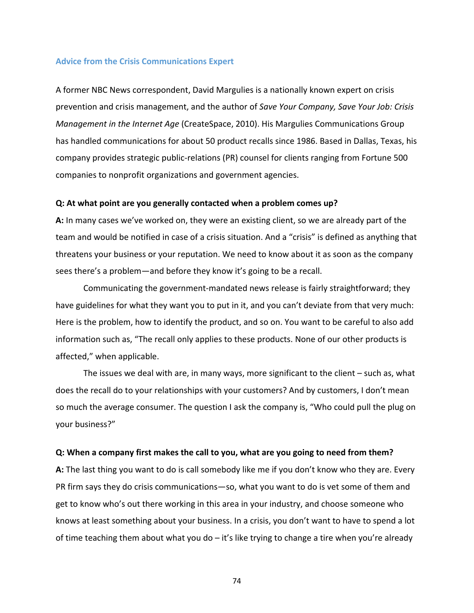## **Advice from the Crisis Communications Expert**

A former NBC News correspondent, David Margulies is a nationally known expert on crisis prevention and crisis management, and the author of *Save Your Company, Save Your Job: Crisis Management in the Internet Age* (CreateSpace, 2010). His Margulies Communications Group has handled communications for about 50 product recalls since 1986. Based in Dallas, Texas, his company provides strategic public‐relations (PR) counsel for clients ranging from Fortune 500 companies to nonprofit organizations and government agencies.

#### **Q: At what point are you generally contacted when a problem comes up?**

**A:** In many cases we've worked on, they were an existing client, so we are already part of the team and would be notified in case of a crisis situation. And a "crisis" is defined as anything that threatens your business or your reputation. We need to know about it as soon as the company sees there's a problem—and before they know it's going to be a recall.

Communicating the government‐mandated news release is fairly straightforward; they have guidelines for what they want you to put in it, and you can't deviate from that very much: Here is the problem, how to identify the product, and so on. You want to be careful to also add information such as, "The recall only applies to these products. None of our other products is affected," when applicable.

The issues we deal with are, in many ways, more significant to the client – such as, what does the recall do to your relationships with your customers? And by customers, I don't mean so much the average consumer. The question I ask the company is, "Who could pull the plug on your business?"

#### **Q: When a company first makes the call to you, what are you going to need from them?**

**A:** The last thing you want to do is call somebody like me if you don't know who they are. Every PR firm says they do crisis communications—so, what you want to do is vet some of them and get to know who's out there working in this area in your industry, and choose someone who knows at least something about your business. In a crisis, you don't want to have to spend a lot of time teaching them about what you do  $-$  it's like trying to change a tire when you're already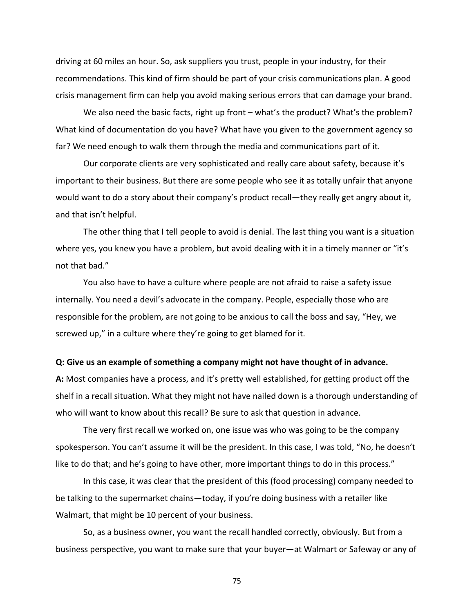driving at 60 miles an hour. So, ask suppliers you trust, people in your industry, for their recommendations. This kind of firm should be part of your crisis communications plan. A good crisis management firm can help you avoid making serious errors that can damage your brand.

We also need the basic facts, right up front – what's the product? What's the problem? What kind of documentation do you have? What have you given to the government agency so far? We need enough to walk them through the media and communications part of it.

Our corporate clients are very sophisticated and really care about safety, because it's important to their business. But there are some people who see it as totally unfair that anyone would want to do a story about their company's product recall—they really get angry about it, and that isn't helpful.

The other thing that I tell people to avoid is denial. The last thing you want is a situation where yes, you knew you have a problem, but avoid dealing with it in a timely manner or "it's not that bad."

You also have to have a culture where people are not afraid to raise a safety issue internally. You need a devil's advocate in the company. People, especially those who are responsible for the problem, are not going to be anxious to call the boss and say, "Hey, we screwed up," in a culture where they're going to get blamed for it.

#### **Q: Give us an example of something a company might not have thought of in advance.**

**A:** Most companies have a process, and it's pretty well established, for getting product off the shelf in a recall situation. What they might not have nailed down is a thorough understanding of who will want to know about this recall? Be sure to ask that question in advance.

The very first recall we worked on, one issue was who was going to be the company spokesperson. You can't assume it will be the president. In this case, I was told, "No, he doesn't like to do that; and he's going to have other, more important things to do in this process."

In this case, it was clear that the president of this (food processing) company needed to be talking to the supermarket chains—today, if you're doing business with a retailer like Walmart, that might be 10 percent of your business.

So, as a business owner, you want the recall handled correctly, obviously. But from a business perspective, you want to make sure that your buyer—at Walmart or Safeway or any of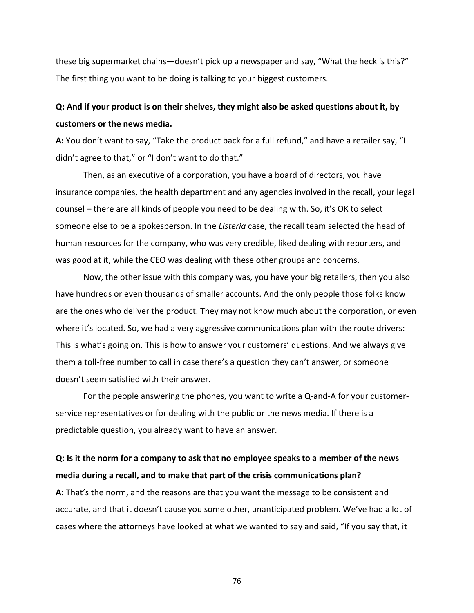these big supermarket chains—doesn't pick up a newspaper and say, "What the heck is this?" The first thing you want to be doing is talking to your biggest customers.

# **Q: And if your product is on their shelves, they might also be asked questions about it, by customers or the news media.**

**A:** You don't want to say, "Take the product back for a full refund," and have a retailer say, "I didn't agree to that," or "I don't want to do that."

Then, as an executive of a corporation, you have a board of directors, you have insurance companies, the health department and any agencies involved in the recall, your legal counsel – there are all kinds of people you need to be dealing with. So, it's OK to select someone else to be a spokesperson. In the *Listeria* case, the recall team selected the head of human resources for the company, who was very credible, liked dealing with reporters, and was good at it, while the CEO was dealing with these other groups and concerns.

Now, the other issue with this company was, you have your big retailers, then you also have hundreds or even thousands of smaller accounts. And the only people those folks know are the ones who deliver the product. They may not know much about the corporation, or even where it's located. So, we had a very aggressive communications plan with the route drivers: This is what's going on. This is how to answer your customers' questions. And we always give them a toll‐free number to call in case there's a question they can't answer, or someone doesn't seem satisfied with their answer.

For the people answering the phones, you want to write a Q‐and‐A for your customer‐ service representatives or for dealing with the public or the news media. If there is a predictable question, you already want to have an answer.

# Q: Is it the norm for a company to ask that no employee speaks to a member of the news **media during a recall, and to make that part of the crisis communications plan?**

**A:** That's the norm, and the reasons are that you want the message to be consistent and accurate, and that it doesn't cause you some other, unanticipated problem. We've had a lot of cases where the attorneys have looked at what we wanted to say and said, "If you say that, it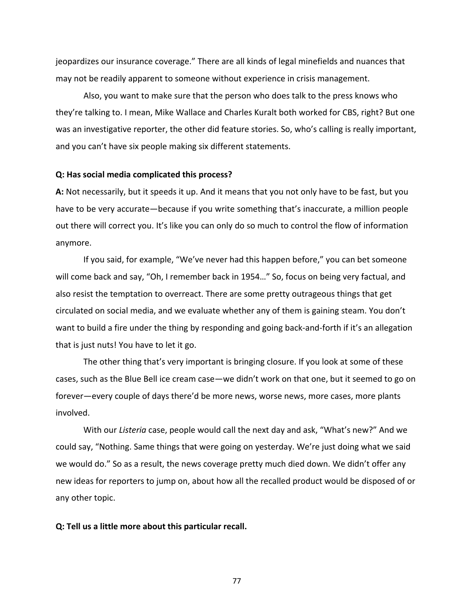jeopardizes our insurance coverage." There are all kinds of legal minefields and nuances that may not be readily apparent to someone without experience in crisis management.

Also, you want to make sure that the person who does talk to the press knows who they're talking to. I mean, Mike Wallace and Charles Kuralt both worked for CBS, right? But one was an investigative reporter, the other did feature stories. So, who's calling is really important, and you can't have six people making six different statements.

### **Q: Has social media complicated this process?**

**A:** Not necessarily, but it speeds it up. And it means that you not only have to be fast, but you have to be very accurate—because if you write something that's inaccurate, a million people out there will correct you. It's like you can only do so much to control the flow of information anymore.

If you said, for example, "We've never had this happen before," you can bet someone will come back and say, "Oh, I remember back in 1954..." So, focus on being very factual, and also resist the temptation to overreact. There are some pretty outrageous things that get circulated on social media, and we evaluate whether any of them is gaining steam. You don't want to build a fire under the thing by responding and going back-and-forth if it's an allegation that is just nuts! You have to let it go.

The other thing that's very important is bringing closure. If you look at some of these cases, such as the Blue Bell ice cream case—we didn't work on that one, but it seemed to go on forever—every couple of days there'd be more news, worse news, more cases, more plants involved.

With our *Listeria* case, people would call the next day and ask, "What's new?" And we could say, "Nothing. Same things that were going on yesterday. We're just doing what we said we would do." So as a result, the news coverage pretty much died down. We didn't offer any new ideas for reporters to jump on, about how all the recalled product would be disposed of or any other topic.

#### **Q: Tell us a little more about this particular recall.**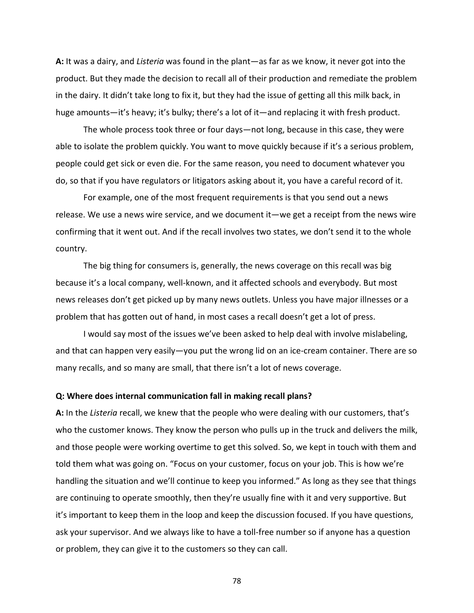**A:** It was a dairy, and *Listeria* was found in the plant—as far as we know, it never got into the product. But they made the decision to recall all of their production and remediate the problem in the dairy. It didn't take long to fix it, but they had the issue of getting all this milk back, in huge amounts—it's heavy; it's bulky; there's a lot of it—and replacing it with fresh product.

The whole process took three or four days—not long, because in this case, they were able to isolate the problem quickly. You want to move quickly because if it's a serious problem, people could get sick or even die. For the same reason, you need to document whatever you do, so that if you have regulators or litigators asking about it, you have a careful record of it.

For example, one of the most frequent requirements is that you send out a news release. We use a news wire service, and we document it—we get a receipt from the news wire confirming that it went out. And if the recall involves two states, we don't send it to the whole country.

The big thing for consumers is, generally, the news coverage on this recall was big because it's a local company, well-known, and it affected schools and everybody. But most news releases don't get picked up by many news outlets. Unless you have major illnesses or a problem that has gotten out of hand, in most cases a recall doesn't get a lot of press.

I would say most of the issues we've been asked to help deal with involve mislabeling, and that can happen very easily—you put the wrong lid on an ice‐cream container. There are so many recalls, and so many are small, that there isn't a lot of news coverage.

## **Q: Where does internal communication fall in making recall plans?**

**A:** In the *Listeria* recall, we knew that the people who were dealing with our customers, that's who the customer knows. They know the person who pulls up in the truck and delivers the milk, and those people were working overtime to get this solved. So, we kept in touch with them and told them what was going on. "Focus on your customer, focus on your job. This is how we're handling the situation and we'll continue to keep you informed." As long as they see that things are continuing to operate smoothly, then they're usually fine with it and very supportive. But it's important to keep them in the loop and keep the discussion focused. If you have questions, ask your supervisor. And we always like to have a toll-free number so if anyone has a question or problem, they can give it to the customers so they can call.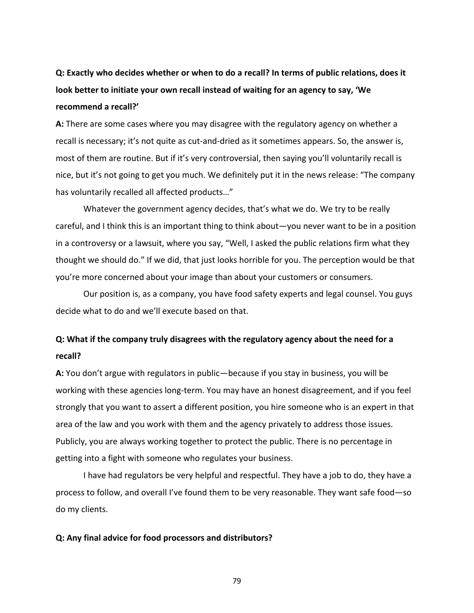**Q: Exactly who decides whether or when to do a recall? In terms of public relations, does it look better to initiate your own recall instead of waiting for an agency to say, 'We recommend a recall?'**

**A:** There are some cases where you may disagree with the regulatory agency on whether a recall is necessary; it's not quite as cut-and-dried as it sometimes appears. So, the answer is, most of them are routine. But if it's very controversial, then saying you'll voluntarily recall is nice, but it's not going to get you much. We definitely put it in the news release: "The company has voluntarily recalled all affected products…"

Whatever the government agency decides, that's what we do. We try to be really careful, and I think this is an important thing to think about—you never want to be in a position in a controversy or a lawsuit, where you say, "Well, I asked the public relations firm what they thought we should do." If we did, that just looks horrible for you. The perception would be that you're more concerned about your image than about your customers or consumers.

Our position is, as a company, you have food safety experts and legal counsel. You guys decide what to do and we'll execute based on that.

# **Q: What if the company truly disagrees with the regulatory agency about the need for a recall?**

**A:** You don't argue with regulators in public—because if you stay in business, you will be working with these agencies long‐term. You may have an honest disagreement, and if you feel strongly that you want to assert a different position, you hire someone who is an expert in that area of the law and you work with them and the agency privately to address those issues. Publicly, you are always working together to protect the public. There is no percentage in getting into a fight with someone who regulates your business.

I have had regulators be very helpful and respectful. They have a job to do, they have a process to follow, and overall I've found them to be very reasonable. They want safe food—so do my clients.

#### **Q: Any final advice for food processors and distributors?**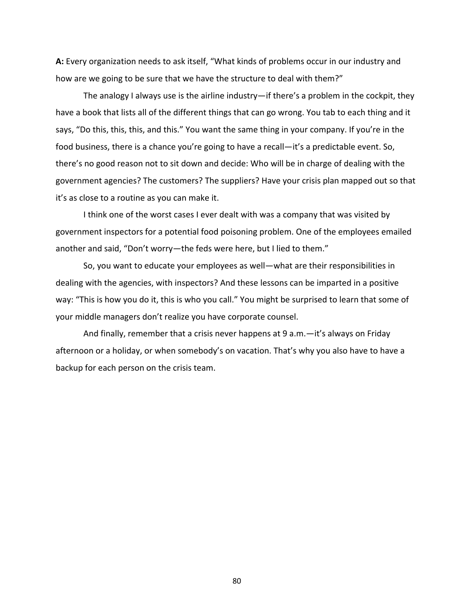**A:** Every organization needs to ask itself, "What kinds of problems occur in our industry and how are we going to be sure that we have the structure to deal with them?"

The analogy I always use is the airline industry—if there's a problem in the cockpit, they have a book that lists all of the different things that can go wrong. You tab to each thing and it says, "Do this, this, this, and this." You want the same thing in your company. If you're in the food business, there is a chance you're going to have a recall—it's a predictable event. So, there's no good reason not to sit down and decide: Who will be in charge of dealing with the government agencies? The customers? The suppliers? Have your crisis plan mapped out so that it's as close to a routine as you can make it.

I think one of the worst cases I ever dealt with was a company that was visited by government inspectors for a potential food poisoning problem. One of the employees emailed another and said, "Don't worry—the feds were here, but I lied to them."

So, you want to educate your employees as well—what are their responsibilities in dealing with the agencies, with inspectors? And these lessons can be imparted in a positive way: "This is how you do it, this is who you call." You might be surprised to learn that some of your middle managers don't realize you have corporate counsel.

And finally, remember that a crisis never happens at 9 a.m.—it's always on Friday afternoon or a holiday, or when somebody's on vacation. That's why you also have to have a backup for each person on the crisis team.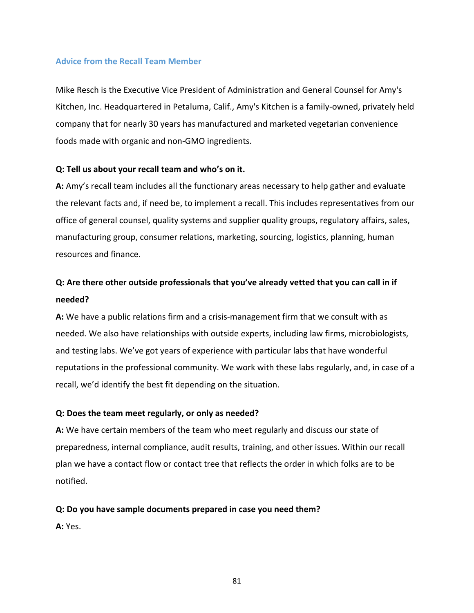# **Advice from the Recall Team Member**

Mike Resch is the Executive Vice President of Administration and General Counsel for Amy's Kitchen, Inc. Headquartered in Petaluma, Calif., Amy's Kitchen is a family‐owned, privately held company that for nearly 30 years has manufactured and marketed vegetarian convenience foods made with organic and non‐GMO ingredients.

# **Q: Tell us about your recall team and who's on it.**

**A:** Amy's recall team includes all the functionary areas necessary to help gather and evaluate the relevant facts and, if need be, to implement a recall. This includes representatives from our office of general counsel, quality systems and supplier quality groups, regulatory affairs, sales, manufacturing group, consumer relations, marketing, sourcing, logistics, planning, human resources and finance.

# **Q: Are there other outside professionals that you've already vetted that you can call in if needed?**

**A:** We have a public relations firm and a crisis‐management firm that we consult with as needed. We also have relationships with outside experts, including law firms, microbiologists, and testing labs. We've got years of experience with particular labs that have wonderful reputations in the professional community. We work with these labs regularly, and, in case of a recall, we'd identify the best fit depending on the situation.

# **Q: Does the team meet regularly, or only as needed?**

**A:** We have certain members of the team who meet regularly and discuss our state of preparedness, internal compliance, audit results, training, and other issues. Within our recall plan we have a contact flow or contact tree that reflects the order in which folks are to be notified.

# **Q: Do you have sample documents prepared in case you need them?**

**A:** Yes.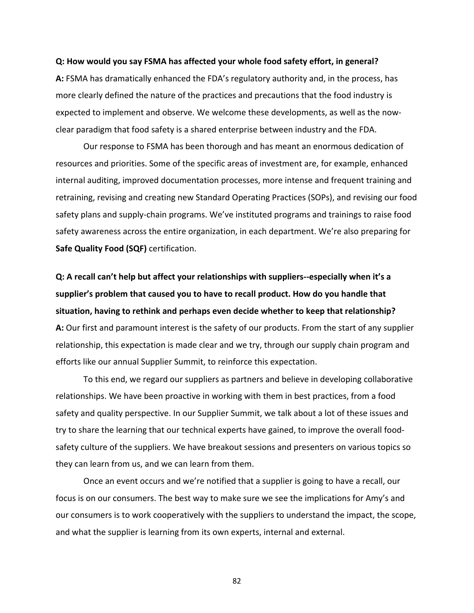#### **Q: How would you say FSMA has affected your whole food safety effort, in general?**

**A:** FSMA has dramatically enhanced the FDA's regulatory authority and, in the process, has more clearly defined the nature of the practices and precautions that the food industry is expected to implement and observe. We welcome these developments, as well as the now‐ clear paradigm that food safety is a shared enterprise between industry and the FDA.

Our response to FSMA has been thorough and has meant an enormous dedication of resources and priorities. Some of the specific areas of investment are, for example, enhanced internal auditing, improved documentation processes, more intense and frequent training and retraining, revising and creating new Standard Operating Practices (SOPs), and revising our food safety plans and supply‐chain programs. We've instituted programs and trainings to raise food safety awareness across the entire organization, in each department. We're also preparing for **Safe Quality Food (SQF)** certification.

**Q: A recall can't help but affect your relationships with suppliers‐‐especially when it's a supplier's problem that caused you to have to recall product. How do you handle that situation, having to rethink and perhaps even decide whether to keep that relationship? A:** Our first and paramount interest is the safety of our products. From the start of any supplier relationship, this expectation is made clear and we try, through our supply chain program and efforts like our annual Supplier Summit, to reinforce this expectation.

To this end, we regard our suppliers as partners and believe in developing collaborative relationships. We have been proactive in working with them in best practices, from a food safety and quality perspective. In our Supplier Summit, we talk about a lot of these issues and try to share the learning that our technical experts have gained, to improve the overall food‐ safety culture of the suppliers. We have breakout sessions and presenters on various topics so they can learn from us, and we can learn from them.

Once an event occurs and we're notified that a supplier is going to have a recall, our focus is on our consumers. The best way to make sure we see the implications for Amy's and our consumers is to work cooperatively with the suppliers to understand the impact, the scope, and what the supplier is learning from its own experts, internal and external.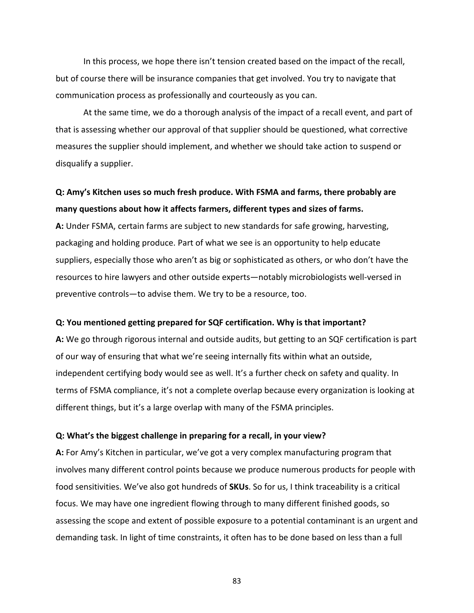In this process, we hope there isn't tension created based on the impact of the recall, but of course there will be insurance companies that get involved. You try to navigate that communication process as professionally and courteously as you can.

At the same time, we do a thorough analysis of the impact of a recall event, and part of that is assessing whether our approval of that supplier should be questioned, what corrective measures the supplier should implement, and whether we should take action to suspend or disqualify a supplier.

# **Q: Amy's Kitchen uses so much fresh produce. With FSMA and farms, there probably are many questions about how it affects farmers, different types and sizes of farms.**

**A:** Under FSMA, certain farms are subject to new standards for safe growing, harvesting, packaging and holding produce. Part of what we see is an opportunity to help educate suppliers, especially those who aren't as big or sophisticated as others, or who don't have the resources to hire lawyers and other outside experts—notably microbiologists well‐versed in preventive controls—to advise them. We try to be a resource, too.

#### **Q: You mentioned getting prepared for SQF certification. Why is that important?**

**A:** We go through rigorous internal and outside audits, but getting to an SQF certification is part of our way of ensuring that what we're seeing internally fits within what an outside, independent certifying body would see as well. It's a further check on safety and quality. In terms of FSMA compliance, it's not a complete overlap because every organization is looking at different things, but it's a large overlap with many of the FSMA principles.

### **Q: What's the biggest challenge in preparing for a recall, in your view?**

**A:** For Amy's Kitchen in particular, we've got a very complex manufacturing program that involves many different control points because we produce numerous products for people with food sensitivities. We've also got hundreds of **SKUs**. So for us, I think traceability is a critical focus. We may have one ingredient flowing through to many different finished goods, so assessing the scope and extent of possible exposure to a potential contaminant is an urgent and demanding task. In light of time constraints, it often has to be done based on less than a full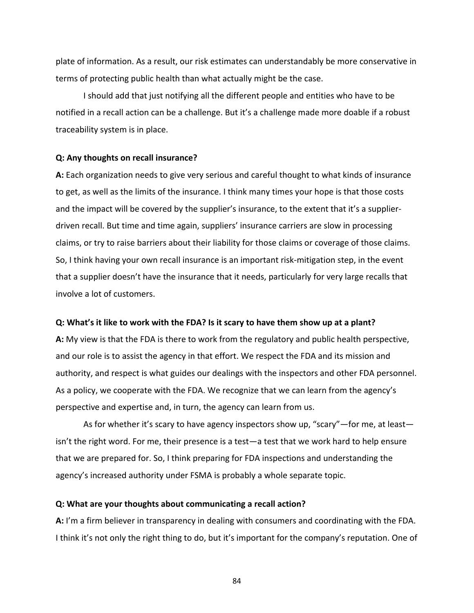plate of information. As a result, our risk estimates can understandably be more conservative in terms of protecting public health than what actually might be the case.

I should add that just notifying all the different people and entities who have to be notified in a recall action can be a challenge. But it's a challenge made more doable if a robust traceability system is in place.

### **Q: Any thoughts on recall insurance?**

**A:** Each organization needs to give very serious and careful thought to what kinds of insurance to get, as well as the limits of the insurance. I think many times your hope is that those costs and the impact will be covered by the supplier's insurance, to the extent that it's a supplier‐ driven recall. But time and time again, suppliers' insurance carriers are slow in processing claims, or try to raise barriers about their liability for those claims or coverage of those claims. So, I think having your own recall insurance is an important risk-mitigation step, in the event that a supplier doesn't have the insurance that it needs, particularly for very large recalls that involve a lot of customers.

#### **Q: What's it like to work with the FDA? Is it scary to have them show up at a plant?**

**A:** My view is that the FDA is there to work from the regulatory and public health perspective, and our role is to assist the agency in that effort. We respect the FDA and its mission and authority, and respect is what guides our dealings with the inspectors and other FDA personnel. As a policy, we cooperate with the FDA. We recognize that we can learn from the agency's perspective and expertise and, in turn, the agency can learn from us.

As for whether it's scary to have agency inspectors show up, "scary"—for me, at least isn't the right word. For me, their presence is a test—a test that we work hard to help ensure that we are prepared for. So, I think preparing for FDA inspections and understanding the agency's increased authority under FSMA is probably a whole separate topic.

## **Q: What are your thoughts about communicating a recall action?**

**A:** I'm a firm believer in transparency in dealing with consumers and coordinating with the FDA. I think it's not only the right thing to do, but it's important for the company's reputation. One of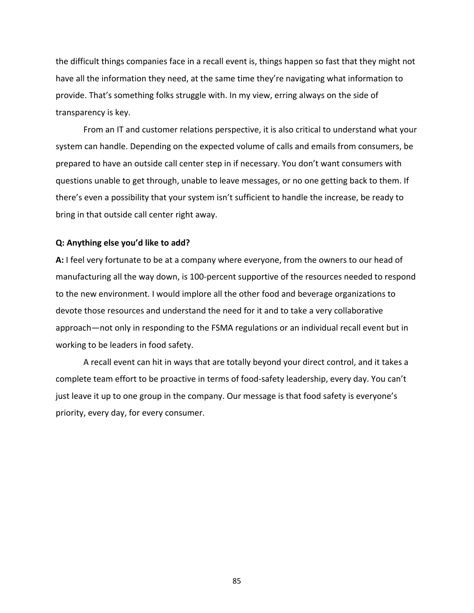the difficult things companies face in a recall event is, things happen so fast that they might not have all the information they need, at the same time they're navigating what information to provide. That's something folks struggle with. In my view, erring always on the side of transparency is key.

From an IT and customer relations perspective, it is also critical to understand what your system can handle. Depending on the expected volume of calls and emails from consumers, be prepared to have an outside call center step in if necessary. You don't want consumers with questions unable to get through, unable to leave messages, or no one getting back to them. If there's even a possibility that your system isn't sufficient to handle the increase, be ready to bring in that outside call center right away.

## **Q: Anything else you'd like to add?**

**A:** I feel very fortunate to be at a company where everyone, from the owners to our head of manufacturing all the way down, is 100‐percent supportive of the resources needed to respond to the new environment. I would implore all the other food and beverage organizations to devote those resources and understand the need for it and to take a very collaborative approach—not only in responding to the FSMA regulations or an individual recall event but in working to be leaders in food safety.

A recall event can hit in ways that are totally beyond your direct control, and it takes a complete team effort to be proactive in terms of food‐safety leadership, every day. You can't just leave it up to one group in the company. Our message is that food safety is everyone's priority, every day, for every consumer.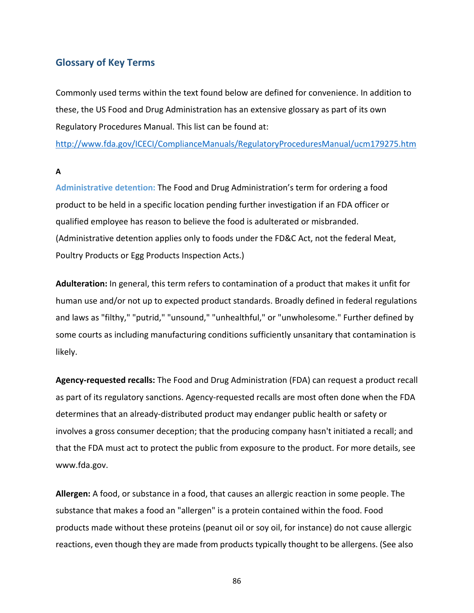# **Glossary of Key Terms**

Commonly used terms within the text found below are defined for convenience. In addition to these, the US Food and Drug Administration has an extensive glossary as part of its own Regulatory Procedures Manual. This list can be found at:

http://www.fda.gov/ICECI/ComplianceManuals/RegulatoryProceduresManual/ucm179275.htm

**A**

**Administrative detention:** The Food and Drug Administration's term for ordering a food product to be held in a specific location pending further investigation if an FDA officer or qualified employee has reason to believe the food is adulterated or misbranded. (Administrative detention applies only to foods under the FD&C Act, not the federal Meat, Poultry Products or Egg Products Inspection Acts.)

**Adulteration:** In general, this term refers to contamination of a product that makes it unfit for human use and/or not up to expected product standards. Broadly defined in federal regulations and laws as "filthy," "putrid," "unsound," "unhealthful," or "unwholesome." Further defined by some courts as including manufacturing conditions sufficiently unsanitary that contamination is likely.

**Agency‐requested recalls:** The Food and Drug Administration (FDA) can request a product recall as part of its regulatory sanctions. Agency-requested recalls are most often done when the FDA determines that an already‐distributed product may endanger public health or safety or involves a gross consumer deception; that the producing company hasn't initiated a recall; and that the FDA must act to protect the public from exposure to the product. For more details, see www.fda.gov.

**Allergen:** A food, or substance in a food, that causes an allergic reaction in some people. The substance that makes a food an "allergen" is a protein contained within the food. Food products made without these proteins (peanut oil or soy oil, for instance) do not cause allergic reactions, even though they are made from products typically thought to be allergens. (See also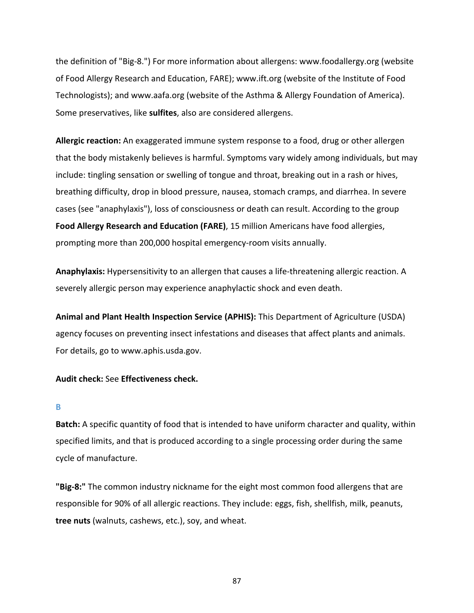the definition of "Big‐8.") For more information about allergens: www.foodallergy.org (website of Food Allergy Research and Education, FARE); www.ift.org (website of the Institute of Food Technologists); and www.aafa.org (website of the Asthma & Allergy Foundation of America). Some preservatives, like **sulfites**, also are considered allergens.

**Allergic reaction:** An exaggerated immune system response to a food, drug or other allergen that the body mistakenly believes is harmful. Symptoms vary widely among individuals, but may include: tingling sensation or swelling of tongue and throat, breaking out in a rash or hives, breathing difficulty, drop in blood pressure, nausea, stomach cramps, and diarrhea. In severe cases (see "anaphylaxis"), loss of consciousness or death can result. According to the group **Food Allergy Research and Education (FARE)**, 15 million Americans have food allergies, prompting more than 200,000 hospital emergency‐room visits annually.

Anaphylaxis: Hypersensitivity to an allergen that causes a life-threatening allergic reaction. A severely allergic person may experience anaphylactic shock and even death.

**Animal and Plant Health Inspection Service (APHIS):** This Department of Agriculture (USDA) agency focuses on preventing insect infestations and diseases that affect plants and animals. For details, go to www.aphis.usda.gov.

## **Audit check:** See **Effectiveness check.**

#### **B**

**Batch:** A specific quantity of food that is intended to have uniform character and quality, within specified limits, and that is produced according to a single processing order during the same cycle of manufacture.

**"Big‐8:"** The common industry nickname for the eight most common food allergens that are responsible for 90% of all allergic reactions. They include: eggs, fish, shellfish, milk, peanuts, **tree nuts** (walnuts, cashews, etc.), soy, and wheat.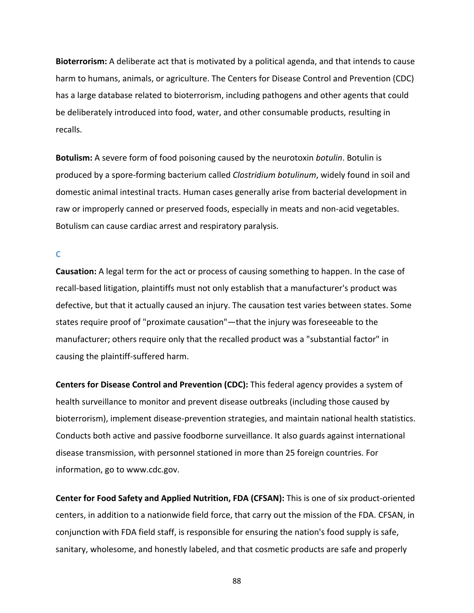**Bioterrorism:** A deliberate act that is motivated by a political agenda, and that intends to cause harm to humans, animals, or agriculture. The Centers for Disease Control and Prevention (CDC) has a large database related to bioterrorism, including pathogens and other agents that could be deliberately introduced into food, water, and other consumable products, resulting in recalls.

**Botulism:** A severe form of food poisoning caused by the neurotoxin *botulin*. Botulin is produced by a spore‐forming bacterium called *Clostridium botulinum*, widely found in soil and domestic animal intestinal tracts. Human cases generally arise from bacterial development in raw or improperly canned or preserved foods, especially in meats and non-acid vegetables. Botulism can cause cardiac arrest and respiratory paralysis.

**C**

**Causation:** A legal term for the act or process of causing something to happen. In the case of recall‐based litigation, plaintiffs must not only establish that a manufacturer's product was defective, but that it actually caused an injury. The causation test varies between states. Some states require proof of "proximate causation"—that the injury was foreseeable to the manufacturer; others require only that the recalled product was a "substantial factor" in causing the plaintiff‐suffered harm.

**Centers for Disease Control and Prevention (CDC):** This federal agency provides a system of health surveillance to monitor and prevent disease outbreaks (including those caused by bioterrorism), implement disease‐prevention strategies, and maintain national health statistics. Conducts both active and passive foodborne surveillance. It also guards against international disease transmission, with personnel stationed in more than 25 foreign countries. For information, go to www.cdc.gov.

**Center for Food Safety and Applied Nutrition, FDA (CFSAN):** This is one of six product‐oriented centers, in addition to a nationwide field force, that carry out the mission of the FDA. CFSAN, in conjunction with FDA field staff, is responsible for ensuring the nation's food supply is safe, sanitary, wholesome, and honestly labeled, and that cosmetic products are safe and properly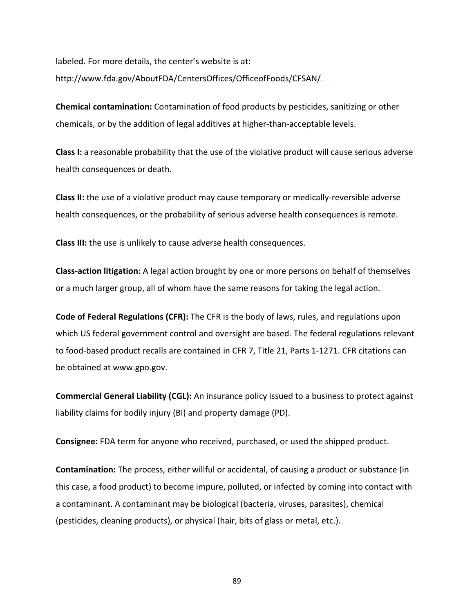labeled. For more details, the center's website is at: http://www.fda.gov/AboutFDA/CentersOffices/OfficeofFoods/CFSAN/.

**Chemical contamination:** Contamination of food products by pesticides, sanitizing or other chemicals, or by the addition of legal additives at higher-than-acceptable levels.

**Class I:** a reasonable probability that the use of the violative product will cause serious adverse health consequences or death.

**Class II:** the use of a violative product may cause temporary or medically‐reversible adverse health consequences, or the probability of serious adverse health consequences is remote.

**Class III:** the use is unlikely to cause adverse health consequences.

**Class‐action litigation:** A legal action brought by one or more persons on behalf of themselves or a much larger group, all of whom have the same reasons for taking the legal action.

**Code of Federal Regulations (CFR):** The CFR is the body of laws, rules, and regulations upon which US federal government control and oversight are based. The federal regulations relevant to food‐based product recalls are contained in CFR 7, Title 21, Parts 1‐1271. CFR citations can be obtained at www.gpo.gov.

**Commercial General Liability (CGL):** An insurance policy issued to a business to protect against liability claims for bodily injury (BI) and property damage (PD).

**Consignee:** FDA term for anyone who received, purchased, or used the shipped product.

**Contamination:** The process, either willful or accidental, of causing a product or substance (in this case, a food product) to become impure, polluted, or infected by coming into contact with a contaminant. A contaminant may be biological (bacteria, viruses, parasites), chemical (pesticides, cleaning products), or physical (hair, bits of glass or metal, etc.).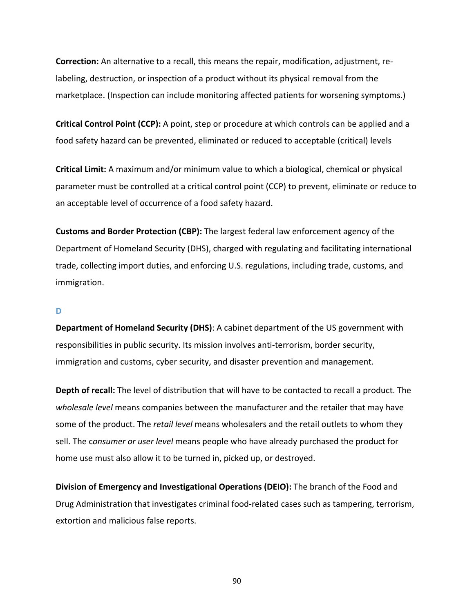**Correction:** An alternative to a recall, this means the repair, modification, adjustment, re‐ labeling, destruction, or inspection of a product without its physical removal from the marketplace. (Inspection can include monitoring affected patients for worsening symptoms.)

**Critical Control Point (CCP):** A point, step or procedure at which controls can be applied and a food safety hazard can be prevented, eliminated or reduced to acceptable (critical) levels

**Critical Limit:** A maximum and/or minimum value to which a biological, chemical or physical parameter must be controlled at a critical control point (CCP) to prevent, eliminate or reduce to an acceptable level of occurrence of a food safety hazard.

**Customs and Border Protection (CBP):** The largest federal law enforcement agency of the Department of Homeland Security (DHS), charged with regulating and facilitating international trade, collecting import duties, and enforcing U.S. regulations, including trade, customs, and immigration.

## **D**

**Department of Homeland Security (DHS)**: A cabinet department of the US government with responsibilities in public security. Its mission involves anti-terrorism, border security, immigration and customs, cyber security, and disaster prevention and management.

**Depth of recall:** The level of distribution that will have to be contacted to recall a product. The *wholesale level* means companies between the manufacturer and the retailer that may have some of the product. The *retail level* means wholesalers and the retail outlets to whom they sell. The c*onsumer or user level* means people who have already purchased the product for home use must also allow it to be turned in, picked up, or destroyed.

**Division of Emergency and Investigational Operations (DEIO):** The branch of the Food and Drug Administration that investigates criminal food‐related cases such as tampering, terrorism, extortion and malicious false reports.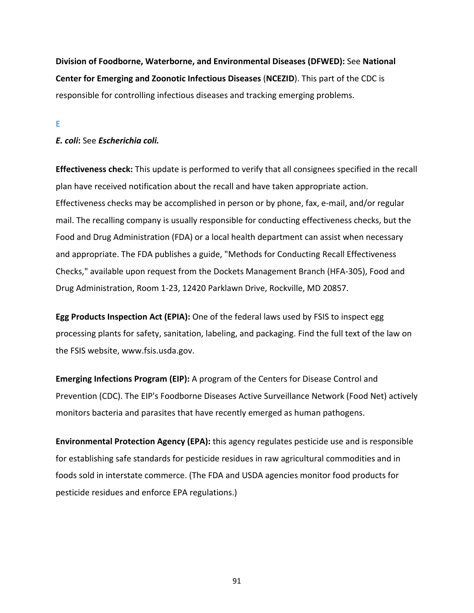**Division of Foodborne, Waterborne, and Environmental Diseases (DFWED):** See **National Center for Emerging and Zoonotic Infectious Diseases** (**NCEZID**). This part of the CDC is responsible for controlling infectious diseases and tracking emerging problems.

**E**

# *E. coli***:** See *Escherichia coli.*

**Effectiveness check:** This update is performed to verify that all consignees specified in the recall plan have received notification about the recall and have taken appropriate action. Effectiveness checks may be accomplished in person or by phone, fax, e-mail, and/or regular mail. The recalling company is usually responsible for conducting effectiveness checks, but the Food and Drug Administration (FDA) or a local health department can assist when necessary and appropriate. The FDA publishes a guide, "Methods for Conducting Recall Effectiveness Checks," available upon request from the Dockets Management Branch (HFA‐305), Food and Drug Administration, Room 1‐23, 12420 Parklawn Drive, Rockville, MD 20857.

**Egg Products Inspection Act (EPIA):** One of the federal laws used by FSIS to inspect egg processing plants for safety, sanitation, labeling, and packaging. Find the full text of the law on the FSIS website, www.fsis.usda.gov.

**Emerging Infections Program (EIP):** A program of the Centers for Disease Control and Prevention (CDC). The EIP's Foodborne Diseases Active Surveillance Network (Food Net) actively monitors bacteria and parasites that have recently emerged as human pathogens.

**Environmental Protection Agency (EPA):** this agency regulates pesticide use and is responsible for establishing safe standards for pesticide residues in raw agricultural commodities and in foods sold in interstate commerce. (The FDA and USDA agencies monitor food products for pesticide residues and enforce EPA regulations.)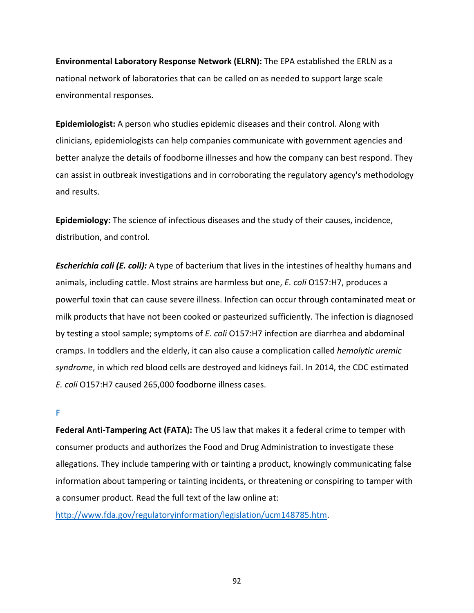**Environmental Laboratory Response Network (ELRN):** The EPA established the ERLN as a national network of laboratories that can be called on as needed to support large scale environmental responses.

**Epidemiologist:** A person who studies epidemic diseases and their control. Along with clinicians, epidemiologists can help companies communicate with government agencies and better analyze the details of foodborne illnesses and how the company can best respond. They can assist in outbreak investigations and in corroborating the regulatory agency's methodology and results.

**Epidemiology:** The science of infectious diseases and the study of their causes, incidence, distribution, and control.

*Escherichia coli (E. coli):* A type of bacterium that lives in the intestines of healthy humans and animals, including cattle. Most strains are harmless but one, *E. coli* O157:H7, produces a powerful toxin that can cause severe illness. Infection can occur through contaminated meat or milk products that have not been cooked or pasteurized sufficiently. The infection is diagnosed by testing a stool sample; symptoms of *E. coli* O157:H7 infection are diarrhea and abdominal cramps. In toddlers and the elderly, it can also cause a complication called *hemolytic uremic syndrome*, in which red blood cells are destroyed and kidneys fail. In 2014, the CDC estimated *E. coli* O157:H7 caused 265,000 foodborne illness cases.

## **F**

**Federal Anti‐Tampering Act (FATA):** The US law that makes it a federal crime to temper with consumer products and authorizes the Food and Drug Administration to investigate these allegations. They include tampering with or tainting a product, knowingly communicating false information about tampering or tainting incidents, or threatening or conspiring to tamper with a consumer product. Read the full text of the law online at:

http://www.fda.gov/regulatoryinformation/legislation/ucm148785.htm.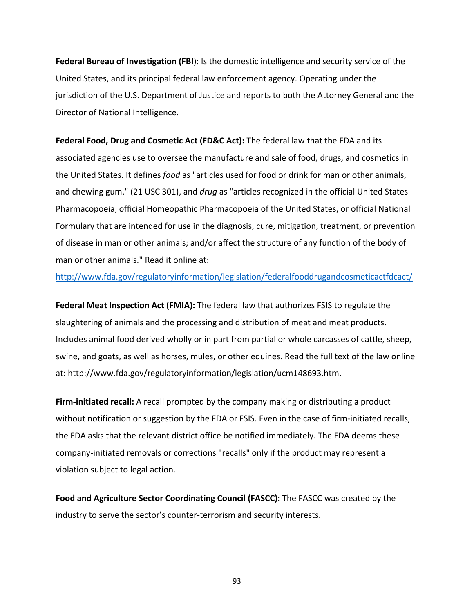**Federal Bureau of Investigation (FBI**): Is the domestic intelligence and security service of the United States, and its principal federal law enforcement agency. Operating under the jurisdiction of the U.S. Department of Justice and reports to both the Attorney General and the Director of National Intelligence.

**Federal Food, Drug and Cosmetic Act (FD&C Act):** The federal law that the FDA and its associated agencies use to oversee the manufacture and sale of food, drugs, and cosmetics in the United States. It defines *food* as "articles used for food or drink for man or other animals, and chewing gum." (21 USC 301), and *drug* as "articles recognized in the official United States Pharmacopoeia, official Homeopathic Pharmacopoeia of the United States, or official National Formulary that are intended for use in the diagnosis, cure, mitigation, treatment, or prevention of disease in man or other animals; and/or affect the structure of any function of the body of man or other animals." Read it online at:

http://www.fda.gov/regulatoryinformation/legislation/federalfooddrugandcosmeticactfdcact/

**Federal Meat Inspection Act (FMIA):** The federal law that authorizes FSIS to regulate the slaughtering of animals and the processing and distribution of meat and meat products. Includes animal food derived wholly or in part from partial or whole carcasses of cattle, sheep, swine, and goats, as well as horses, mules, or other equines. Read the full text of the law online at: http://www.fda.gov/regulatoryinformation/legislation/ucm148693.htm.

**Firm‐initiated recall:** A recall prompted by the company making or distributing a product without notification or suggestion by the FDA or FSIS. Even in the case of firm-initiated recalls, the FDA asks that the relevant district office be notified immediately. The FDA deems these company‐initiated removals or corrections "recalls" only if the product may represent a violation subject to legal action.

**Food and Agriculture Sector Coordinating Council (FASCC):** The FASCC was created by the industry to serve the sector's counter‐terrorism and security interests.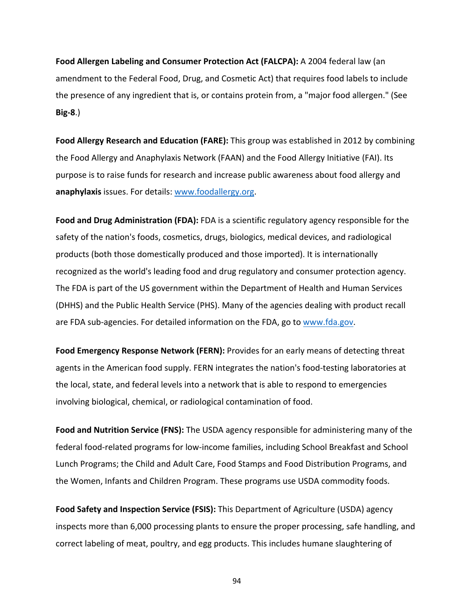**Food Allergen Labeling and Consumer Protection Act (FALCPA):** A 2004 federal law (an amendment to the Federal Food, Drug, and Cosmetic Act) that requires food labels to include the presence of any ingredient that is, or contains protein from, a "major food allergen." (See **Big‐8**.)

**Food Allergy Research and Education (FARE):** This group was established in 2012 by combining the Food Allergy and Anaphylaxis Network (FAAN) and the Food Allergy Initiative (FAI). Its purpose is to raise funds for research and increase public awareness about food allergy and **anaphylaxis** issues. For details: www.foodallergy.org.

**Food and Drug Administration (FDA):** FDA is a scientific regulatory agency responsible for the safety of the nation's foods, cosmetics, drugs, biologics, medical devices, and radiological products (both those domestically produced and those imported). It is internationally recognized as the world's leading food and drug regulatory and consumer protection agency. The FDA is part of the US government within the Department of Health and Human Services (DHHS) and the Public Health Service (PHS). Many of the agencies dealing with product recall are FDA sub-agencies. For detailed information on the FDA, go to www.fda.gov.

**Food Emergency Response Network (FERN):** Provides for an early means of detecting threat agents in the American food supply. FERN integrates the nation's food-testing laboratories at the local, state, and federal levels into a network that is able to respond to emergencies involving biological, chemical, or radiological contamination of food.

**Food and Nutrition Service (FNS):** The USDA agency responsible for administering many of the federal food‐related programs for low‐income families, including School Breakfast and School Lunch Programs; the Child and Adult Care, Food Stamps and Food Distribution Programs, and the Women, Infants and Children Program. These programs use USDA commodity foods.

**Food Safety and Inspection Service (FSIS):** This Department of Agriculture (USDA) agency inspects more than 6,000 processing plants to ensure the proper processing, safe handling, and correct labeling of meat, poultry, and egg products. This includes humane slaughtering of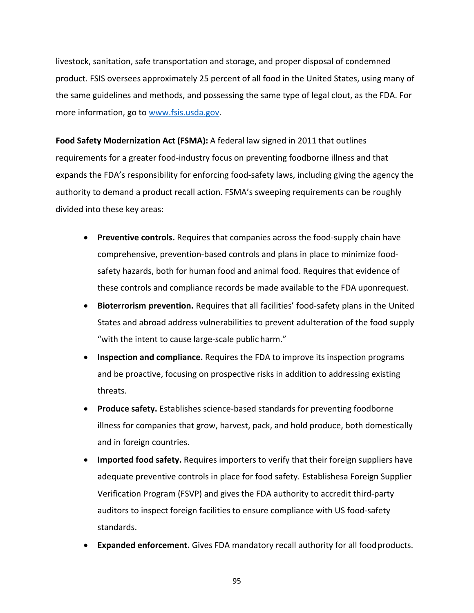livestock, sanitation, safe transportation and storage, and proper disposal of condemned product. FSIS oversees approximately 25 percent of all food in the United States, using many of the same guidelines and methods, and possessing the same type of legal clout, as the FDA. For more information, go to www.fsis.usda.gov.

**Food Safety Modernization Act (FSMA):** A federal law signed in 2011 that outlines requirements for a greater food‐industry focus on preventing foodborne illness and that expands the FDA's responsibility for enforcing food-safety laws, including giving the agency the authority to demand a product recall action. FSMA's sweeping requirements can be roughly divided into these key areas:

- **Preventive controls.** Requires that companies across the food-supply chain have comprehensive, prevention‐based controls and plans in place to minimize food‐ safety hazards, both for human food and animal food. Requires that evidence of these controls and compliance records be made available to the FDA uponrequest.
- **Bioterrorism prevention.** Requires that all facilities' food-safety plans in the United States and abroad address vulnerabilities to prevent adulteration of the food supply "with the intent to cause large‐scale public harm."
- **Inspection and compliance.** Requires the FDA to improve its inspection programs and be proactive, focusing on prospective risks in addition to addressing existing threats.
- **Produce safety.** Establishes science‐based standards for preventing foodborne illness for companies that grow, harvest, pack, and hold produce, both domestically and in foreign countries.
- **Imported food safety.** Requires importers to verify that their foreign suppliers have adequate preventive controls in place for food safety. Establishesa Foreign Supplier Verification Program (FSVP) and gives the FDA authority to accredit third‐party auditors to inspect foreign facilities to ensure compliance with US food‐safety standards.
- **Expanded enforcement.** Gives FDA mandatory recall authority for all foodproducts.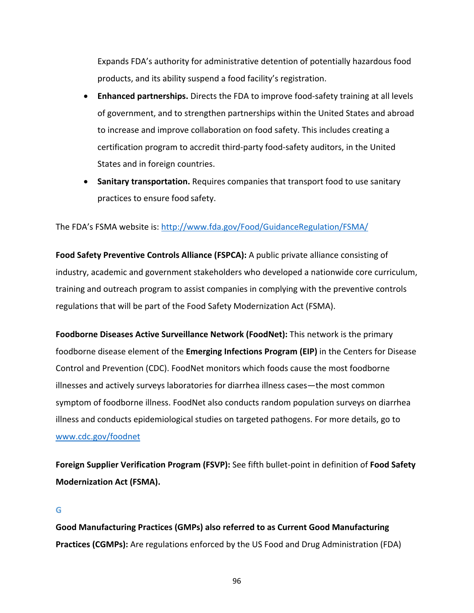Expands FDA's authority for administrative detention of potentially hazardous food products, and its ability suspend a food facility's registration.

- **Enhanced partnerships.** Directs the FDA to improve food-safety training at all levels of government, and to strengthen partnerships within the United States and abroad to increase and improve collaboration on food safety. This includes creating a certification program to accredit third‐party food‐safety auditors, in the United States and in foreign countries.
- **Sanitary transportation.** Requires companies that transport food to use sanitary practices to ensure food safety.

# The FDA's FSMA website is: http://www.fda.gov/Food/GuidanceRegulation/FSMA/

**Food Safety Preventive Controls Alliance (FSPCA):** A public private alliance consisting of industry, academic and government stakeholders who developed a nationwide core curriculum, training and outreach program to assist companies in complying with the preventive controls regulations that will be part of the Food Safety Modernization Act (FSMA).

**Foodborne Diseases Active Surveillance Network (FoodNet):** This network is the primary foodborne disease element of the **Emerging Infections Program (EIP)** in the Centers for Disease Control and Prevention (CDC). FoodNet monitors which foods cause the most foodborne illnesses and actively surveys laboratories for diarrhea illness cases—the most common symptom of foodborne illness. FoodNet also conducts random population surveys on diarrhea illness and conducts epidemiological studies on targeted pathogens. For more details, go to www.cdc.gov/foodnet

**Foreign Supplier Verification Program (FSVP):** See fifth bullet‐point in definition of **Food Safety Modernization Act (FSMA).**

# **G**

**Good Manufacturing Practices (GMPs) also referred to as Current Good Manufacturing Practices (CGMPs):** Are regulations enforced by the US Food and Drug Administration (FDA)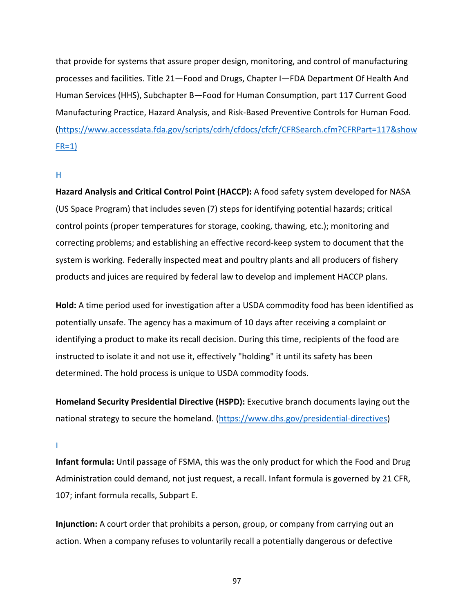that provide for systems that assure proper design, monitoring, and control of manufacturing processes and facilities. Title 21—Food and Drugs, Chapter I—FDA Department Of Health And Human Services (HHS), Subchapter B—Food for Human Consumption, part 117 Current Good Manufacturing Practice, Hazard Analysis, and Risk‐Based Preventive Controls for Human Food. (https://www.accessdata.fda.gov/scripts/cdrh/cfdocs/cfcfr/CFRSearch.cfm?CFRPart=117&show  $FR=1$ )

## **H**

**Hazard Analysis and Critical Control Point (HACCP):** A food safety system developed for NASA (US Space Program) that includes seven (7) steps for identifying potential hazards; critical control points (proper temperatures for storage, cooking, thawing, etc.); monitoring and correcting problems; and establishing an effective record-keep system to document that the system is working. Federally inspected meat and poultry plants and all producers of fishery products and juices are required by federal law to develop and implement HACCP plans.

**Hold:** A time period used for investigation after a USDA commodity food has been identified as potentially unsafe. The agency has a maximum of 10 days after receiving a complaint or identifying a product to make its recall decision. During this time, recipients of the food are instructed to isolate it and not use it, effectively "holding" it until its safety has been determined. The hold process is unique to USDA commodity foods.

**Homeland Security Presidential Directive (HSPD):** Executive branch documents laying out the national strategy to secure the homeland. (https://www.dhs.gov/presidential-directives)

**I**

**Infant formula:** Until passage of FSMA, this was the only product for which the Food and Drug Administration could demand, not just request, a recall. Infant formula is governed by 21 CFR, 107; infant formula recalls, Subpart E.

**Injunction:** A court order that prohibits a person, group, or company from carrying out an action. When a company refuses to voluntarily recall a potentially dangerous or defective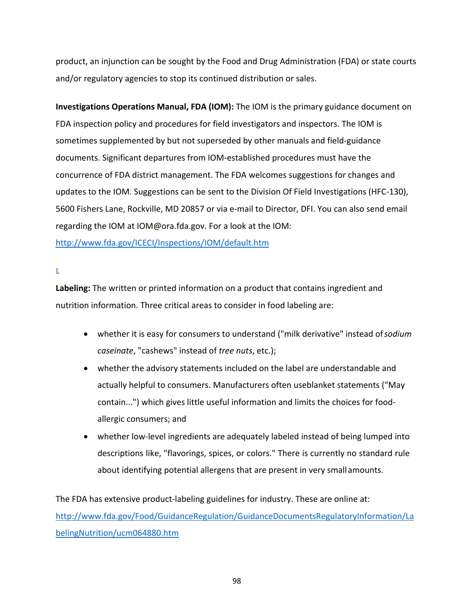product, an injunction can be sought by the Food and Drug Administration (FDA) or state courts and/or regulatory agencies to stop its continued distribution or sales.

**Investigations Operations Manual, FDA (IOM):** The IOM is the primary guidance document on FDA inspection policy and procedures for field investigators and inspectors. The IOM is sometimes supplemented by but not superseded by other manuals and field-guidance documents. Significant departures from IOM‐established procedures must have the concurrence of FDA district management. The FDA welcomes suggestions for changes and updates to the IOM. Suggestions can be sent to the Division Of Field Investigations (HFC‐130), 5600 Fishers Lane, Rockville, MD 20857 or via e‐mail to Director, DFI. You can also send email regarding the IOM at IOM@ora.fda.gov. For a look at the IOM:

http://www.fda.gov/ICECI/Inspections/IOM/default.htm

**L**

**Labeling:** The written or printed information on a product that contains ingredient and nutrition information. Three critical areas to consider in food labeling are:

- whether it is easy for consumers to understand ("milk derivative" instead of*sodium caseinate*, "cashews" instead of *tree nuts*, etc.);
- whether the advisory statements included on the label are understandable and actually helpful to consumers. Manufacturers often useblanket statements ("May contain...") which gives little useful information and limits the choices for food‐ allergic consumers; and
- whether low-level ingredients are adequately labeled instead of being lumped into descriptions like, "flavorings, spices, or colors." There is currently no standard rule about identifying potential allergens that are present in very smallamounts.

The FDA has extensive product-labeling guidelines for industry. These are online at: http://www.fda.gov/Food/GuidanceRegulation/GuidanceDocumentsRegulatoryInformation/La belingNutrition/ucm064880.htm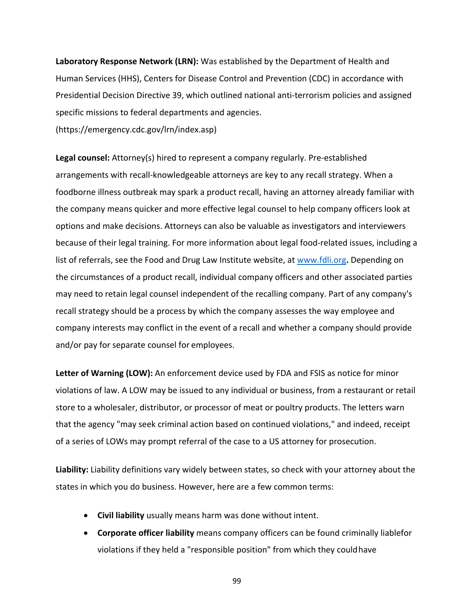**Laboratory Response Network (LRN):** Was established by the Department of Health and Human Services (HHS), Centers for Disease Control and Prevention (CDC) in accordance with Presidential Decision Directive 39, which outlined national anti‐terrorism policies and assigned specific missions to federal departments and agencies.

(https://emergency.cdc.gov/lrn/index.asp)

**Legal counsel:** Attorney(s) hired to represent a company regularly. Pre‐established arrangements with recall-knowledgeable attorneys are key to any recall strategy. When a foodborne illness outbreak may spark a product recall, having an attorney already familiar with the company means quicker and more effective legal counsel to help company officers look at options and make decisions. Attorneys can also be valuable as investigators and interviewers because of their legal training. For more information about legal food-related issues, including a list of referrals, see the Food and Drug Law Institute website, at www.fdli.org**.** Depending on the circumstances of a product recall, individual company officers and other associated parties may need to retain legal counsel independent of the recalling company. Part of any company's recall strategy should be a process by which the company assesses the way employee and company interests may conflict in the event of a recall and whether a company should provide and/or pay for separate counsel for employees.

**Letter of Warning (LOW):** An enforcement device used by FDA and FSIS as notice for minor violations of law. A LOW may be issued to any individual or business, from a restaurant or retail store to a wholesaler, distributor, or processor of meat or poultry products. The letters warn that the agency "may seek criminal action based on continued violations," and indeed, receipt of a series of LOWs may prompt referral of the case to a US attorney for prosecution.

**Liability:** Liability definitions vary widely between states, so check with your attorney about the states in which you do business. However, here are a few common terms:

- **Civil liability** usually means harm was done without intent.
- **Corporate officer liability** means company officers can be found criminally liablefor violations if they held a "responsible position" from which they couldhave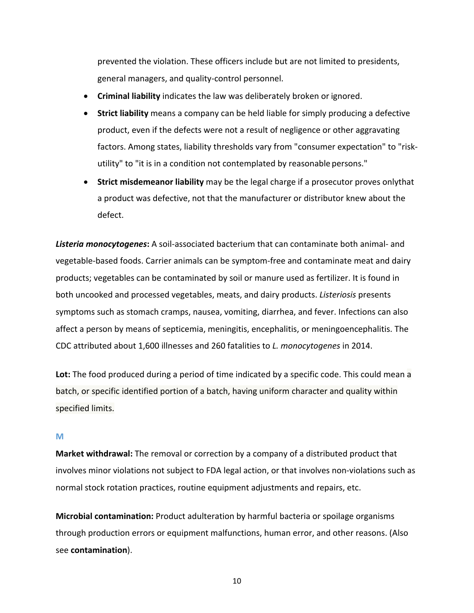prevented the violation. These officers include but are not limited to presidents, general managers, and quality‐control personnel.

- **Criminal liability** indicates the law was deliberately broken or ignored.
- **Strict liability** means a company can be held liable for simply producing a defective product, even if the defects were not a result of negligence or other aggravating factors. Among states, liability thresholds vary from "consumer expectation" to "risk‐ utility" to "it is in a condition not contemplated by reasonable persons."
- **Strict misdemeanor liability** may be the legal charge if a prosecutor proves onlythat a product was defective, not that the manufacturer or distributor knew about the defect.

*Listeria monocytogenes***:** A soil‐associated bacterium that can contaminate both animal‐ and vegetable‐based foods. Carrier animals can be symptom‐free and contaminate meat and dairy products; vegetables can be contaminated by soil or manure used as fertilizer. It is found in both uncooked and processed vegetables, meats, and dairy products. *Listeriosis* presents symptoms such as stomach cramps, nausea, vomiting, diarrhea, and fever. Infections can also affect a person by means of septicemia, meningitis, encephalitis, or meningoencephalitis. The CDC attributed about 1,600 illnesses and 260 fatalities to *L. monocytogenes* in 2014.

**Lot:** The food produced during a period of time indicated by a specific code. This could mean a batch, or specific identified portion of a batch, having uniform character and quality within specified limits.

# **M**

**Market withdrawal:** The removal or correction by a company of a distributed product that involves minor violations not subject to FDA legal action, or that involves non‐violations such as normal stock rotation practices, routine equipment adjustments and repairs, etc.

**Microbial contamination:** Product adulteration by harmful bacteria or spoilage organisms through production errors or equipment malfunctions, human error, and other reasons. (Also see **contamination**).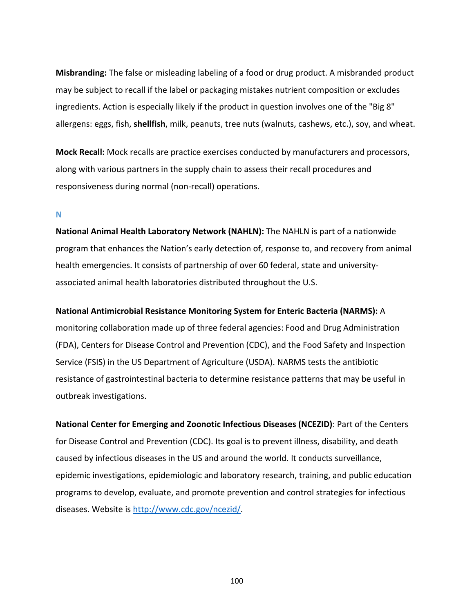**Misbranding:** The false or misleading labeling of a food or drug product. A misbranded product may be subject to recall if the label or packaging mistakes nutrient composition or excludes ingredients. Action is especially likely if the product in question involves one of the "Big 8" allergens: eggs, fish, **shellfish**, milk, peanuts, tree nuts (walnuts, cashews, etc.), soy, and wheat.

**Mock Recall:** Mock recalls are practice exercises conducted by manufacturers and processors, along with various partners in the supply chain to assess their recall procedures and responsiveness during normal (non‐recall) operations.

### **N**

**National Animal Health Laboratory Network (NAHLN):** The NAHLN is part of a nationwide program that enhances the Nation's early detection of, response to, and recovery from animal health emergencies. It consists of partnership of over 60 federal, state and universityassociated animal health laboratories distributed throughout the U.S.

## **National Antimicrobial Resistance Monitoring System for Enteric Bacteria (NARMS):** A

monitoring collaboration made up of three federal agencies: Food and Drug Administration (FDA), Centers for Disease Control and Prevention (CDC), and the Food Safety and Inspection Service (FSIS) in the US Department of Agriculture (USDA). NARMS tests the antibiotic resistance of gastrointestinal bacteria to determine resistance patterns that may be useful in outbreak investigations.

**National Center for Emerging and Zoonotic Infectious Diseases (NCEZID)**: Part of the Centers for Disease Control and Prevention (CDC). Its goal is to prevent illness, disability, and death caused by infectious diseases in the US and around the world. It conducts surveillance, epidemic investigations, epidemiologic and laboratory research, training, and public education programs to develop, evaluate, and promote prevention and control strategies for infectious diseases. Website is http://www.cdc.gov/ncezid/.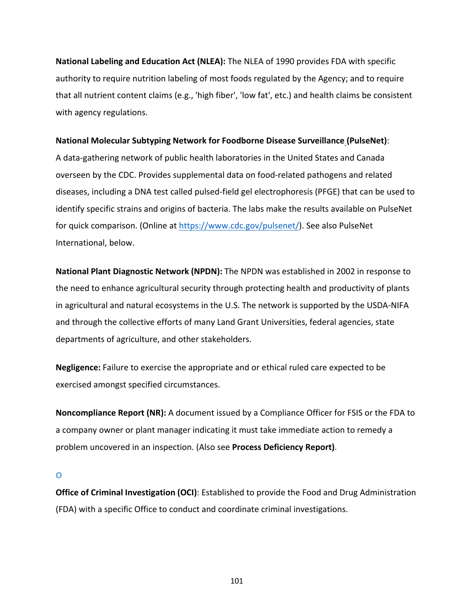**National Labeling and Education Act (NLEA):** The NLEA of 1990 provides FDA with specific authority to require nutrition labeling of most foods regulated by the Agency; and to require that all nutrient content claims (e.g., 'high fiber', 'low fat', etc.) and health claims be consistent with agency regulations.

## **National Molecular Subtyping Network for Foodborne Disease Surveillance (PulseNet)**:

A data‐gathering network of public health laboratories in the United States and Canada overseen by the CDC. Provides supplemental data on food‐related pathogens and related diseases, including a DNA test called pulsed‐field gel electrophoresis (PFGE) that can be used to identify specific strains and origins of bacteria. The labs make the results available on PulseNet for quick comparison. (Online at https://www.cdc.gov/pulsenet/). See also PulseNet International, below.

**National Plant Diagnostic Network (NPDN):** The NPDN was established in 2002 in response to the need to enhance agricultural security through protecting health and productivity of plants in agricultural and natural ecosystems in the U.S. The network is supported by the USDA‐NIFA and through the collective efforts of many Land Grant Universities, federal agencies, state departments of agriculture, and other stakeholders.

**Negligence:** Failure to exercise the appropriate and or ethical ruled care expected to be exercised amongst specified circumstances.

**Noncompliance Report (NR):** A document issued by a Compliance Officer for FSIS or the FDA to a company owner or plant manager indicating it must take immediate action to remedy a problem uncovered in an inspection. (Also see **Process Deficiency Report)**.

# **O**

**Office of Criminal Investigation (OCI)**: Established to provide the Food and Drug Administration (FDA) with a specific Office to conduct and coordinate criminal investigations.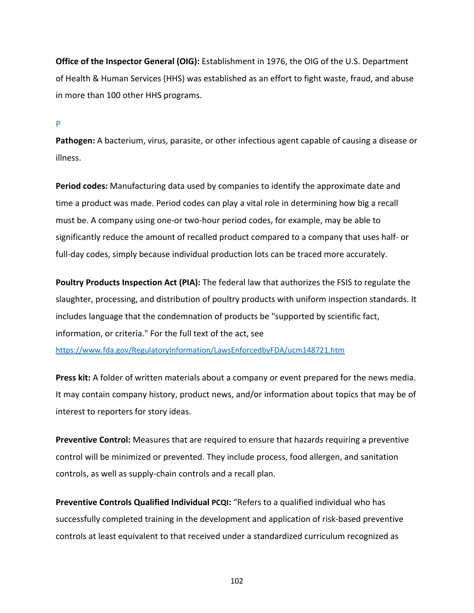**Office of the Inspector General (OIG):** Establishment in 1976, the OIG of the U.S. Department of Health & Human Services (HHS) was established as an effort to fight waste, fraud, and abuse in more than 100 other HHS programs.

### **P**

**Pathogen:** A bacterium, virus, parasite, or other infectious agent capable of causing a disease or illness.

**Period codes:** Manufacturing data used by companies to identify the approximate date and time a product was made. Period codes can play a vital role in determining how big a recall must be. A company using one-or two-hour period codes, for example, may be able to significantly reduce the amount of recalled product compared to a company that uses half‐ or full-day codes, simply because individual production lots can be traced more accurately.

**Poultry Products Inspection Act (PIA):** The federal law that authorizes the FSIS to regulate the slaughter, processing, and distribution of poultry products with uniform inspection standards. It includes language that the condemnation of products be "supported by scientific fact, information, or criteria." For the full text of the act, see

https://www.fda.gov/RegulatoryInformation/LawsEnforcedbyFDA/ucm148721.htm

**Press kit:** A folder of written materials about a company or event prepared for the news media. It may contain company history, product news, and/or information about topics that may be of interest to reporters for story ideas.

**Preventive Control:** Measures that are required to ensure that hazards requiring a preventive control will be minimized or prevented. They include process, food allergen, and sanitation controls, as well as supply‐chain controls and a recall plan.

**Preventive Controls Qualified Individual PCQI:** "Refers to a qualified individual who has successfully completed training in the development and application of risk‐based preventive controls at least equivalent to that received under a standardized curriculum recognized as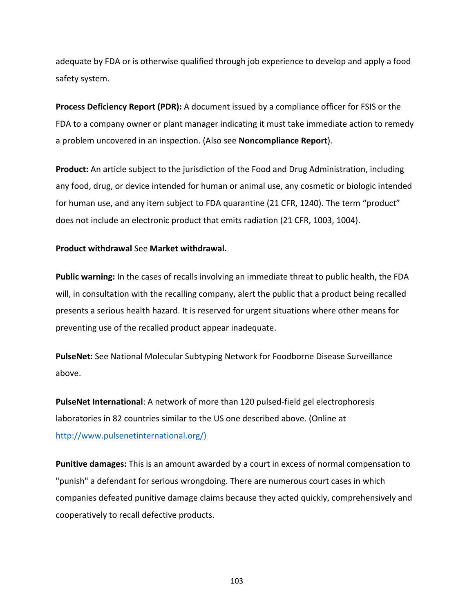adequate by FDA or is otherwise qualified through job experience to develop and apply a food safety system.

**Process Deficiency Report (PDR):** A document issued by a compliance officer for FSIS or the FDA to a company owner or plant manager indicating it must take immediate action to remedy a problem uncovered in an inspection. (Also see **Noncompliance Report**).

**Product:** An article subject to the jurisdiction of the Food and Drug Administration, including any food, drug, or device intended for human or animal use, any cosmetic or biologic intended for human use, and any item subject to FDA quarantine (21 CFR, 1240). The term "product" does not include an electronic product that emits radiation (21 CFR, 1003, 1004).

## **Product withdrawal** See **Market withdrawal.**

**Public warning:** In the cases of recalls involving an immediate threat to public health, the FDA will, in consultation with the recalling company, alert the public that a product being recalled presents a serious health hazard. It is reserved for urgent situations where other means for preventing use of the recalled product appear inadequate.

**PulseNet:** See National Molecular Subtyping Network for Foodborne Disease Surveillance above.

**PulseNet International**: A network of more than 120 pulsed‐field gel electrophoresis laboratories in 82 countries similar to the US one described above. (Online at http://www.pulsenetinternational.org/)

**Punitive damages:** This is an amount awarded by a court in excess of normal compensation to "punish" a defendant for serious wrongdoing. There are numerous court cases in which companies defeated punitive damage claims because they acted quickly, comprehensively and cooperatively to recall defective products.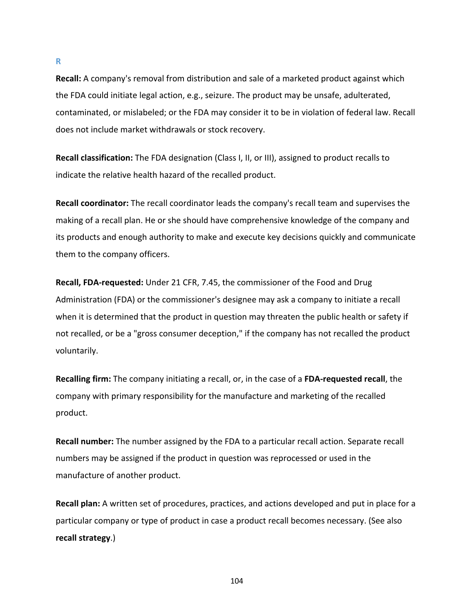**Recall:** A company's removal from distribution and sale of a marketed product against which the FDA could initiate legal action, e.g., seizure. The product may be unsafe, adulterated, contaminated, or mislabeled; or the FDA may consider it to be in violation of federal law. Recall does not include market withdrawals or stock recovery.

**Recall classification:** The FDA designation (Class I, II, or III), assigned to product recalls to indicate the relative health hazard of the recalled product.

**Recall coordinator:** The recall coordinator leads the company's recall team and supervises the making of a recall plan. He or she should have comprehensive knowledge of the company and its products and enough authority to make and execute key decisions quickly and communicate them to the company officers.

**Recall, FDA‐requested:** Under 21 CFR, 7.45, the commissioner of the Food and Drug Administration (FDA) or the commissioner's designee may ask a company to initiate a recall when it is determined that the product in question may threaten the public health or safety if not recalled, or be a "gross consumer deception," if the company has not recalled the product voluntarily.

**Recalling firm:** The company initiating a recall, or, in the case of a **FDA‐requested recall**, the company with primary responsibility for the manufacture and marketing of the recalled product.

**Recall number:** The number assigned by the FDA to a particular recall action. Separate recall numbers may be assigned if the product in question was reprocessed or used in the manufacture of another product.

**Recall plan:** A written set of procedures, practices, and actions developed and put in place for a particular company or type of product in case a product recall becomes necessary. (See also **recall strategy**.)

**R**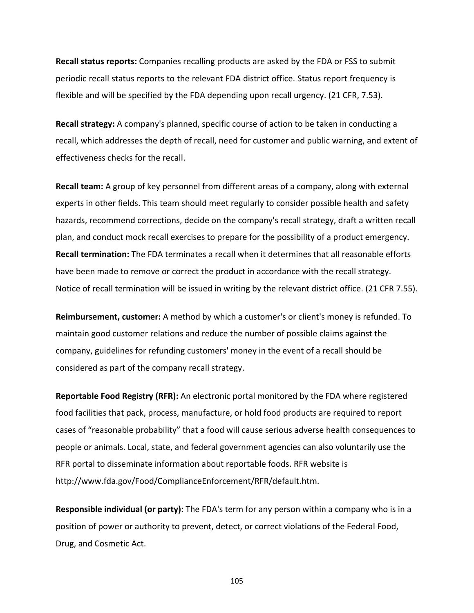**Recall status reports:** Companies recalling products are asked by the FDA or FSS to submit periodic recall status reports to the relevant FDA district office. Status report frequency is flexible and will be specified by the FDA depending upon recall urgency. (21 CFR, 7.53).

**Recall strategy:** A company's planned, specific course of action to be taken in conducting a recall, which addresses the depth of recall, need for customer and public warning, and extent of effectiveness checks for the recall.

**Recall team:** A group of key personnel from different areas of a company, along with external experts in other fields. This team should meet regularly to consider possible health and safety hazards, recommend corrections, decide on the company's recall strategy, draft a written recall plan, and conduct mock recall exercises to prepare for the possibility of a product emergency. **Recall termination:** The FDA terminates a recall when it determines that all reasonable efforts have been made to remove or correct the product in accordance with the recall strategy. Notice of recall termination will be issued in writing by the relevant district office. (21 CFR 7.55).

**Reimbursement, customer:** A method by which a customer's or client's money is refunded. To maintain good customer relations and reduce the number of possible claims against the company, guidelines for refunding customers' money in the event of a recall should be considered as part of the company recall strategy.

**Reportable Food Registry (RFR):** An electronic portal monitored by the FDA where registered food facilities that pack, process, manufacture, or hold food products are required to report cases of "reasonable probability" that a food will cause serious adverse health consequences to people or animals. Local, state, and federal government agencies can also voluntarily use the RFR portal to disseminate information about reportable foods. RFR website is http://www.fda.gov/Food/ComplianceEnforcement/RFR/default.htm.

**Responsible individual (or party):** The FDA's term for any person within a company who is in a position of power or authority to prevent, detect, or correct violations of the Federal Food, Drug, and Cosmetic Act.

105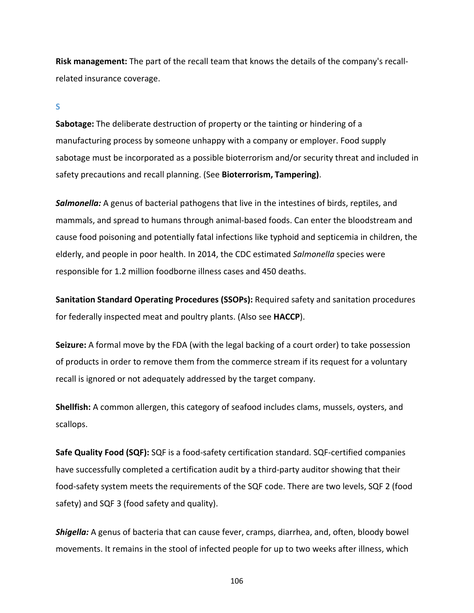**Risk management:** The part of the recall team that knows the details of the company's recall‐ related insurance coverage.

### **S**

**Sabotage:** The deliberate destruction of property or the tainting or hindering of a manufacturing process by someone unhappy with a company or employer. Food supply sabotage must be incorporated as a possible bioterrorism and/or security threat and included in safety precautions and recall planning. (See **Bioterrorism, Tampering)**.

*Salmonella:* A genus of bacterial pathogens that live in the intestines of birds, reptiles, and mammals, and spread to humans through animal‐based foods. Can enter the bloodstream and cause food poisoning and potentially fatal infections like typhoid and septicemia in children, the elderly, and people in poor health. In 2014, the CDC estimated *Salmonella* species were responsible for 1.2 million foodborne illness cases and 450 deaths.

**Sanitation Standard Operating Procedures (SSOPs):** Required safety and sanitation procedures for federally inspected meat and poultry plants. (Also see **HACCP**).

**Seizure:** A formal move by the FDA (with the legal backing of a court order) to take possession of products in order to remove them from the commerce stream if its request for a voluntary recall is ignored or not adequately addressed by the target company.

**Shellfish:** A common allergen, this category of seafood includes clams, mussels, oysters, and scallops.

**Safe Quality Food (SQF):** SQF is a food‐safety certification standard. SQF‐certified companies have successfully completed a certification audit by a third-party auditor showing that their food-safety system meets the requirements of the SQF code. There are two levels, SQF 2 (food safety) and SQF 3 (food safety and quality).

*Shigella:* A genus of bacteria that can cause fever, cramps, diarrhea, and, often, bloody bowel movements. It remains in the stool of infected people for up to two weeks after illness, which

106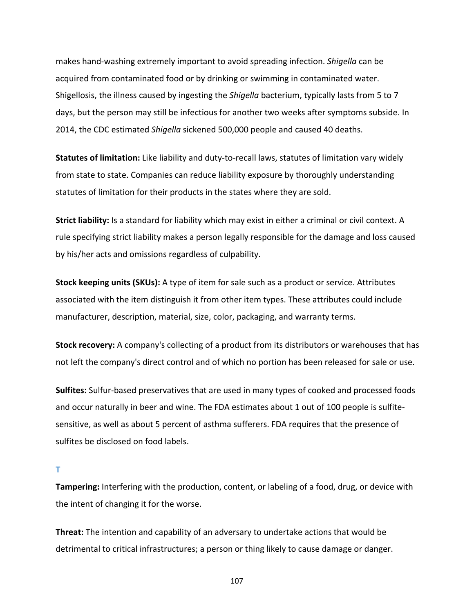makes hand‐washing extremely important to avoid spreading infection. *Shigella* can be acquired from contaminated food or by drinking or swimming in contaminated water. Shigellosis, the illness caused by ingesting the *Shigella* bacterium, typically lasts from 5 to 7 days, but the person may still be infectious for another two weeks after symptoms subside. In 2014, the CDC estimated *Shigella* sickened 500,000 people and caused 40 deaths.

**Statutes of limitation:** Like liability and duty‐to‐recall laws, statutes of limitation vary widely from state to state. Companies can reduce liability exposure by thoroughly understanding statutes of limitation for their products in the states where they are sold.

**Strict liability:** Is a standard for liability which may exist in either a criminal or civil context. A rule specifying strict liability makes a person legally responsible for the damage and loss caused by his/her acts and omissions regardless of culpability.

**Stock keeping units (SKUs):** A type of item for sale such as a product or service. Attributes associated with the item distinguish it from other item types. These attributes could include manufacturer, description, material, size, color, packaging, and warranty terms.

**Stock recovery:** A company's collecting of a product from its distributors or warehouses that has not left the company's direct control and of which no portion has been released for sale or use.

**Sulfites:** Sulfur‐based preservatives that are used in many types of cooked and processed foods and occur naturally in beer and wine. The FDA estimates about 1 out of 100 people is sulfitesensitive, as well as about 5 percent of asthma sufferers. FDA requires that the presence of sulfites be disclosed on food labels.

**T**

**Tampering:** Interfering with the production, content, or labeling of a food, drug, or device with the intent of changing it for the worse.

**Threat:** The intention and capability of an adversary to undertake actions that would be detrimental to critical infrastructures; a person or thing likely to cause damage or danger.

107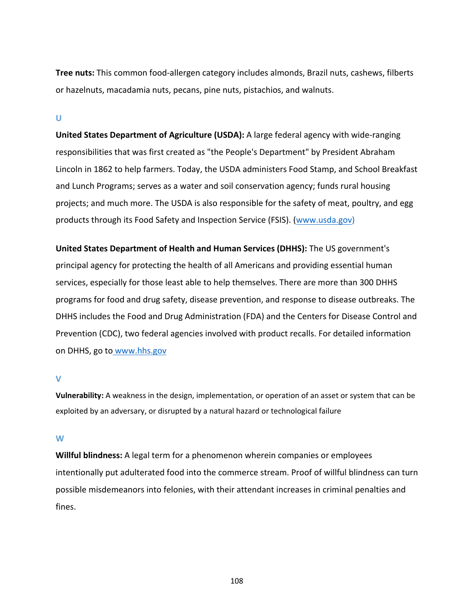**Tree nuts:** This common food‐allergen category includes almonds, Brazil nuts, cashews, filberts or hazelnuts, macadamia nuts, pecans, pine nuts, pistachios, and walnuts.

#### **U**

**United States Department of Agriculture (USDA):** A large federal agency with wide‐ranging responsibilities that was first created as "the People's Department" by President Abraham Lincoln in 1862 to help farmers. Today, the USDA administers Food Stamp, and School Breakfast and Lunch Programs; serves as a water and soil conservation agency; funds rural housing projects; and much more. The USDA is also responsible for the safety of meat, poultry, and egg products through its Food Safety and Inspection Service (FSIS). (www.usda.gov)

**United States Department of Health and Human Services (DHHS):** The US government's principal agency for protecting the health of all Americans and providing essential human services, especially for those least able to help themselves. There are more than 300 DHHS programs for food and drug safety, disease prevention, and response to disease outbreaks. The DHHS includes the Food and Drug Administration (FDA) and the Centers for Disease Control and Prevention (CDC), two federal agencies involved with product recalls. For detailed information on DHHS, go to www.hhs.gov

#### **V**

**Vulnerability:** A weakness in the design, implementation, or operation of an asset or system that can be exploited by an adversary, or disrupted by a natural hazard or technological failure

### **W**

**Willful blindness:** A legal term for a phenomenon wherein companies or employees intentionally put adulterated food into the commerce stream. Proof of willful blindness can turn possible misdemeanors into felonies, with their attendant increases in criminal penalties and fines.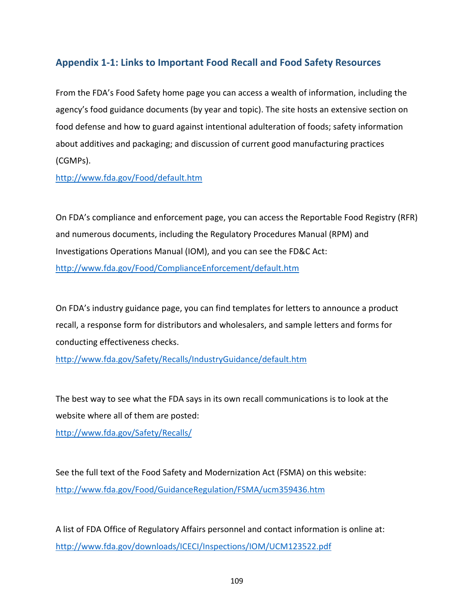# **Appendix 1‐1: Links to Important Food Recall and Food Safety Resources**

From the FDA's Food Safety home page you can access a wealth of information, including the agency's food guidance documents (by year and topic). The site hosts an extensive section on food defense and how to guard against intentional adulteration of foods; safety information about additives and packaging; and discussion of current good manufacturing practices (CGMPs).

http://www.fda.gov/Food/default.htm

On FDA's compliance and enforcement page, you can access the Reportable Food Registry (RFR) and numerous documents, including the Regulatory Procedures Manual (RPM) and Investigations Operations Manual (IOM), and you can see the FD&C Act: http://www.fda.gov/Food/ComplianceEnforcement/default.htm

On FDA's industry guidance page, you can find templates for letters to announce a product recall, a response form for distributors and wholesalers, and sample letters and forms for conducting effectiveness checks.

http://www.fda.gov/Safety/Recalls/IndustryGuidance/default.htm

The best way to see what the FDA says in its own recall communications is to look at the website where all of them are posted:

http://www.fda.gov/Safety/Recalls/

See the full text of the Food Safety and Modernization Act (FSMA) on this website: http://www.fda.gov/Food/GuidanceRegulation/FSMA/ucm359436.htm

A list of FDA Office of Regulatory Affairs personnel and contact information is online at: http://www.fda.gov/downloads/ICECI/Inspections/IOM/UCM123522.pdf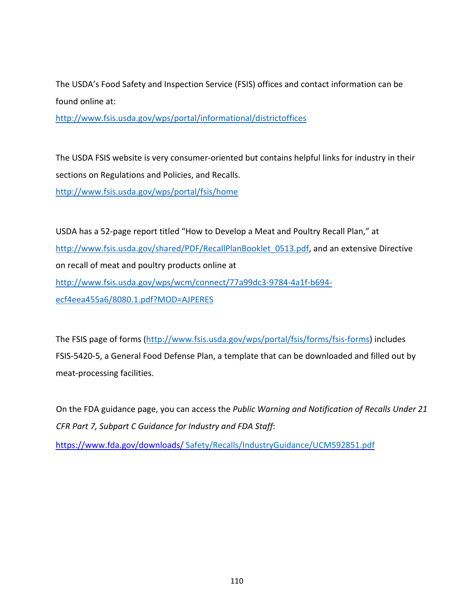The USDA's Food Safety and Inspection Service (FSIS) offices and contact information can be found online at:

http://www.fsis.usda.gov/wps/portal/informational/districtoffices

The USDA FSIS website is very consumer‐oriented but contains helpful links for industry in their sections on Regulations and Policies, and Recalls.

http://www.fsis.usda.gov/wps/portal/fsis/home

USDA has a 52‐page report titled "How to Develop a Meat and Poultry Recall Plan," at http://www.fsis.usda.gov/shared/PDF/RecallPlanBooklet\_0513.pdf, and an extensive Directive on recall of meat and poultry products online at http://www.fsis.usda.gov/wps/wcm/connect/77a99dc3‐9784‐4a1f‐b694‐ ecf4eea455a6/8080.1.pdf?MOD=AJPERES

The FSIS page of forms (http://www.fsis.usda.gov/wps/portal/fsis/forms/fsis-forms) includes FSIS‐5420‐5, a General Food Defense Plan, a template that can be downloaded and filled out by meat‐processing facilities.

On the FDA guidance page, you can access the *Public Warning and Notification of Recalls Under 21 CFR Part 7, Subpart C Guidance for Industry and FDA Staff*:

https://www.fda.gov/downloads/ Safety/Recalls/IndustryGuidance/UCM592851.pdf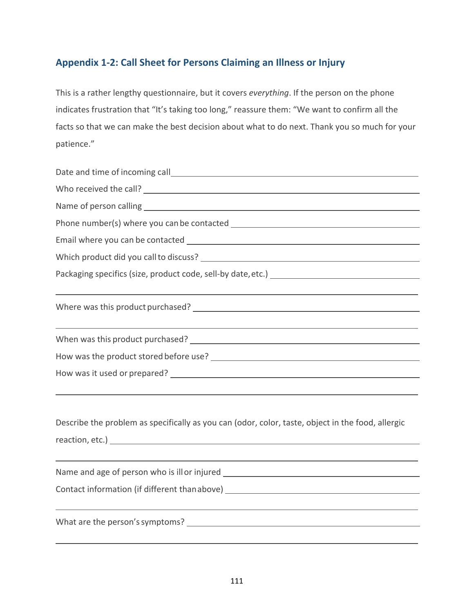# **Appendix 1‐2: Call Sheet for Persons Claiming an Illness or Injury**

This is a rather lengthy questionnaire, but it covers *everything*. If the person on the phone indicates frustration that "It's taking too long," reassure them: "We want to confirm all the facts so that we can make the best decision about what to do next. Thank you so much for your patience."

| <u> 1989 - Johann Stoff, amerikansk politiker (d. 1989)</u>                                                                                                          |
|----------------------------------------------------------------------------------------------------------------------------------------------------------------------|
|                                                                                                                                                                      |
|                                                                                                                                                                      |
|                                                                                                                                                                      |
| Describe the problem as specifically as you can (odor, color, taste, object in the food, allergic                                                                    |
| ,我们也不会有什么。""我们的人,我们也不会有什么?""我们的人,我们也不会有什么?""我们的人,我们的人,我们的人,我们的人,我们的人,我们的人,我们的人,我<br>Name and age of person who is ill or injured ___________________________________ |
| Contact information (if different thanabove) ___________________________________                                                                                     |
|                                                                                                                                                                      |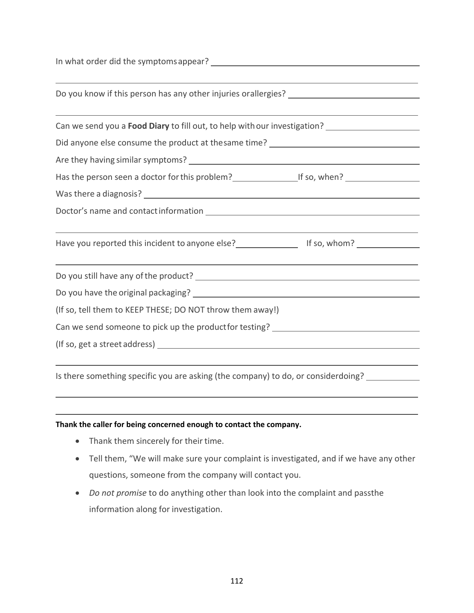In what order did the symptomsappear?

| Can we send you a Food Diary to fill out, to help with our investigation? _________________________                                                              |  |
|------------------------------------------------------------------------------------------------------------------------------------------------------------------|--|
| Did anyone else consume the product at thesame time? ____________________________                                                                                |  |
|                                                                                                                                                                  |  |
| Has the person seen a doctor for this problem?<br><u>Lettic and the solution</u> of so, when?                                                                    |  |
|                                                                                                                                                                  |  |
|                                                                                                                                                                  |  |
| ,我们也不会有什么。""我们的人,我们也不会有什么?""我们的人,我们也不会有什么?""我们的人,我们的人,我们也不会有什么?""我们的人,我们的人,我们的人,我<br>Have you reported this incident to anyone else?<br>The set of the so, whom? |  |
|                                                                                                                                                                  |  |
|                                                                                                                                                                  |  |
| (If so, tell them to KEEP THESE; DO NOT throw them away!)                                                                                                        |  |
| Can we send someone to pick up the product for testing? ________________________                                                                                 |  |
|                                                                                                                                                                  |  |

Is there something specific you are asking (the company) to do, or considerdoing?

#### **Thank the caller for being concerned enough to contact the company.**

- Thank them sincerely for their time.
- Tell them, "We will make sure your complaint is investigated, and if we have any other questions, someone from the company will contact you.
- *Do not promise* to do anything other than look into the complaint and passthe information along for investigation.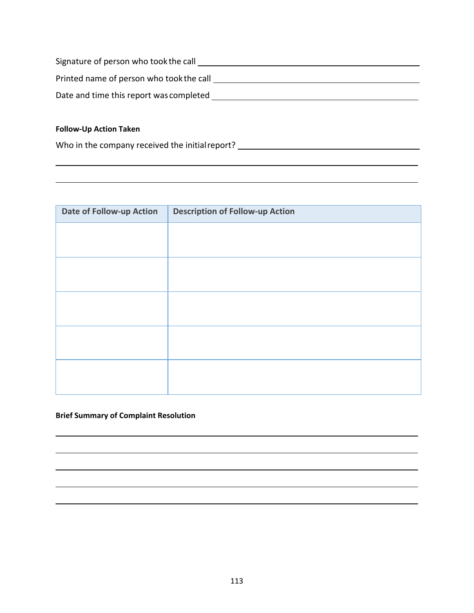| Signature of person who took the call    |  |
|------------------------------------------|--|
| Printed name of person who took the call |  |
| Date and time this report was completed  |  |

 $\overline{\phantom{0}}$ 

### **Follow‐Up Action Taken**

Who in the company received the initial report? \_\_\_\_\_\_\_\_\_\_\_\_\_\_\_\_\_\_\_\_\_\_\_\_\_\_\_\_\_\_\_\_

| Date of Follow-up Action | <b>Description of Follow-up Action</b> |
|--------------------------|----------------------------------------|
|                          |                                        |
|                          |                                        |
|                          |                                        |
|                          |                                        |
|                          |                                        |
|                          |                                        |
|                          |                                        |
|                          |                                        |
|                          |                                        |
|                          |                                        |

### **Brief Summary of Complaint Resolution**

,我们也不会有什么。""我们的人,我们也不会有什么?""我们的人,我们也不会有什么?""我们的人,我们也不会有什么?""我们的人,我们也不会有什么?""我们的人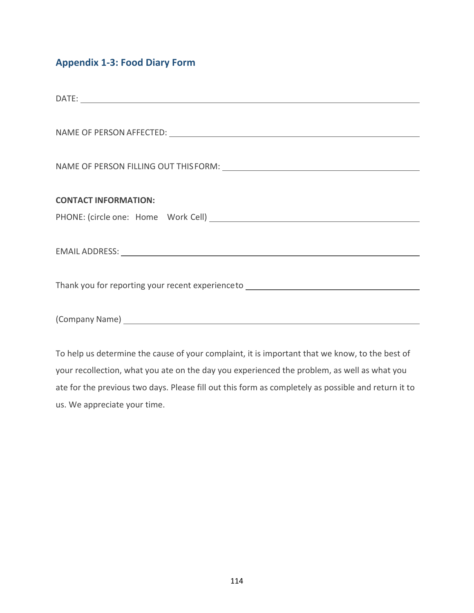# **Appendix 1‐3: Food Diary Form**

| <b>CONTACT INFORMATION:</b>                                                                                                                                                                                                    |
|--------------------------------------------------------------------------------------------------------------------------------------------------------------------------------------------------------------------------------|
|                                                                                                                                                                                                                                |
|                                                                                                                                                                                                                                |
|                                                                                                                                                                                                                                |
|                                                                                                                                                                                                                                |
| Thank you for reporting your recent experience to ______________________________                                                                                                                                               |
|                                                                                                                                                                                                                                |
| (Company Name) Lawrence and the company name of the company name of the company name of the company of the company of the company of the company of the company of the company of the company of the company of the company of |
|                                                                                                                                                                                                                                |

To help us determine the cause of your complaint, it is important that we know, to the best of your recollection, what you ate on the day you experienced the problem, as well as what you ate for the previous two days. Please fill out this form as completely as possible and return it to us. We appreciate your time.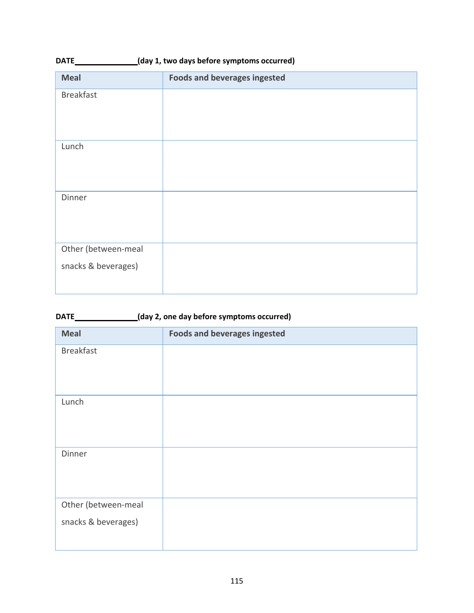| $\frac{1}{2}$ (and $\frac{1}{2}$ ) and any sector of symptoms occurred $\frac{1}{2}$ |                                     |  |
|--------------------------------------------------------------------------------------|-------------------------------------|--|
| <b>Meal</b>                                                                          | <b>Foods and beverages ingested</b> |  |
| <b>Breakfast</b>                                                                     |                                     |  |
|                                                                                      |                                     |  |
|                                                                                      |                                     |  |
| Lunch                                                                                |                                     |  |
|                                                                                      |                                     |  |
|                                                                                      |                                     |  |
| Dinner                                                                               |                                     |  |
|                                                                                      |                                     |  |
|                                                                                      |                                     |  |
| Other (between-meal                                                                  |                                     |  |
| snacks & beverages)                                                                  |                                     |  |
|                                                                                      |                                     |  |
|                                                                                      |                                     |  |

| (day 2, one day before symptoms occurred)<br>DATE___ |                                     |  |
|------------------------------------------------------|-------------------------------------|--|
| <b>Meal</b>                                          | <b>Foods and beverages ingested</b> |  |
| <b>Breakfast</b>                                     |                                     |  |
| Lunch                                                |                                     |  |
| Dinner                                               |                                     |  |
| Other (between-meal<br>snacks & beverages)           |                                     |  |

**DATE (day 1, two days before symptoms occurred)**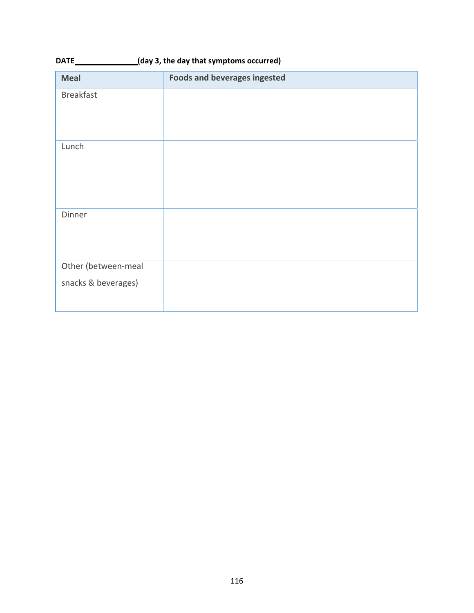| <b>Meal</b>         | <b>Foods and beverages ingested</b> |
|---------------------|-------------------------------------|
| <b>Breakfast</b>    |                                     |
|                     |                                     |
| Lunch               |                                     |
|                     |                                     |
|                     |                                     |
|                     |                                     |
| Dinner              |                                     |
|                     |                                     |
|                     |                                     |
| Other (between-meal |                                     |
| snacks & beverages) |                                     |
|                     |                                     |

**DATE**  $\qquad (day 3, the day that symptoms occurred)$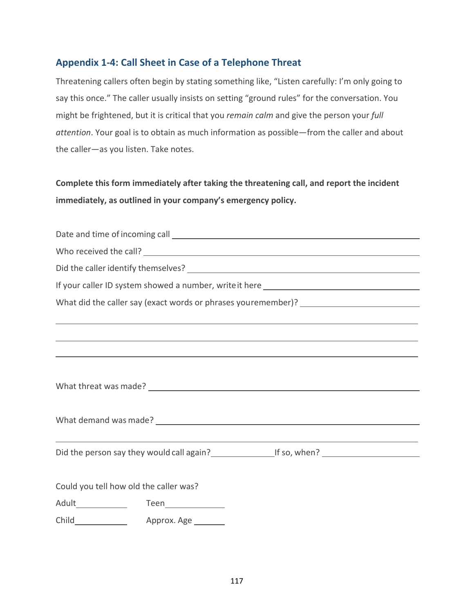# **Appendix 1‐4: Call Sheet in Case of a Telephone Threat**

Threatening callers often begin by stating something like, "Listen carefully: I'm only going to say this once." The caller usually insists on setting "ground rules" for the conversation. You might be frightened, but it is critical that you *remain calm* and give the person your *full attention*. Your goal is to obtain as much information as possible—from the caller and about the caller—as you listen. Take notes.

**Complete this form immediately after taking the threatening call, and report the incident immediately, as outlined in your company's emergency policy.**

| What did the caller say (exact words or phrases youremember)? ___________________                                                               |
|-------------------------------------------------------------------------------------------------------------------------------------------------|
| ,我们也不能在这里的时候,我们也不能在这里,我们也不能不能不能不能不能不能不能不能不能不能不能。""我们,我们也不能不能不能不能不能不能不能不能不能不能不能不能                                                                |
| ,我们也不能在这里的时候,我们也不能在这里的时候,我们也不能不能不能不能不能不能不能不能不能不能不能不能不能不能不能。<br>第2012章 我们的时候,我们的时候,我们的时候,我们的时候,我们的时候,我们的时候,我们的时候,我们的时候,我们的时候,我们的时候,我们的时候,我们的时候,我 |
| <u> 1989 - Andrea Santana, amerikana amerikana amerikana amerikana amerikana amerikana amerikana amerikana amerika</u>                          |
|                                                                                                                                                 |
|                                                                                                                                                 |
|                                                                                                                                                 |
|                                                                                                                                                 |
| <u> 1989 - Johann Stoff, amerikansk politiker (d. 1989)</u>                                                                                     |
|                                                                                                                                                 |
|                                                                                                                                                 |
| Could you tell how old the caller was?                                                                                                          |
| Adult______________  Teen_______________                                                                                                        |
|                                                                                                                                                 |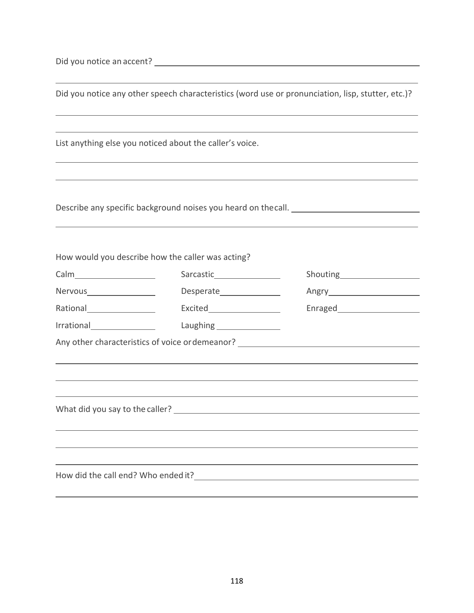Did you notice an accent?

|                                                   |                                                          | Did you notice any other speech characteristics (word use or pronunciation, lisp, stutter, etc.)?                                               |
|---------------------------------------------------|----------------------------------------------------------|-------------------------------------------------------------------------------------------------------------------------------------------------|
|                                                   |                                                          | <u> 1989 - Johann Stein, mars an deutscher Stein und der Stein und der Stein und der Stein und der Stein und der</u>                            |
|                                                   | List anything else you noticed about the caller's voice. |                                                                                                                                                 |
|                                                   |                                                          | ,我们也不能在这里的时候,我们也不能在这里的时候,我们也不能不能不能不能不能不能不能不能不能不能不能不能不能不能不能。<br>第2012章 我们的时候,我们的时候,我们的时候,我们的时候,我们的时候,我们的时候,我们的时候,我们的时候,我们的时候,我们的时候,我们的时候,我们的时候,我 |
|                                                   |                                                          | Describe any specific background noises you heard on thecall. _________________________                                                         |
|                                                   |                                                          |                                                                                                                                                 |
| How would you describe how the caller was acting? |                                                          |                                                                                                                                                 |
|                                                   |                                                          |                                                                                                                                                 |
|                                                   |                                                          |                                                                                                                                                 |
| Rational____________________                      | Excited______________________                            | Enraged______________________                                                                                                                   |
| Irrational Productional                           |                                                          |                                                                                                                                                 |
|                                                   |                                                          | Any other characteristics of voice or demeanor? ________________________________                                                                |
|                                                   |                                                          |                                                                                                                                                 |
|                                                   |                                                          |                                                                                                                                                 |
|                                                   |                                                          |                                                                                                                                                 |
|                                                   |                                                          |                                                                                                                                                 |
|                                                   |                                                          |                                                                                                                                                 |
|                                                   |                                                          |                                                                                                                                                 |
|                                                   |                                                          |                                                                                                                                                 |
| How did the call end? Who ended it?               |                                                          |                                                                                                                                                 |

<u> 1989 - Johann Stoff, amerikansk politiker (\* 1908)</u>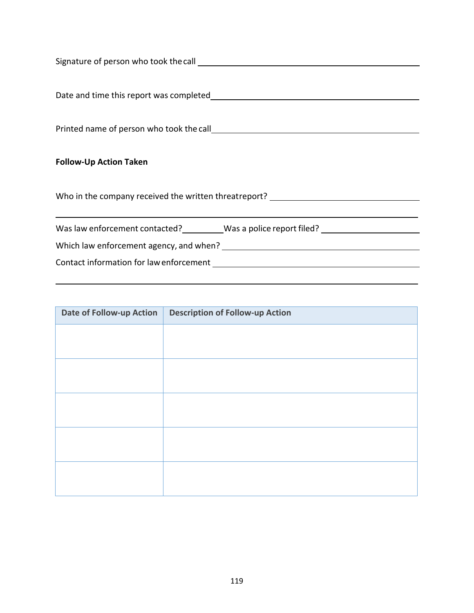| <b>Follow-Up Action Taken</b>                                                    |  |  |
|----------------------------------------------------------------------------------|--|--|
|                                                                                  |  |  |
| Who in the company received the written threatreport? __________________________ |  |  |
|                                                                                  |  |  |
| Was law enforcement contacted? Mas a police report filed?                        |  |  |
|                                                                                  |  |  |
|                                                                                  |  |  |

| <b>Date of Follow-up Action</b> | <b>Description of Follow-up Action</b> |
|---------------------------------|----------------------------------------|
|                                 |                                        |
|                                 |                                        |
|                                 |                                        |
|                                 |                                        |
|                                 |                                        |
|                                 |                                        |
|                                 |                                        |
|                                 |                                        |
|                                 |                                        |
|                                 |                                        |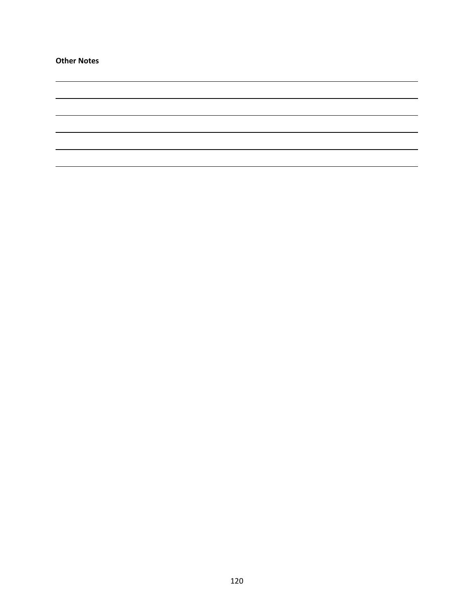**Other Notes**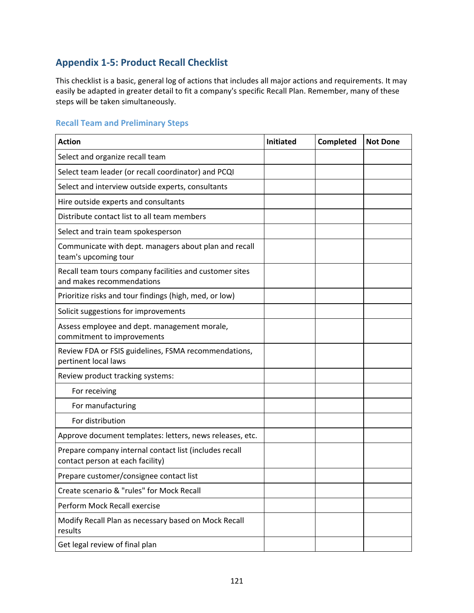# **Appendix 1‐5: Product Recall Checklist**

This checklist is a basic, general log of actions that includes all major actions and requirements. It may easily be adapted in greater detail to fit a company's specific Recall Plan. Remember, many of these steps will be taken simultaneously.

### **Recall Team and Preliminary Steps**

| <b>Action</b>                                                                              | Initiated | Completed | <b>Not Done</b> |
|--------------------------------------------------------------------------------------------|-----------|-----------|-----------------|
| Select and organize recall team                                                            |           |           |                 |
| Select team leader (or recall coordinator) and PCQI                                        |           |           |                 |
| Select and interview outside experts, consultants                                          |           |           |                 |
| Hire outside experts and consultants                                                       |           |           |                 |
| Distribute contact list to all team members                                                |           |           |                 |
| Select and train team spokesperson                                                         |           |           |                 |
| Communicate with dept. managers about plan and recall<br>team's upcoming tour              |           |           |                 |
| Recall team tours company facilities and customer sites<br>and makes recommendations       |           |           |                 |
| Prioritize risks and tour findings (high, med, or low)                                     |           |           |                 |
| Solicit suggestions for improvements                                                       |           |           |                 |
| Assess employee and dept. management morale,<br>commitment to improvements                 |           |           |                 |
| Review FDA or FSIS guidelines, FSMA recommendations,<br>pertinent local laws               |           |           |                 |
| Review product tracking systems:                                                           |           |           |                 |
| For receiving                                                                              |           |           |                 |
| For manufacturing                                                                          |           |           |                 |
| For distribution                                                                           |           |           |                 |
| Approve document templates: letters, news releases, etc.                                   |           |           |                 |
| Prepare company internal contact list (includes recall<br>contact person at each facility) |           |           |                 |
| Prepare customer/consignee contact list                                                    |           |           |                 |
| Create scenario & "rules" for Mock Recall                                                  |           |           |                 |
| Perform Mock Recall exercise                                                               |           |           |                 |
| Modify Recall Plan as necessary based on Mock Recall<br>results                            |           |           |                 |
| Get legal review of final plan                                                             |           |           |                 |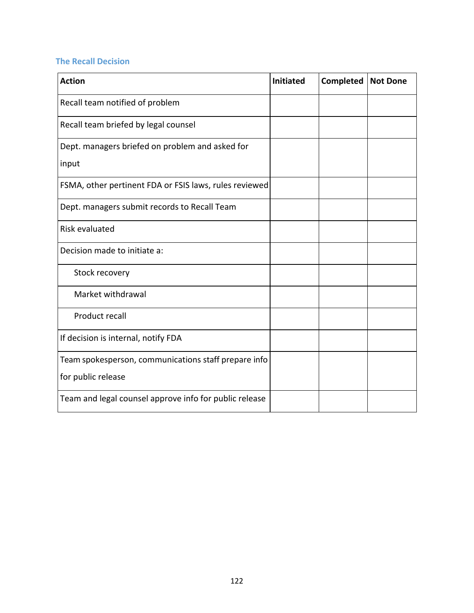# **The Recall Decision**

| <b>Action</b>                                          | <b>Initiated</b> | <b>Completed</b> | <b>Not Done</b> |
|--------------------------------------------------------|------------------|------------------|-----------------|
| Recall team notified of problem                        |                  |                  |                 |
| Recall team briefed by legal counsel                   |                  |                  |                 |
| Dept. managers briefed on problem and asked for        |                  |                  |                 |
| input                                                  |                  |                  |                 |
| FSMA, other pertinent FDA or FSIS laws, rules reviewed |                  |                  |                 |
| Dept. managers submit records to Recall Team           |                  |                  |                 |
| <b>Risk evaluated</b>                                  |                  |                  |                 |
| Decision made to initiate a:                           |                  |                  |                 |
| Stock recovery                                         |                  |                  |                 |
| Market withdrawal                                      |                  |                  |                 |
| Product recall                                         |                  |                  |                 |
| If decision is internal, notify FDA                    |                  |                  |                 |
| Team spokesperson, communications staff prepare info   |                  |                  |                 |
| for public release                                     |                  |                  |                 |
| Team and legal counsel approve info for public release |                  |                  |                 |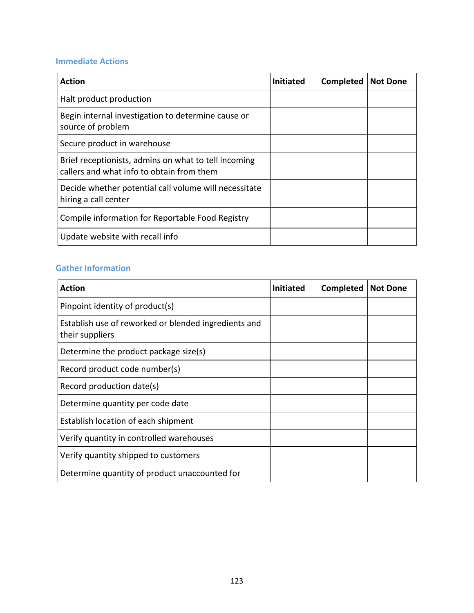# **Immediate Actions**

| <b>Action</b>                                                                                     | <b>Initiated</b> | Completed | <b>Not Done</b> |
|---------------------------------------------------------------------------------------------------|------------------|-----------|-----------------|
| Halt product production                                                                           |                  |           |                 |
| Begin internal investigation to determine cause or<br>source of problem                           |                  |           |                 |
| Secure product in warehouse                                                                       |                  |           |                 |
| Brief receptionists, admins on what to tell incoming<br>callers and what info to obtain from them |                  |           |                 |
| Decide whether potential call volume will necessitate<br>hiring a call center                     |                  |           |                 |
| Compile information for Reportable Food Registry                                                  |                  |           |                 |
| Update website with recall info                                                                   |                  |           |                 |

# **Gather Information**

| <b>Action</b>                                                           | <b>Initiated</b> | <b>Completed</b> | <b>Not Done</b> |
|-------------------------------------------------------------------------|------------------|------------------|-----------------|
| Pinpoint identity of product(s)                                         |                  |                  |                 |
| Establish use of reworked or blended ingredients and<br>their suppliers |                  |                  |                 |
| Determine the product package size(s)                                   |                  |                  |                 |
| Record product code number(s)                                           |                  |                  |                 |
| Record production date(s)                                               |                  |                  |                 |
| Determine quantity per code date                                        |                  |                  |                 |
| Establish location of each shipment                                     |                  |                  |                 |
| Verify quantity in controlled warehouses                                |                  |                  |                 |
| Verify quantity shipped to customers                                    |                  |                  |                 |
| Determine quantity of product unaccounted for                           |                  |                  |                 |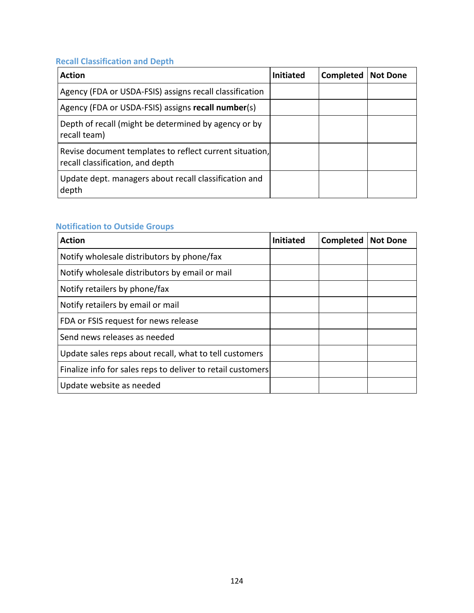# **Recall Classification and Depth**

| <b>Action</b>                                                                               | <b>Initiated</b> | Completed | <b>Not Done</b> |
|---------------------------------------------------------------------------------------------|------------------|-----------|-----------------|
| Agency (FDA or USDA-FSIS) assigns recall classification                                     |                  |           |                 |
| Agency (FDA or USDA-FSIS) assigns recall number(s)                                          |                  |           |                 |
| Depth of recall (might be determined by agency or by<br>recall team)                        |                  |           |                 |
| Revise document templates to reflect current situation,<br>recall classification, and depth |                  |           |                 |
| Update dept. managers about recall classification and<br>depth                              |                  |           |                 |

# **Notification to Outside Groups**

| <b>Action</b>                                               | <b>Initiated</b> | <b>Completed</b> | <b>Not Done</b> |
|-------------------------------------------------------------|------------------|------------------|-----------------|
| Notify wholesale distributors by phone/fax                  |                  |                  |                 |
| Notify wholesale distributors by email or mail              |                  |                  |                 |
| Notify retailers by phone/fax                               |                  |                  |                 |
| Notify retailers by email or mail                           |                  |                  |                 |
| FDA or FSIS request for news release                        |                  |                  |                 |
| Send news releases as needed                                |                  |                  |                 |
| Update sales reps about recall, what to tell customers      |                  |                  |                 |
| Finalize info for sales reps to deliver to retail customers |                  |                  |                 |
| Update website as needed                                    |                  |                  |                 |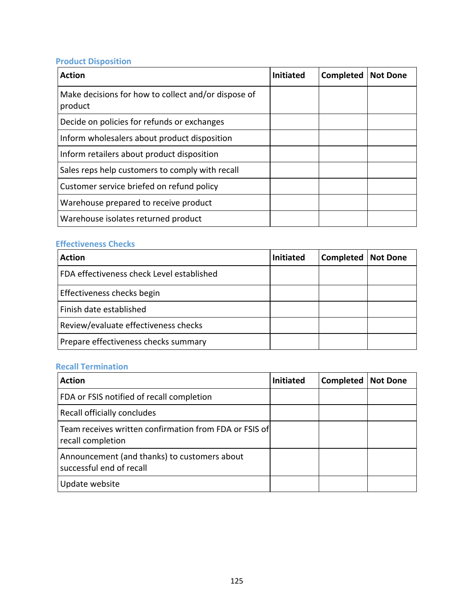# **Product Disposition**

| <b>Action</b>                                                  | <b>Initiated</b> | <b>Completed</b> | <b>Not Done</b> |
|----------------------------------------------------------------|------------------|------------------|-----------------|
| Make decisions for how to collect and/or dispose of<br>product |                  |                  |                 |
| Decide on policies for refunds or exchanges                    |                  |                  |                 |
| Inform wholesalers about product disposition                   |                  |                  |                 |
| Inform retailers about product disposition                     |                  |                  |                 |
| Sales reps help customers to comply with recall                |                  |                  |                 |
| Customer service briefed on refund policy                      |                  |                  |                 |
| Warehouse prepared to receive product                          |                  |                  |                 |
| Warehouse isolates returned product                            |                  |                  |                 |

## **Effectiveness Checks**

| <b>Action</b>                             | <b>Initiated</b> | Completed | <b>Not Done</b> |
|-------------------------------------------|------------------|-----------|-----------------|
| FDA effectiveness check Level established |                  |           |                 |
| Effectiveness checks begin                |                  |           |                 |
| Finish date established                   |                  |           |                 |
| Review/evaluate effectiveness checks      |                  |           |                 |
| Prepare effectiveness checks summary      |                  |           |                 |

## **Recall Termination**

| <b>Action</b>                                                               | <b>Initiated</b> | Completed | <b>Not Done</b> |
|-----------------------------------------------------------------------------|------------------|-----------|-----------------|
| FDA or FSIS notified of recall completion                                   |                  |           |                 |
| Recall officially concludes                                                 |                  |           |                 |
| Team receives written confirmation from FDA or FSIS of<br>recall completion |                  |           |                 |
| Announcement (and thanks) to customers about<br>successful end of recall    |                  |           |                 |
| Update website                                                              |                  |           |                 |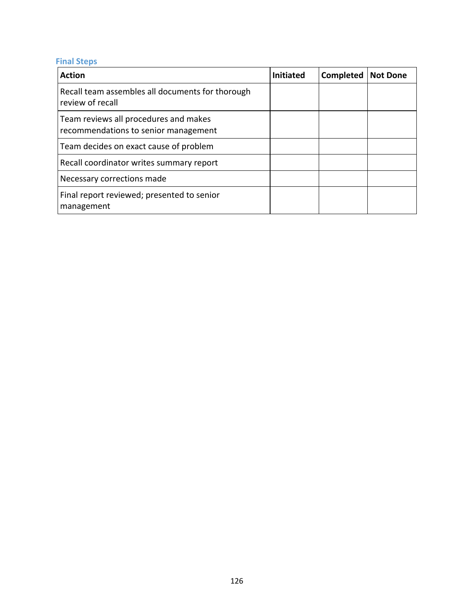# **Final Steps**

| <b>Action</b>                                                                 | <b>Initiated</b> | Completed | <b>Not Done</b> |
|-------------------------------------------------------------------------------|------------------|-----------|-----------------|
| Recall team assembles all documents for thorough<br>review of recall          |                  |           |                 |
| Team reviews all procedures and makes<br>recommendations to senior management |                  |           |                 |
| Team decides on exact cause of problem                                        |                  |           |                 |
| Recall coordinator writes summary report                                      |                  |           |                 |
| Necessary corrections made                                                    |                  |           |                 |
| Final report reviewed; presented to senior<br>management                      |                  |           |                 |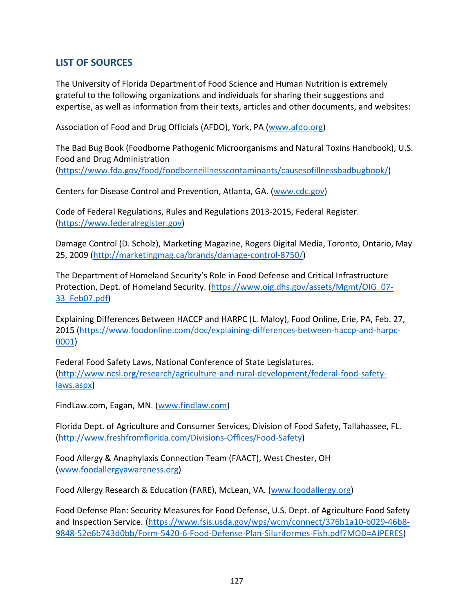# **LIST OF SOURCES**

The University of Florida Department of Food Science and Human Nutrition is extremely grateful to the following organizations and individuals for sharing their suggestions and expertise, as well as information from their texts, articles and other documents, and websites:

Association of Food and Drug Officials (AFDO), York, PA (www.afdo.org)

The Bad Bug Book (Foodborne Pathogenic Microorganisms and Natural Toxins Handbook), U.S. Food and Drug Administration (https://www.fda.gov/food/foodborneillnesscontaminants/causesofillnessbadbugbook/)

Centers for Disease Control and Prevention, Atlanta, GA. (www.cdc.gov)

Code of Federal Regulations, Rules and Regulations 2013‐2015, Federal Register. (https://www.federalregister.gov)

Damage Control (D. Scholz), Marketing Magazine, Rogers Digital Media, Toronto, Ontario, May 25, 2009 (http://marketingmag.ca/brands/damage‐control‐8750/)

The Department of Homeland Security's Role in Food Defense and Critical Infrastructure Protection, Dept. of Homeland Security. (https://www.oig.dhs.gov/assets/Mgmt/OIG\_07‐ 33\_Feb07.pdf)

Explaining Differences Between HACCP and HARPC (L. Maloy), Food Online, Erie, PA, Feb. 27, 2015 (https://www.foodonline.com/doc/explaining-differences-between-haccp-and-harpc-0001)

Federal Food Safety Laws, National Conference of State Legislatures. (http://www.ncsl.org/research/agriculture‐and‐rural‐development/federal‐food‐safety‐ laws.aspx)

FindLaw.com, Eagan, MN. (www.findlaw.com)

Florida Dept. of Agriculture and Consumer Services, Division of Food Safety, Tallahassee, FL. (http://www.freshfromflorida.com/Divisions‐Offices/Food‐Safety)

Food Allergy & Anaphylaxis Connection Team (FAACT), West Chester, OH (www.foodallergyawareness.org)

Food Allergy Research & Education (FARE), McLean, VA. (www.foodallergy.org)

Food Defense Plan: Security Measures for Food Defense, U.S. Dept. of Agriculture Food Safety and Inspection Service. (https://www.fsis.usda.gov/wps/wcm/connect/376b1a10-b029-46b8-9848‐52e6b743d0bb/Form‐5420‐6‐Food‐Defense‐Plan‐Siluriformes‐Fish.pdf?MOD=AJPERES)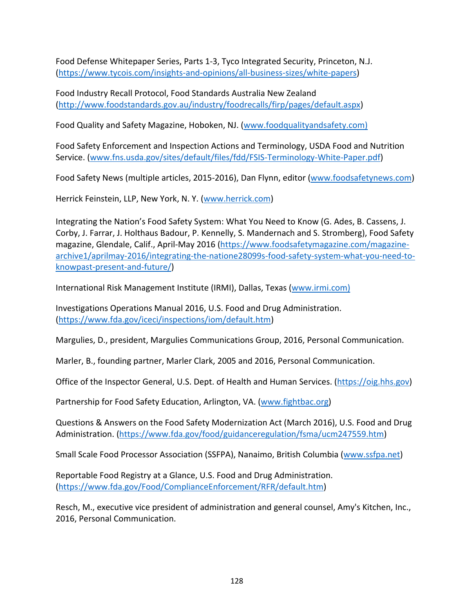Food Defense Whitepaper Series, Parts 1‐3, Tyco Integrated Security, Princeton, N.J. (https://www.tycois.com/insights‐and‐opinions/all‐business‐sizes/white‐papers)

Food Industry Recall Protocol, Food Standards Australia New Zealand (http://www.foodstandards.gov.au/industry/foodrecalls/firp/pages/default.aspx)

Food Quality and Safety Magazine, Hoboken, NJ. (www.foodqualityandsafety.com)

Food Safety Enforcement and Inspection Actions and Terminology, USDA Food and Nutrition Service. (www.fns.usda.gov/sites/default/files/fdd/FSIS‐Terminology‐White‐Paper.pdf)

Food Safety News (multiple articles, 2015-2016), Dan Flynn, editor (www.foodsafetynews.com)

Herrick Feinstein, LLP, New York, N. Y. (www.herrick.com)

Integrating the Nation's Food Safety System: What You Need to Know (G. Ades, B. Cassens, J. Corby, J. Farrar, J. Holthaus Badour, P. Kennelly, S. Mandernach and S. Stromberg), Food Safety magazine, Glendale, Calif., April‐May 2016 (https://www.foodsafetymagazine.com/magazine‐ archive1/aprilmay‐2016/integrating‐the‐natione28099s‐food‐safety‐system‐what‐you‐need‐to‐ knowpast‐present‐and‐future/)

International Risk Management Institute (IRMI), Dallas, Texas (www.irmi.com)

Investigations Operations Manual 2016, U.S. Food and Drug Administration. (https://www.fda.gov/iceci/inspections/iom/default.htm)

Margulies, D., president, Margulies Communications Group, 2016, Personal Communication.

Marler, B., founding partner, Marler Clark, 2005 and 2016, Personal Communication.

Office of the Inspector General, U.S. Dept. of Health and Human Services. (https://oig.hhs.gov)

Partnership for Food Safety Education, Arlington, VA. (www.fightbac.org)

Questions & Answers on the Food Safety Modernization Act (March 2016), U.S. Food and Drug Administration. (https://www.fda.gov/food/guidanceregulation/fsma/ucm247559.htm)

Small Scale Food Processor Association (SSFPA), Nanaimo, British Columbia (www.ssfpa.net)

Reportable Food Registry at a Glance, U.S. Food and Drug Administration. (https://www.fda.gov/Food/ComplianceEnforcement/RFR/default.htm)

Resch, M., executive vice president of administration and general counsel, Amy's Kitchen, Inc., 2016, Personal Communication.